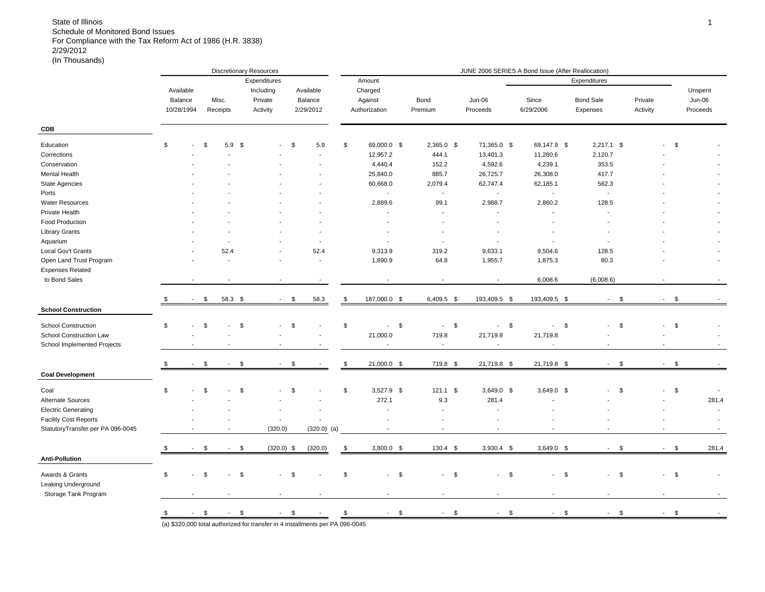|                                   |                          |                        |                          | <b>Discretionary Resources</b> |        |                            |                          |                          | JUNE 2006 SERIES A Bond Issue (After Reallocation) |                          |                              |                |                         |          |
|-----------------------------------|--------------------------|------------------------|--------------------------|--------------------------------|--------|----------------------------|--------------------------|--------------------------|----------------------------------------------------|--------------------------|------------------------------|----------------|-------------------------|----------|
|                                   |                          |                        |                          | Expenditures                   |        |                            | Amount                   |                          |                                                    |                          | Expenditures                 |                |                         |          |
|                                   | Available                |                        |                          | Including                      |        | Available                  | Charged                  |                          |                                                    |                          |                              |                |                         | Unspent  |
|                                   | Balance                  | Misc.                  |                          | Private                        |        | Balance                    | Against                  | Bond                     | Jun-06                                             | Since                    | <b>Bond Sale</b>             | Private        |                         | Jun-06   |
|                                   | 10/28/1994               | Receipts               |                          | Activity                       |        | 2/29/2012                  | Authorization            | Premium                  | Proceeds                                           | 6/29/2006                | Expenses                     | Activity       |                         | Proceeds |
| <b>CDB</b>                        |                          |                        |                          |                                |        |                            |                          |                          |                                                    |                          |                              |                |                         |          |
| Education                         | \$                       | \$                     | 5.9 <sup>5</sup>         |                                | \$     | 5.9                        | \$<br>69,000.0 \$        | $2,365.0$ \$             | 71,365.0 \$                                        | 69,147.9 \$              | $2,217.1$ \$                 |                | \$                      |          |
| Corrections                       |                          |                        |                          |                                |        |                            | 12,957.2                 | 444.1                    | 13,401.3                                           | 11,280.6                 | 2,120.7                      |                |                         |          |
| Conservation                      |                          |                        |                          |                                |        |                            | 4,440.4                  | 152.2                    | 4,592.6                                            | 4,239.1                  | 353.5                        |                |                         |          |
| <b>Mental Health</b>              |                          |                        |                          |                                |        |                            | 25,840.0                 | 885.7                    | 26,725.7                                           | 26,308.0                 | 417.7                        |                |                         |          |
| <b>State Agencies</b>             |                          |                        |                          |                                |        |                            | 60,668.0                 | 2,079.4                  | 62,747.4                                           | 62,185.1                 | 562.3                        |                |                         |          |
| Ports                             |                          |                        |                          |                                |        |                            | $\overline{\phantom{a}}$ | $\blacksquare$           | ÷,                                                 | $\overline{\phantom{a}}$ | $\blacksquare$               |                |                         |          |
| <b>Water Resources</b>            |                          |                        |                          |                                |        |                            | 2,889.6                  | 99.1                     | 2,988.7                                            | 2,860.2                  | 128.5                        |                |                         |          |
| Private Health                    |                          |                        |                          |                                |        |                            | ÷,                       | $\overline{\phantom{a}}$ | $\sim$                                             | $\sim$                   | $\sim$                       |                |                         |          |
| Food Production                   |                          |                        |                          |                                |        |                            | $\overline{\phantom{a}}$ |                          | Ĭ.                                                 |                          |                              |                |                         |          |
| <b>Library Grants</b>             |                          |                        |                          |                                |        |                            |                          |                          |                                                    |                          |                              |                |                         |          |
| Aquarium                          |                          |                        |                          |                                |        | $\overline{\phantom{a}}$   | ÷,                       | $\overline{\phantom{a}}$ | $\overline{\phantom{a}}$                           | $\overline{\phantom{a}}$ | $\blacksquare$               |                |                         |          |
| Local Gov't Grants                |                          |                        | 52.4                     |                                |        | 52.4                       | 9,313.9                  | 319.2                    | 9,633.1                                            | 9,504.6                  | 128.5                        |                |                         |          |
| Open Land Trust Program           |                          |                        |                          |                                |        | $\overline{\phantom{a}}$   | 1,890.9                  | 64.8                     | 1,955.7                                            | 1,875.3                  | 80.3                         |                |                         |          |
| <b>Expenses Related</b>           |                          |                        |                          |                                |        |                            |                          |                          |                                                    |                          |                              |                |                         |          |
| to Bond Sales                     |                          |                        |                          |                                |        | $\blacksquare$             |                          | $\overline{\phantom{a}}$ | $\blacksquare$                                     | 6,008.6                  | (6,008.6)                    |                |                         |          |
|                                   | $\overline{\phantom{a}}$ | \$                     | 58.3 \$                  | $\sim$                         | \$     | 58.3                       | \$<br>187,000.0 \$       | 6,409.5 \$               | 193,409.5 \$                                       | 193,409.5 \$             | - \$<br>$\sim$               |                | <b>S</b><br>$\sim$      |          |
| <b>School Construction</b>        |                          |                        |                          |                                |        |                            |                          |                          |                                                    |                          |                              |                |                         |          |
| <b>School Construction</b>        | \$                       | \$                     |                          | \$                             | \$     |                            | \$<br>\$<br>$\sim$       | \$<br>$\mathbf{r}$       | $\sqrt{5}$<br>$\overline{\phantom{a}}$             | $\overline{\phantom{a}}$ | \$<br>\$<br>$\overline{a}$   | $\overline{a}$ | \$                      |          |
| School Construction Law           |                          |                        |                          |                                |        |                            | 21,000.0                 | 719.8                    | 21,719.8                                           | 21,719.8                 |                              |                |                         |          |
| School Implemented Projects       |                          |                        |                          |                                |        |                            | $\overline{\phantom{a}}$ | ÷,                       | $\overline{\phantom{a}}$                           | $\overline{a}$           |                              |                |                         |          |
|                                   |                          |                        |                          |                                |        |                            |                          |                          |                                                    |                          |                              |                |                         |          |
|                                   |                          | \$                     |                          | \$                             | \$     |                            | \$<br>21,000.0 \$        | 719.8 \$                 | 21,719.8 \$                                        | 21,719.8 \$              | \$<br>$\sim$                 |                | \$                      |          |
| <b>Coal Development</b>           |                          |                        |                          |                                |        |                            |                          |                          |                                                    |                          |                              |                |                         |          |
| Coal                              | \$                       | \$                     |                          | \$                             | \$     |                            | \$<br>3,527.9 \$         | $121.1$ \$               | $3,649.0$ \$                                       | $3,649.0$ \$             | \$<br>$\overline{a}$         |                | \$                      |          |
| Alternate Sources                 |                          |                        |                          |                                |        |                            | 272.1                    | 9.3                      | 281.4                                              |                          |                              |                |                         | 281.4    |
| <b>Electric Generating</b>        |                          |                        |                          |                                |        |                            | $\overline{\phantom{a}}$ | Ĭ.                       |                                                    |                          |                              |                |                         |          |
| <b>Facility Cost Reports</b>      |                          |                        |                          | $\overline{a}$                 |        |                            |                          |                          |                                                    |                          |                              |                |                         |          |
| StatutoryTransfer per PA 096-0045 |                          |                        | $\overline{\phantom{a}}$ | (320.0)                        |        | $(320.0)$ (a)              | $\sim$                   | $\overline{\phantom{a}}$ | $\overline{\phantom{a}}$                           | $\blacksquare$           | $\sim$                       |                |                         | $\sim$   |
|                                   |                          |                        |                          |                                |        |                            |                          |                          |                                                    |                          | $\blacksquare$               |                | $\sim$                  |          |
| <b>Anti-Pollution</b>             |                          | \$                     | $\sim$                   | \$<br>$(320.0)$ \$             |        | (320.0)                    | \$<br>$3,800.0$ \$       | $130.4$ \$               | $3,930.4$ \$                                       | $3,649.0$ \$             | \$                           |                | \$                      | 281.4    |
|                                   |                          |                        |                          |                                |        |                            |                          |                          |                                                    |                          |                              |                |                         |          |
| Awards & Grants                   | \$                       | \$                     |                          | \$                             | \$     |                            | \$<br>\$                 | $-5$                     | $-5$                                               | $-5$                     | $\mathbb{S}$<br>$\mathbf{r}$ |                | $\mathcal{S}$<br>$\sim$ |          |
| Leaking Underground               |                          |                        |                          |                                |        |                            |                          |                          |                                                    |                          |                              |                |                         |          |
| Storage Tank Program              |                          |                        |                          | $\sim$                         |        |                            | $\blacksquare$           |                          | $\overline{a}$                                     | ä,                       | $\blacksquare$               |                |                         |          |
|                                   |                          |                        |                          |                                | $-$ \$ |                            | $-$ \$                   | \$<br>$\sim 100$         | $-5$                                               | $-$ \$                   | $-$ \$                       |                | $-$ \$                  |          |
|                                   |                          | $\frac{\$}{\$}$ - $\$$ | $-$ \$                   |                                |        | $\mathcal{L}_{\text{max}}$ | \$                       |                          |                                                    |                          |                              |                |                         |          |

(a) \$320,000 total authorized for transfer in 4 installments per PA 096-0045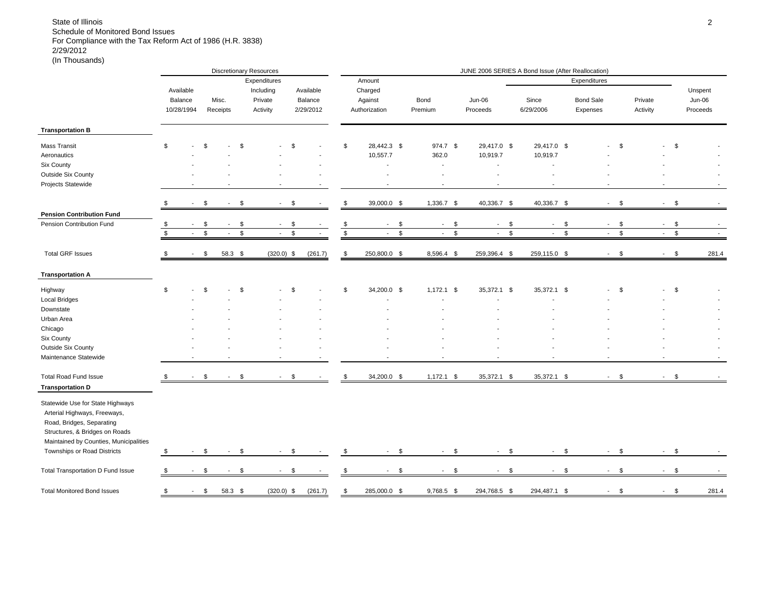|                                        |               |            |               |                |             | <b>Discretionary Resources</b> | JUNE 2006 SERIES A Bond Issue (After Reallocation) |                          |                         |                |                                |                          |                                          |              |                          |               |                        |               |
|----------------------------------------|---------------|------------|---------------|----------------|-------------|--------------------------------|----------------------------------------------------|--------------------------|-------------------------|----------------|--------------------------------|--------------------------|------------------------------------------|--------------|--------------------------|---------------|------------------------|---------------|
|                                        |               |            |               |                |             | Expenditures                   |                                                    |                          |                         | Amount         |                                |                          |                                          |              | Expenditures             |               |                        |               |
|                                        |               | Available  |               |                |             | Including                      |                                                    | Available                |                         | Charged        |                                |                          |                                          |              |                          |               |                        | Unspent       |
|                                        |               | Balance    |               | Misc.          |             | Private                        |                                                    | Balance                  |                         | Against        | Bond                           | <b>Jun-06</b>            | Since                                    |              | <b>Bond Sale</b>         | Private       |                        | Jun-06        |
|                                        |               | 10/28/1994 |               | Receipts       |             | Activity                       |                                                    | 2/29/2012                |                         | Authorization  | Premium                        | Proceeds                 | 6/29/2006                                |              | Expenses                 | Activity      |                        | Proceeds      |
|                                        |               |            |               |                |             |                                |                                                    |                          |                         |                |                                |                          |                                          |              |                          |               |                        |               |
| <b>Transportation B</b>                |               |            |               |                |             |                                |                                                    |                          |                         |                |                                |                          |                                          |              |                          |               |                        |               |
| <b>Mass Transit</b>                    | \$            |            | \$            |                | \$          |                                | \$                                                 |                          | \$                      | 28.442.3 \$    | 974.7 \$                       | 29,417.0 \$              | 29,417.0 \$                              |              |                          | <b>S</b>      |                        | \$            |
| Aeronautics                            |               |            |               |                |             |                                |                                                    |                          |                         | 10,557.7       | 362.0                          | 10,919.7                 | 10,919.7                                 |              |                          |               |                        |               |
| Six County                             |               |            |               |                |             |                                |                                                    |                          |                         | $\blacksquare$ | $\blacksquare$                 | $\overline{\phantom{a}}$ | $\blacksquare$                           |              |                          |               |                        |               |
| Outside Six County                     |               |            |               |                |             |                                |                                                    |                          |                         |                |                                | $\overline{a}$           |                                          |              |                          |               |                        |               |
| Projects Statewide                     |               |            |               |                |             |                                |                                                    | $\overline{\phantom{a}}$ |                         |                |                                | $\overline{a}$           |                                          |              |                          |               |                        |               |
|                                        |               |            |               |                |             |                                |                                                    |                          |                         |                |                                |                          |                                          |              |                          |               |                        |               |
|                                        |               | $\sim$     | \$            | $\sim$         | \$          | $\sim$                         | \$                                                 |                          | \$                      | 39,000.0 \$    | 1,336.7 \$                     | 40,336.7 \$              | 40,336.7 \$                              |              | $-$ \$                   |               | $\mathsf{S}$<br>$\sim$ |               |
| <b>Pension Contribution Fund</b>       |               |            |               |                |             |                                |                                                    |                          |                         |                |                                |                          |                                          |              |                          |               |                        |               |
| Pension Contribution Fund              | $\frac{1}{3}$ |            | \$            | $\sim$         | \$          | $\sim$                         | \$                                                 |                          | $\frac{1}{2}$           | \$<br>$\sim$   | \$<br>$\sim$                   | $\sim$                   | \$<br>$\sim$                             | \$           | $\sim$                   | \$            | $\sim$                 | \$            |
|                                        |               |            | $\mathfrak s$ |                | $\mathbb S$ |                                | $\mathbb{S}$                                       |                          | $\overline{\mathbf{s}}$ | $\mathbb{S}$   | $\mathfrak{S}$<br>$\mathbf{r}$ | $\sim$                   | $\mathbb{S}$<br>$\overline{\phantom{a}}$ | $\mathbb{S}$ |                          | $\mathfrak s$ |                        | $\mathfrak s$ |
|                                        |               |            |               |                |             |                                |                                                    |                          |                         |                |                                |                          |                                          |              |                          |               |                        |               |
| <b>Total GRF Issues</b>                | \$            | $\sim$     | \$            | 58.3 \$        |             | $(320.0)$ \$                   |                                                    | (261.7)                  | \$                      | 250,800.0 \$   | 8,596.4 \$                     | 259,396.4 \$             | 259,115.0 \$                             |              | $-5$                     |               | $-5$                   | 281.4         |
| <b>Transportation A</b>                |               |            |               |                |             |                                |                                                    |                          |                         |                |                                |                          |                                          |              |                          |               |                        |               |
| Highway                                | \$            |            | \$            |                | \$          |                                | \$                                                 |                          | \$                      | 34,200.0 \$    | $1,172.1$ \$                   | 35,372.1 \$              | 35,372.1 \$                              |              |                          | \$            |                        | \$            |
| <b>Local Bridges</b>                   |               |            |               |                |             |                                |                                                    |                          |                         |                |                                | $\overline{a}$           |                                          |              |                          |               |                        |               |
| Downstate                              |               |            |               |                |             |                                |                                                    |                          |                         |                |                                |                          |                                          |              |                          |               |                        |               |
| Urban Area                             |               |            |               |                |             |                                |                                                    |                          |                         |                |                                |                          |                                          |              |                          |               |                        |               |
| Chicago                                |               |            |               |                |             |                                |                                                    |                          |                         |                |                                |                          |                                          |              |                          |               |                        |               |
| Six County                             |               |            |               |                |             |                                |                                                    |                          |                         |                |                                |                          |                                          |              |                          |               |                        |               |
| Outside Six County                     |               |            |               |                |             |                                |                                                    |                          |                         |                |                                |                          |                                          |              |                          |               |                        |               |
| Maintenance Statewide                  |               |            |               |                |             | $\overline{a}$                 |                                                    |                          |                         |                |                                |                          |                                          |              |                          |               |                        |               |
|                                        |               |            |               |                |             |                                |                                                    |                          |                         |                |                                |                          |                                          |              |                          |               |                        |               |
| <b>Total Road Fund Issue</b>           |               |            | \$            | $\blacksquare$ | \$          | $\sim$                         | \$                                                 | $\blacksquare$           | $\mathcal{S}$           | 34,200.0 \$    | $1,172.1$ \$                   | 35,372.1 \$              | 35,372.1 \$                              |              | $\sim$                   | \$            | $\sim$                 | \$            |
| <b>Transportation D</b>                |               |            |               |                |             |                                |                                                    |                          |                         |                |                                |                          |                                          |              |                          |               |                        |               |
| Statewide Use for State Highways       |               |            |               |                |             |                                |                                                    |                          |                         |                |                                |                          |                                          |              |                          |               |                        |               |
| Arterial Highways, Freeways,           |               |            |               |                |             |                                |                                                    |                          |                         |                |                                |                          |                                          |              |                          |               |                        |               |
| Road, Bridges, Separating              |               |            |               |                |             |                                |                                                    |                          |                         |                |                                |                          |                                          |              |                          |               |                        |               |
| Structures, & Bridges on Roads         |               |            |               |                |             |                                |                                                    |                          |                         |                |                                |                          |                                          |              |                          |               |                        |               |
| Maintained by Counties, Municipalities |               |            |               |                |             |                                |                                                    |                          |                         |                |                                |                          |                                          |              |                          |               |                        |               |
| Townships or Road Districts            | \$            |            | \$            |                | \$          |                                | \$                                                 |                          | \$                      | \$             | \$<br>$\sim$                   | $\blacksquare$           | \$<br>$\overline{\phantom{a}}$           | \$           | $\sim$                   | \$            |                        | \$            |
|                                        |               |            |               |                |             |                                |                                                    |                          |                         |                |                                |                          |                                          |              |                          |               |                        |               |
| Total Transportation D Fund Issue      | \$            | $\sim$     | \$            |                | $-5$        | $\sim$                         | \$                                                 |                          | \$                      | \$<br>$\sim$   | \$<br>$\sim 100$               | $-5$                     |                                          | $-$ \$       | $-$ \$                   |               | $-$ \$                 |               |
| <b>Total Monitored Bond Issues</b>     |               |            |               |                |             |                                |                                                    |                          |                         |                |                                |                          |                                          |              |                          |               |                        |               |
|                                        | \$            | $\sim 100$ | \$            | 58.3 \$        |             | $(320.0)$ \$                   |                                                    | (261.7)                  | \$                      | 285,000.0 \$   | $9,768.5$ \$                   | 294,768.5 \$             | 294,487.1 \$                             |              | $\overline{\phantom{a}}$ | \$            | $\sim$                 | \$<br>281.4   |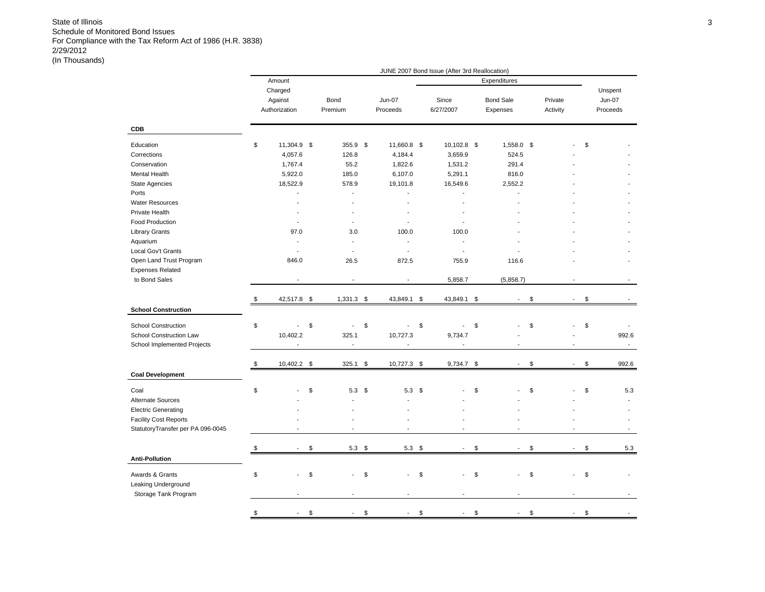|                                   |                                     |                          |                           | JUNE 2007 Bond Issue (After 3rd Reallocation) |                                |                     |                          |                                      |
|-----------------------------------|-------------------------------------|--------------------------|---------------------------|-----------------------------------------------|--------------------------------|---------------------|--------------------------|--------------------------------------|
|                                   | Amount                              |                          |                           |                                               | Expenditures                   |                     |                          |                                      |
|                                   | Charged<br>Against<br>Authorization | Bond<br>Premium          | <b>Jun-07</b><br>Proceeds | Since<br>6/27/2007                            | <b>Bond Sale</b><br>Expenses   | Private<br>Activity |                          | Unspent<br><b>Jun-07</b><br>Proceeds |
| <b>CDB</b>                        |                                     |                          |                           |                                               |                                |                     |                          |                                      |
| Education                         | \$<br>11,304.9 \$                   | 355.9 \$                 | 11,660.8 \$               | 10,102.8 \$                                   | 1,558.0 \$                     |                     |                          | \$                                   |
| Corrections                       | 4,057.6                             | 126.8                    | 4,184.4                   | 3,659.9                                       | 524.5                          |                     |                          |                                      |
| Conservation                      | 1,767.4                             | 55.2                     | 1,822.6                   | 1,531.2                                       | 291.4                          |                     |                          |                                      |
| Mental Health                     | 5,922.0                             | 185.0                    | 6,107.0                   | 5,291.1                                       | 816.0                          |                     |                          |                                      |
| <b>State Agencies</b>             | 18,522.9                            | 578.9                    | 19,101.8                  | 16,549.6                                      | 2,552.2                        |                     |                          |                                      |
| Ports                             | L.                                  | $\blacksquare$           | $\overline{\phantom{a}}$  | ÷.                                            | $\overline{a}$                 |                     |                          |                                      |
| <b>Water Resources</b>            |                                     |                          | $\overline{\phantom{a}}$  | $\overline{a}$                                |                                |                     |                          |                                      |
| Private Health                    |                                     | $\blacksquare$           |                           |                                               |                                |                     |                          |                                      |
| <b>Food Production</b>            | ٠                                   | $\sim$                   | $\overline{a}$            | $\overline{a}$                                |                                |                     |                          |                                      |
| <b>Library Grants</b>             | 97.0                                | 3.0                      | 100.0                     | 100.0                                         |                                |                     |                          |                                      |
| Aquarium                          | ÷.                                  | $\blacksquare$           | $\overline{a}$            | $\overline{a}$                                |                                |                     |                          |                                      |
| Local Gov't Grants                | ٠                                   | $\overline{\phantom{a}}$ | $\sim$                    | $\overline{\phantom{a}}$                      |                                |                     |                          |                                      |
| Open Land Trust Program           | 846.0                               | 26.5                     | 872.5                     | 755.9                                         | 116.6                          |                     |                          |                                      |
| <b>Expenses Related</b>           |                                     |                          |                           |                                               |                                |                     |                          |                                      |
| to Bond Sales                     |                                     |                          |                           | 5,858.7                                       | (5,858.7)                      |                     |                          |                                      |
|                                   |                                     |                          |                           |                                               |                                |                     |                          |                                      |
|                                   | \$<br>42,517.8 \$                   | 1,331.3                  | \$<br>43,849.1            | \$<br>43,849.1                                | \$<br>$\overline{a}$           | \$                  | $\overline{a}$           | \$                                   |
| <b>School Construction</b>        |                                     |                          |                           |                                               |                                |                     |                          |                                      |
| <b>School Construction</b>        | \$<br>$\overline{\phantom{a}}$      | \$<br>$\blacksquare$     | \$<br>$\blacksquare$      | \$<br>$\frac{1}{2}$                           | \$                             | \$                  |                          | \$                                   |
| School Construction Law           | 10,402.2                            | 325.1                    | 10,727.3                  | 9,734.7                                       |                                |                     |                          | 992.6                                |
| School Implemented Projects       | $\centerdot$                        | $\overline{\phantom{a}}$ | $\overline{\phantom{a}}$  | $\overline{\phantom{a}}$                      | $\overline{\phantom{a}}$       |                     |                          | $\blacksquare$                       |
|                                   |                                     |                          |                           |                                               |                                |                     |                          |                                      |
|                                   | \$<br>10,402.2 \$                   | 325.1                    | \$<br>10,727.3 \$         | 9,734.7 \$                                    | $\overline{\phantom{a}}$       | \$                  | $\overline{\phantom{a}}$ | \$<br>992.6                          |
| <b>Coal Development</b>           |                                     |                          |                           |                                               |                                |                     |                          |                                      |
| Coal                              | \$                                  | \$<br>5.3                | \$<br>5.3                 | \$                                            | \$                             | \$                  |                          | \$<br>5.3                            |
| Alternate Sources                 |                                     |                          |                           |                                               |                                |                     |                          | ÷,                                   |
| <b>Electric Generating</b>        |                                     |                          |                           |                                               |                                |                     |                          |                                      |
| <b>Facility Cost Reports</b>      |                                     |                          |                           |                                               |                                |                     |                          |                                      |
| StatutoryTransfer per PA 096-0045 |                                     |                          |                           |                                               |                                |                     |                          |                                      |
|                                   |                                     |                          |                           |                                               |                                |                     |                          |                                      |
|                                   | \$<br>$\blacksquare$                | \$<br>$5.3$ \$           | $5.3$ \$                  | $\sim$                                        | \$<br>$\overline{\phantom{a}}$ | \$                  | $\sim$                   | \$<br>5.3                            |
| <b>Anti-Pollution</b>             |                                     |                          |                           |                                               |                                |                     |                          |                                      |
|                                   |                                     |                          | $\overline{a}$            | ÷                                             |                                |                     |                          |                                      |
| Awards & Grants                   | \$                                  | \$                       | \$                        | \$                                            | \$                             | \$                  |                          | \$                                   |
| Leaking Underground               |                                     |                          |                           |                                               |                                |                     |                          |                                      |
| Storage Tank Program              |                                     |                          |                           |                                               |                                |                     |                          |                                      |
|                                   | \$                                  | \$                       | \$                        | \$                                            | \$                             | \$                  |                          | \$                                   |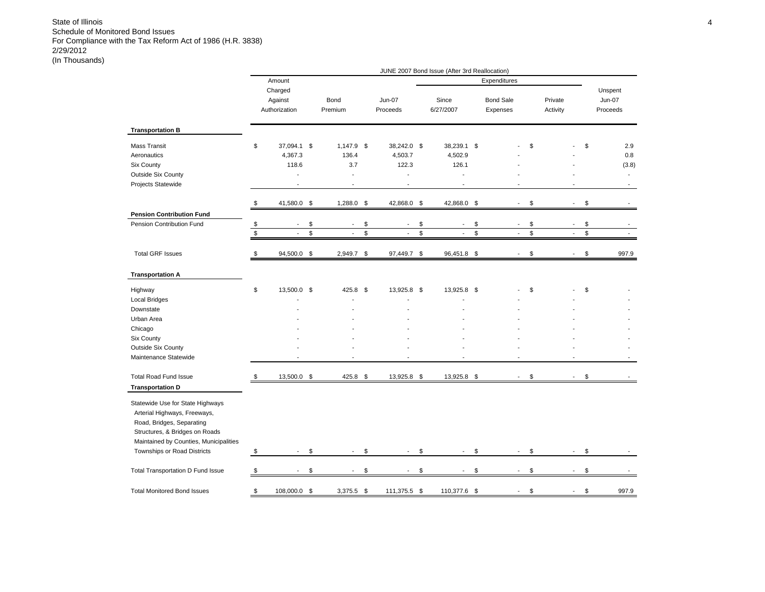|                                                                                                                                                                                                          |               |                                     |                                |               |                           | JUNE 2007 Bond Issue (After 3rd Reallocation) |                                |              |                     |                          |                                      |
|----------------------------------------------------------------------------------------------------------------------------------------------------------------------------------------------------------|---------------|-------------------------------------|--------------------------------|---------------|---------------------------|-----------------------------------------------|--------------------------------|--------------|---------------------|--------------------------|--------------------------------------|
|                                                                                                                                                                                                          |               | Amount                              |                                |               |                           |                                               | Expenditures                   |              |                     |                          |                                      |
|                                                                                                                                                                                                          |               | Charged<br>Against<br>Authorization | Bond<br>Premium                |               | <b>Jun-07</b><br>Proceeds | Since<br>6/27/2007                            | <b>Bond Sale</b><br>Expenses   |              | Private<br>Activity |                          | Unspent<br><b>Jun-07</b><br>Proceeds |
| <b>Transportation B</b>                                                                                                                                                                                  |               |                                     |                                |               |                           |                                               |                                |              |                     |                          |                                      |
| <b>Mass Transit</b>                                                                                                                                                                                      | \$            | 37,094.1 \$                         | 1,147.9 \$                     |               | 38,242.0 \$               | 38,239.1 \$                                   |                                | \$           |                     |                          | \$<br>2.9                            |
| Aeronautics                                                                                                                                                                                              |               | 4,367.3                             | 136.4                          |               | 4,503.7                   | 4,502.9                                       |                                |              |                     |                          | 0.8                                  |
| Six County                                                                                                                                                                                               |               | 118.6                               | 3.7                            |               | 122.3                     | 126.1                                         |                                |              |                     |                          | (3.8)                                |
| <b>Outside Six County</b>                                                                                                                                                                                |               |                                     | $\overline{\phantom{a}}$       |               | ÷.                        | ÷.                                            |                                |              |                     |                          | $\overline{a}$                       |
| Projects Statewide                                                                                                                                                                                       |               |                                     | ÷,                             |               | ÷,                        |                                               |                                |              |                     |                          |                                      |
|                                                                                                                                                                                                          | \$            | 41,580.0 \$                         | 1,288.0 \$                     |               | 42,868.0 \$               | 42,868.0                                      | \$<br>$\mathbf{r}$             | \$           |                     | $\overline{a}$           | \$                                   |
| <b>Pension Contribution Fund</b>                                                                                                                                                                         |               |                                     |                                |               |                           |                                               |                                |              |                     |                          |                                      |
| Pension Contribution Fund                                                                                                                                                                                | \$            | $\overline{\phantom{a}}$            | \$<br>$\overline{\phantom{a}}$ | \$            | $\overline{\phantom{a}}$  | \$<br>$\overline{\phantom{a}}$                | \$<br>$\overline{\phantom{a}}$ | \$           |                     | $\overline{\phantom{a}}$ | \$                                   |
|                                                                                                                                                                                                          | $\mathfrak s$ | ÷.                                  | \$<br>$\overline{a}$           | $\mathfrak s$ | $\overline{a}$            | \$<br>$\blacksquare$                          | \$<br>$\mathcal{L}$            | $\mathbb{S}$ |                     | $\overline{a}$           | \$                                   |
| <b>Total GRF Issues</b>                                                                                                                                                                                  | \$            | 94,500.0                            | \$<br>2,949.7 \$               |               | 97,449.7 \$               | 96,451.8                                      | \$                             | \$           |                     | L,                       | \$<br>997.9                          |
| <b>Transportation A</b>                                                                                                                                                                                  |               |                                     |                                |               |                           |                                               |                                |              |                     |                          |                                      |
| Highway                                                                                                                                                                                                  | \$            | 13,500.0 \$                         | 425.8 \$                       |               | 13,925.8 \$               | 13,925.8 \$                                   |                                | \$           |                     |                          | \$                                   |
| <b>Local Bridges</b>                                                                                                                                                                                     |               |                                     |                                |               |                           |                                               |                                |              |                     |                          |                                      |
| Downstate                                                                                                                                                                                                |               |                                     |                                |               |                           |                                               |                                |              |                     |                          |                                      |
| Urban Area                                                                                                                                                                                               |               |                                     |                                |               |                           |                                               |                                |              |                     |                          |                                      |
| Chicago                                                                                                                                                                                                  |               |                                     |                                |               |                           |                                               |                                |              |                     |                          |                                      |
| Six County                                                                                                                                                                                               |               |                                     |                                |               |                           |                                               |                                |              |                     |                          |                                      |
| <b>Outside Six County</b>                                                                                                                                                                                |               |                                     |                                |               |                           |                                               |                                |              |                     |                          |                                      |
| Maintenance Statewide                                                                                                                                                                                    |               |                                     |                                |               |                           |                                               |                                |              |                     |                          |                                      |
| <b>Total Road Fund Issue</b>                                                                                                                                                                             | \$            | 13,500.0 \$                         | 425.8 \$                       |               | 13,925.8 \$               | 13,925.8 \$                                   | $\overline{\phantom{a}}$       | \$           |                     | $\overline{a}$           | \$                                   |
| <b>Transportation D</b>                                                                                                                                                                                  |               |                                     |                                |               |                           |                                               |                                |              |                     |                          |                                      |
| Statewide Use for State Highways<br>Arterial Highways, Freeways,<br>Road, Bridges, Separating<br>Structures, & Bridges on Roads<br>Maintained by Counties, Municipalities<br>Townships or Road Districts | \$            | $\overline{\phantom{a}}$            | \$<br>$\blacksquare$           | \$            | $\overline{\phantom{a}}$  | \$<br>$\mathbf{r}$                            | \$<br>$\overline{\phantom{a}}$ | \$           |                     | $\overline{\phantom{a}}$ | \$                                   |
|                                                                                                                                                                                                          |               |                                     |                                |               |                           |                                               |                                |              |                     |                          |                                      |
| Total Transportation D Fund Issue                                                                                                                                                                        | \$            | $\blacksquare$                      | \$<br>$\blacksquare$           | \$            | ٠                         | \$<br>$\overline{\phantom{a}}$                | \$<br>$\blacksquare$           | \$           |                     | $\blacksquare$           | \$                                   |
| <b>Total Monitored Bond Issues</b>                                                                                                                                                                       | \$            | 108,000.0 \$                        | $3,375.5$ \$                   |               | 111,375.5 \$              | 110,377.6 \$                                  |                                | \$           |                     |                          | \$<br>997.9                          |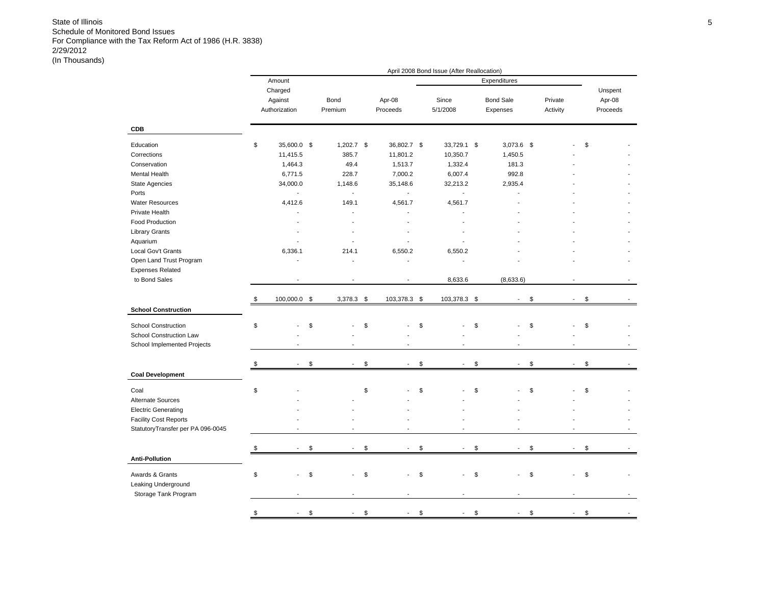|                                   |                                |                          |                      | April 2008 Bond Issue (After Reallocation) |                                |          |                          |          |
|-----------------------------------|--------------------------------|--------------------------|----------------------|--------------------------------------------|--------------------------------|----------|--------------------------|----------|
|                                   | Amount                         |                          |                      |                                            | Expenditures                   |          |                          |          |
|                                   | Charged                        |                          |                      |                                            |                                |          |                          | Unspent  |
|                                   | Against                        | Bond                     | Apr-08               | Since                                      | <b>Bond Sale</b>               | Private  |                          | Apr-08   |
|                                   | Authorization                  | Premium                  | Proceeds             | 5/1/2008                                   | Expenses                       | Activity |                          | Proceeds |
|                                   |                                |                          |                      |                                            |                                |          |                          |          |
| <b>CDB</b>                        |                                |                          |                      |                                            |                                |          |                          |          |
| Education                         | \$<br>35,600.0 \$              | $1,202.7$ \$             | 36,802.7 \$          | 33,729.1 \$                                | 3,073.6 \$                     |          |                          | \$       |
| Corrections                       | 11,415.5                       | 385.7                    | 11,801.2             | 10,350.7                                   | 1,450.5                        |          |                          |          |
|                                   |                                |                          |                      |                                            |                                |          |                          |          |
| Conservation                      | 1,464.3                        | 49.4                     | 1,513.7              | 1,332.4                                    | 181.3                          |          |                          |          |
| Mental Health                     | 6,771.5                        | 228.7                    | 7,000.2              | 6,007.4                                    | 992.8                          |          |                          |          |
| State Agencies                    | 34,000.0                       | 1,148.6                  | 35,148.6             | 32,213.2                                   | 2,935.4                        |          |                          |          |
| Ports                             | $\overline{a}$                 | $\overline{\phantom{a}}$ | $\mathcal{L}$        | $\overline{a}$                             |                                |          |                          |          |
| <b>Water Resources</b>            | 4,412.6                        | 149.1                    | 4,561.7              | 4,561.7                                    |                                |          |                          |          |
| Private Health                    |                                |                          |                      |                                            |                                |          |                          |          |
| <b>Food Production</b>            |                                |                          |                      |                                            |                                |          |                          |          |
| <b>Library Grants</b>             |                                |                          |                      |                                            |                                |          |                          |          |
| Aquarium                          |                                |                          | ÷.                   |                                            |                                |          |                          |          |
| Local Gov't Grants                | 6,336.1                        | 214.1                    | 6,550.2              | 6,550.2                                    |                                |          |                          |          |
| Open Land Trust Program           |                                |                          | $\overline{a}$       | J.                                         |                                |          |                          |          |
| <b>Expenses Related</b>           |                                |                          |                      |                                            |                                |          |                          |          |
| to Bond Sales                     |                                |                          |                      | 8,633.6                                    | (8,633.6)                      |          |                          |          |
|                                   |                                |                          |                      |                                            |                                |          |                          |          |
|                                   | \$<br>100,000.0 \$             | $3,378.3$ \$             | 103,378.3 \$         | 103,378.3 \$                               | $\overline{\phantom{a}}$       | \$       | $\overline{\phantom{a}}$ | \$       |
| <b>School Construction</b>        |                                |                          |                      |                                            |                                |          |                          |          |
| <b>School Construction</b>        | \$                             | \$                       | \$                   | \$                                         | \$                             | \$       |                          | \$       |
| School Construction Law           |                                |                          |                      |                                            |                                |          |                          |          |
| School Implemented Projects       |                                |                          |                      |                                            |                                |          |                          |          |
|                                   |                                |                          |                      |                                            |                                |          |                          |          |
|                                   | \$<br>$\overline{\phantom{a}}$ | \$<br>$\sim$             | \$<br>$\blacksquare$ | \$<br>$\overline{\phantom{a}}$             | \$<br>$\overline{\phantom{a}}$ | \$       | $\overline{\phantom{a}}$ | \$       |
| <b>Coal Development</b>           |                                |                          |                      |                                            |                                |          |                          |          |
| Coal                              | \$                             |                          | \$                   | \$                                         | \$                             | \$       |                          | \$       |
| <b>Alternate Sources</b>          |                                |                          |                      |                                            |                                |          |                          |          |
|                                   |                                |                          |                      |                                            |                                |          |                          |          |
| <b>Electric Generating</b>        |                                |                          |                      |                                            |                                |          |                          |          |
| <b>Facility Cost Reports</b>      |                                |                          |                      |                                            |                                |          |                          |          |
| StatutoryTransfer per PA 096-0045 |                                |                          |                      |                                            |                                |          |                          |          |
|                                   | \$<br>$\overline{\phantom{a}}$ | \$<br>$\sim$             | \$<br>$\sim$         | \$<br>$\overline{\phantom{a}}$             | \$<br>$\sim$                   | \$       | $\mathbf{r}$             | \$       |
| <b>Anti-Pollution</b>             |                                |                          |                      |                                            |                                |          |                          |          |
|                                   |                                |                          |                      |                                            |                                |          |                          |          |
| Awards & Grants                   | \$                             | \$                       | \$                   | \$                                         | \$                             | \$       |                          | \$       |
| Leaking Underground               |                                |                          |                      |                                            |                                |          |                          |          |
| Storage Tank Program              |                                |                          |                      |                                            |                                |          |                          |          |
|                                   |                                |                          |                      |                                            |                                |          |                          |          |
|                                   | \$<br>$\overline{a}$           | \$                       | \$                   | \$                                         | \$                             | \$       |                          | \$       |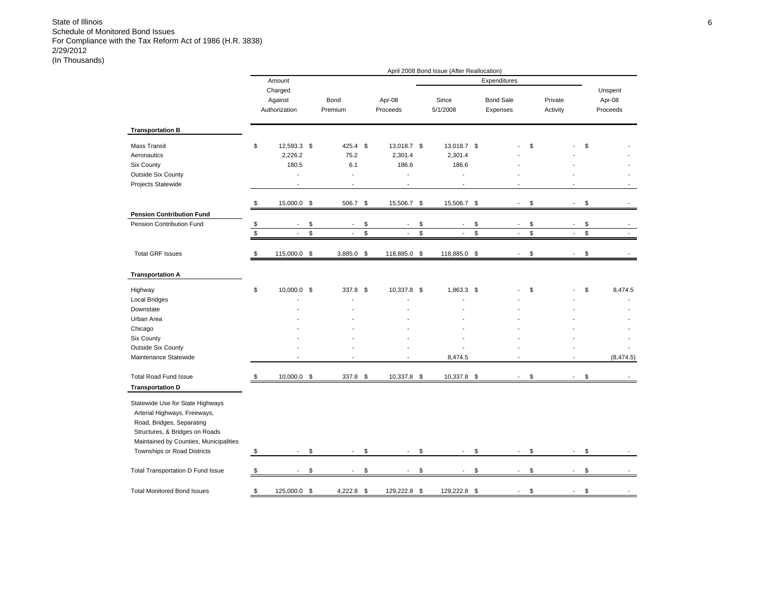|                                                                                                                                                                           |             |                                     |                                |                                | April 2008 Bond Issue (After Reallocation) |                                |                     |                          |                               |
|---------------------------------------------------------------------------------------------------------------------------------------------------------------------------|-------------|-------------------------------------|--------------------------------|--------------------------------|--------------------------------------------|--------------------------------|---------------------|--------------------------|-------------------------------|
|                                                                                                                                                                           |             | Amount                              |                                |                                |                                            | Expenditures                   |                     |                          |                               |
|                                                                                                                                                                           |             | Charged<br>Against<br>Authorization | Bond<br>Premium                | Apr-08<br>Proceeds             | Since<br>5/1/2008                          | <b>Bond Sale</b><br>Expenses   | Private<br>Activity |                          | Unspent<br>Apr-08<br>Proceeds |
| <b>Transportation B</b>                                                                                                                                                   |             |                                     |                                |                                |                                            |                                |                     |                          |                               |
| <b>Mass Transit</b><br>Aeronautics                                                                                                                                        | \$          | 12,593.3 \$<br>2,226.2              | 425.4 \$<br>75.2               | 13,018.7 \$<br>2,301.4         | 13,018.7 \$<br>2,301.4                     |                                | \$                  |                          | \$                            |
| Six County                                                                                                                                                                |             | 180.5                               | 6.1                            | 186.6                          | 186.6                                      |                                |                     |                          |                               |
| <b>Outside Six County</b>                                                                                                                                                 |             | $\overline{a}$                      | $\overline{a}$                 | J.                             |                                            |                                |                     |                          |                               |
| Projects Statewide                                                                                                                                                        |             | ÷.                                  | $\overline{a}$                 | $\overline{a}$                 | ÷                                          |                                |                     |                          |                               |
|                                                                                                                                                                           | \$          | 15,000.0 \$                         | 506.7                          | \$<br>15,506.7                 | \$<br>15,506.7                             | \$<br>$\overline{a}$           | \$                  | $\overline{a}$           | \$                            |
| <b>Pension Contribution Fund</b>                                                                                                                                          |             |                                     |                                |                                |                                            |                                |                     |                          |                               |
| Pension Contribution Fund                                                                                                                                                 | \$          | $\overline{\phantom{a}}$            | \$<br>$\overline{\phantom{a}}$ | \$<br>$\overline{\phantom{a}}$ | \$<br>$\blacksquare$                       | \$<br>$\overline{\phantom{a}}$ | \$                  | $\overline{\phantom{a}}$ | \$                            |
|                                                                                                                                                                           | $\mathbb S$ | $\overline{a}$                      | \$<br>$\sim$                   | \$<br>$\mathbf{r}$             | \$<br>$\mathbf{r}$                         | \$<br>$\overline{\phantom{a}}$ | \$                  | $\overline{\phantom{a}}$ | \$<br>$\overline{a}$          |
| <b>Total GRF Issues</b>                                                                                                                                                   | \$          | 115,000.0                           | \$<br>3,885.0                  | \$<br>118,885.0                | \$<br>118,885.0                            | \$                             | \$                  |                          | \$                            |
| <b>Transportation A</b>                                                                                                                                                   |             |                                     |                                |                                |                                            |                                |                     |                          |                               |
| Highway                                                                                                                                                                   | \$          | 10,000.0 \$                         | 337.8 \$                       | 10,337.8 \$                    | 1,863.3 \$                                 |                                | \$                  |                          | \$<br>8,474.5                 |
| <b>Local Bridges</b>                                                                                                                                                      |             |                                     |                                |                                |                                            |                                |                     |                          |                               |
| Downstate                                                                                                                                                                 |             |                                     |                                |                                |                                            |                                |                     |                          |                               |
| Urban Area                                                                                                                                                                |             |                                     |                                |                                |                                            |                                |                     |                          |                               |
| Chicago                                                                                                                                                                   |             |                                     |                                |                                |                                            |                                |                     |                          |                               |
| Six County                                                                                                                                                                |             |                                     |                                |                                |                                            |                                |                     |                          |                               |
| <b>Outside Six County</b>                                                                                                                                                 |             |                                     |                                |                                |                                            |                                |                     |                          |                               |
| Maintenance Statewide                                                                                                                                                     |             |                                     |                                |                                | 8,474.5                                    |                                |                     |                          | (8, 474.5)                    |
| <b>Total Road Fund Issue</b>                                                                                                                                              | \$          | 10,000.0 \$                         | 337.8 \$                       | 10,337.8 \$                    | 10,337.8 \$                                | $\blacksquare$                 | \$                  | $\blacksquare$           | \$                            |
| <b>Transportation D</b>                                                                                                                                                   |             |                                     |                                |                                |                                            |                                |                     |                          |                               |
| Statewide Use for State Highways<br>Arterial Highways, Freeways,<br>Road, Bridges, Separating<br>Structures, & Bridges on Roads<br>Maintained by Counties, Municipalities |             |                                     |                                |                                |                                            |                                |                     |                          |                               |
| Townships or Road Districts                                                                                                                                               | \$          | $\overline{\phantom{a}}$            | \$<br>$\overline{\phantom{a}}$ | \$<br>$\overline{\phantom{a}}$ | \$<br>$\overline{\phantom{a}}$             | \$<br>$\overline{a}$           | \$                  | $\overline{\phantom{a}}$ | \$                            |
| Total Transportation D Fund Issue                                                                                                                                         | \$          | $\overline{a}$                      | \$<br>$\tilde{\phantom{a}}$    | \$<br>$\blacksquare$           | \$<br>$\blacksquare$                       | \$<br>$\overline{a}$           | \$                  | $\overline{a}$           | \$                            |
|                                                                                                                                                                           |             |                                     |                                |                                |                                            |                                |                     |                          |                               |
| <b>Total Monitored Bond Issues</b>                                                                                                                                        | \$          | 125,000.0 \$                        | 4,222.8 \$                     | 129,222.8 \$                   | 129,222.8                                  | \$                             | \$                  |                          | \$                            |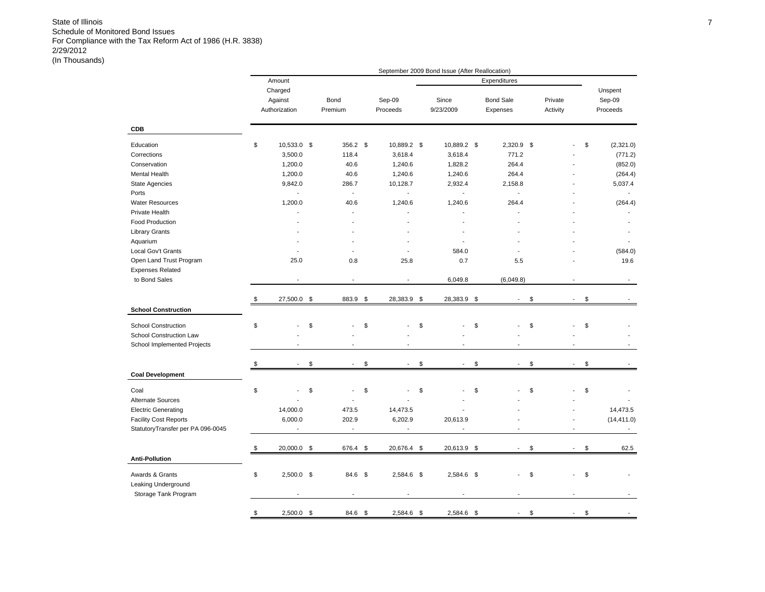|                                   |                                     |                 |                          | September 2009 Bond Issue (After Reallocation) |                                |                     |                          |                               |
|-----------------------------------|-------------------------------------|-----------------|--------------------------|------------------------------------------------|--------------------------------|---------------------|--------------------------|-------------------------------|
|                                   | Amount                              |                 |                          |                                                | Expenditures                   |                     |                          |                               |
|                                   | Charged<br>Against<br>Authorization | Bond<br>Premium | Sep-09<br>Proceeds       | Since<br>9/23/2009                             | <b>Bond Sale</b><br>Expenses   | Private<br>Activity |                          | Unspent<br>Sep-09<br>Proceeds |
| <b>CDB</b>                        |                                     |                 |                          |                                                |                                |                     |                          |                               |
| Education                         | \$<br>10,533.0 \$                   | 356.2 \$        | 10,889.2 \$              | 10,889.2 \$                                    | $2,320.9$ \$                   |                     |                          | \$<br>(2,321.0)               |
| Corrections                       | 3,500.0                             | 118.4           | 3,618.4                  | 3,618.4                                        | 771.2                          |                     |                          | (771.2)                       |
| Conservation                      | 1,200.0                             | 40.6            | 1,240.6                  | 1,828.2                                        | 264.4                          |                     |                          | (852.0)                       |
| Mental Health                     | 1,200.0                             | 40.6            | 1,240.6                  | 1,240.6                                        | 264.4                          |                     |                          | (264.4)                       |
| <b>State Agencies</b>             | 9,842.0                             | 286.7           | 10,128.7                 | 2,932.4                                        | 2,158.8                        |                     |                          | 5,037.4                       |
| Ports                             |                                     | $\mathbf{r}$    | ÷,                       | $\sim$                                         | $\mathbf{r}$                   |                     |                          |                               |
| <b>Water Resources</b>            | 1,200.0                             | 40.6            | 1,240.6                  | 1,240.6                                        | 264.4                          |                     |                          | (264.4)                       |
| Private Health                    |                                     | $\overline{a}$  |                          |                                                | $\overline{a}$                 |                     |                          |                               |
| <b>Food Production</b>            |                                     |                 |                          |                                                |                                |                     |                          |                               |
| <b>Library Grants</b>             |                                     |                 |                          |                                                |                                |                     |                          |                               |
| Aquarium                          |                                     |                 |                          |                                                |                                |                     |                          |                               |
| Local Gov't Grants                |                                     |                 |                          | 584.0                                          |                                |                     |                          | (584.0)                       |
| Open Land Trust Program           | 25.0                                | 0.8             | 25.8                     | 0.7                                            | 5.5                            |                     |                          | 19.6                          |
| <b>Expenses Related</b>           |                                     |                 |                          |                                                |                                |                     |                          |                               |
| to Bond Sales                     |                                     |                 |                          | 6,049.8                                        | (6,049.8)                      |                     |                          |                               |
|                                   | \$<br>27,500.0                      | \$<br>883.9     | \$<br>28,383.9 \$        | 28,383.9                                       | \$                             | \$                  |                          | \$                            |
| <b>School Construction</b>        |                                     |                 |                          |                                                |                                |                     |                          |                               |
| <b>School Construction</b>        | \$                                  | \$              | \$                       | \$                                             | \$<br>L.                       | \$                  | L.                       | \$                            |
| School Construction Law           |                                     |                 |                          |                                                |                                |                     |                          |                               |
| School Implemented Projects       | $\overline{a}$                      |                 |                          |                                                | $\overline{a}$                 |                     | $\overline{a}$           |                               |
|                                   | \$                                  | \$              | \$<br>$\blacksquare$     | \$                                             | \$<br>$\overline{\phantom{a}}$ | \$                  | $\overline{a}$           | \$                            |
| <b>Coal Development</b>           |                                     |                 |                          |                                                |                                |                     |                          |                               |
| Coal                              | \$                                  | \$              | \$                       | \$                                             | \$                             | \$                  |                          | \$                            |
| <b>Alternate Sources</b>          |                                     |                 |                          |                                                |                                |                     |                          |                               |
| <b>Electric Generating</b>        | 14,000.0                            | 473.5           | 14,473.5                 |                                                |                                |                     |                          | 14,473.5                      |
| <b>Facility Cost Reports</b>      | 6,000.0                             | 202.9           | 6,202.9                  | 20,613.9                                       |                                |                     |                          | (14, 411.0)                   |
| StatutoryTransfer per PA 096-0045 | $\sim$                              | $\sim$          | $\overline{\phantom{a}}$ | $\blacksquare$                                 | $\blacksquare$                 |                     | $\overline{a}$           | $\sim$                        |
|                                   |                                     |                 |                          |                                                |                                |                     |                          |                               |
|                                   | \$<br>20,000.0 \$                   | 676.4 \$        | 20,676.4 \$              | 20,613.9 \$                                    | $\sim$                         | \$                  | $\overline{\phantom{a}}$ | \$<br>62.5                    |
| <b>Anti-Pollution</b>             |                                     |                 |                          |                                                |                                |                     |                          |                               |
| Awards & Grants                   | \$<br>$2,500.0$ \$                  | 84.6 \$         | 2,584.6 \$               | 2,584.6 \$                                     | $\overline{a}$                 | \$                  | $\overline{a}$           | \$                            |
| Leaking Underground               |                                     |                 |                          |                                                |                                |                     |                          |                               |
| Storage Tank Program              |                                     |                 |                          |                                                |                                |                     |                          |                               |
|                                   | \$<br>$2.500.0$ \$                  | 84.6 \$         | $2.584.6$ \$             | $2.584.6$ \$                                   |                                | \$                  |                          | \$                            |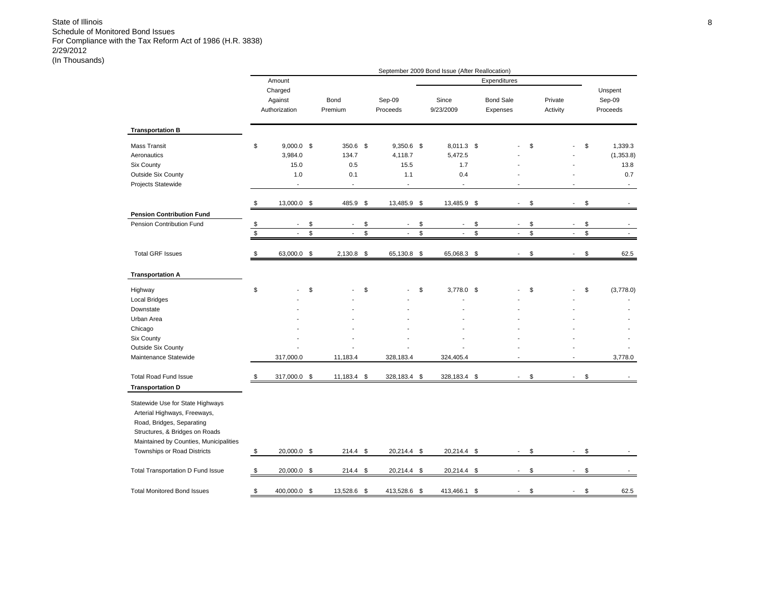|                                                                                                                                                                                                          |                                                                          |                                                             |                                                        | September 2009 Bond Issue (After Reallocation)                  |                                |                     |                          |                                                             |
|----------------------------------------------------------------------------------------------------------------------------------------------------------------------------------------------------------|--------------------------------------------------------------------------|-------------------------------------------------------------|--------------------------------------------------------|-----------------------------------------------------------------|--------------------------------|---------------------|--------------------------|-------------------------------------------------------------|
|                                                                                                                                                                                                          | Amount                                                                   |                                                             |                                                        |                                                                 | Expenditures                   |                     |                          |                                                             |
|                                                                                                                                                                                                          | Charged<br>Against<br>Authorization                                      | Bond<br>Premium                                             | Sep-09<br>Proceeds                                     | Since<br>9/23/2009                                              | <b>Bond Sale</b><br>Expenses   | Private<br>Activity |                          | Unspent<br>Sep-09<br>Proceeds                               |
| <b>Transportation B</b>                                                                                                                                                                                  |                                                                          |                                                             |                                                        |                                                                 |                                |                     |                          |                                                             |
| <b>Mass Transit</b><br>Aeronautics<br><b>Six County</b><br>Outside Six County<br>Projects Statewide                                                                                                      | \$<br>$9,000.0$ \$<br>3,984.0<br>15.0<br>1.0<br>$\overline{\phantom{a}}$ | 350.6 \$<br>134.7<br>0.5<br>0.1<br>$\overline{\phantom{a}}$ | 9,350.6 \$<br>4,118.7<br>15.5<br>1.1<br>$\overline{a}$ | 8,011.3 \$<br>5,472.5<br>1.7<br>0.4<br>$\overline{\phantom{a}}$ |                                | \$                  |                          | \$<br>1,339.3<br>(1,353.8)<br>13.8<br>0.7<br>$\blacksquare$ |
|                                                                                                                                                                                                          | \$<br>13,000.0 \$                                                        | 485.9 \$                                                    | 13,485.9 \$                                            | 13,485.9 \$                                                     | $\overline{\phantom{a}}$       | \$                  | $\overline{\phantom{a}}$ | \$                                                          |
| <b>Pension Contribution Fund</b>                                                                                                                                                                         |                                                                          |                                                             |                                                        |                                                                 |                                |                     |                          |                                                             |
| Pension Contribution Fund                                                                                                                                                                                | \$<br>$\overline{a}$                                                     | \$<br>$\overline{a}$                                        | \$<br>$\overline{a}$                                   | \$<br>$\overline{\phantom{a}}$                                  | \$<br>$\blacksquare$           | \$                  | $\overline{a}$           | \$                                                          |
|                                                                                                                                                                                                          | \$<br>$\overline{a}$                                                     | \$<br>$\overline{a}$                                        | \$<br>L.                                               | \$<br>$\blacksquare$                                            | \$<br>$\overline{\phantom{a}}$ | \$                  | ÷,                       | \$<br>$\overline{\phantom{a}}$                              |
| <b>Total GRF Issues</b>                                                                                                                                                                                  | \$<br>63,000.0 \$                                                        | $2,130.8$ \$                                                | 65,130.8                                               | \$<br>65,068.3                                                  | \$<br>$\overline{a}$           | \$                  | $\sim$                   | \$<br>62.5                                                  |
| <b>Transportation A</b>                                                                                                                                                                                  |                                                                          |                                                             |                                                        |                                                                 |                                |                     |                          |                                                             |
| Highway                                                                                                                                                                                                  | \$                                                                       | \$                                                          | \$                                                     | \$<br>3,778.0 \$                                                |                                | \$                  |                          | \$<br>(3,778.0)                                             |
| <b>Local Bridges</b>                                                                                                                                                                                     |                                                                          |                                                             |                                                        |                                                                 |                                |                     |                          |                                                             |
| Downstate                                                                                                                                                                                                |                                                                          |                                                             |                                                        |                                                                 |                                |                     |                          |                                                             |
| Urban Area                                                                                                                                                                                               |                                                                          |                                                             |                                                        |                                                                 |                                |                     |                          |                                                             |
| Chicago                                                                                                                                                                                                  |                                                                          |                                                             |                                                        |                                                                 |                                |                     |                          |                                                             |
| Six County                                                                                                                                                                                               |                                                                          |                                                             |                                                        |                                                                 |                                |                     |                          |                                                             |
| <b>Outside Six County</b>                                                                                                                                                                                |                                                                          |                                                             |                                                        |                                                                 |                                |                     |                          |                                                             |
| Maintenance Statewide                                                                                                                                                                                    | 317,000.0                                                                | 11,183.4                                                    | 328,183.4                                              | 324,405.4                                                       |                                |                     | ÷                        | 3,778.0                                                     |
| <b>Total Road Fund Issue</b><br><b>Transportation D</b>                                                                                                                                                  | \$<br>317,000.0                                                          | \$<br>11,183.4 \$                                           | 328,183.4 \$                                           | 328,183.4                                                       | \$<br>$\overline{\phantom{a}}$ | \$                  | $\blacksquare$           | \$                                                          |
| Statewide Use for State Highways<br>Arterial Highways, Freeways,<br>Road, Bridges, Separating<br>Structures, & Bridges on Roads<br>Maintained by Counties, Municipalities<br>Townships or Road Districts | \$<br>20,000.0 \$                                                        | $214.4$ \$                                                  | 20,214.4 \$                                            | 20,214.4 \$                                                     | $\overline{\phantom{a}}$       | \$                  | $\overline{\phantom{a}}$ | \$                                                          |
| Total Transportation D Fund Issue                                                                                                                                                                        | \$<br>20,000.0                                                           | \$<br>214.4                                                 | \$<br>20,214.4                                         | \$<br>20,214.4                                                  | \$                             | \$                  |                          | \$                                                          |
| <b>Total Monitored Bond Issues</b>                                                                                                                                                                       | \$<br>400,000.0                                                          | \$<br>13,528.6 \$                                           | 413,528.6                                              | \$<br>413,466.1                                                 | \$                             | \$                  |                          | \$<br>62.5                                                  |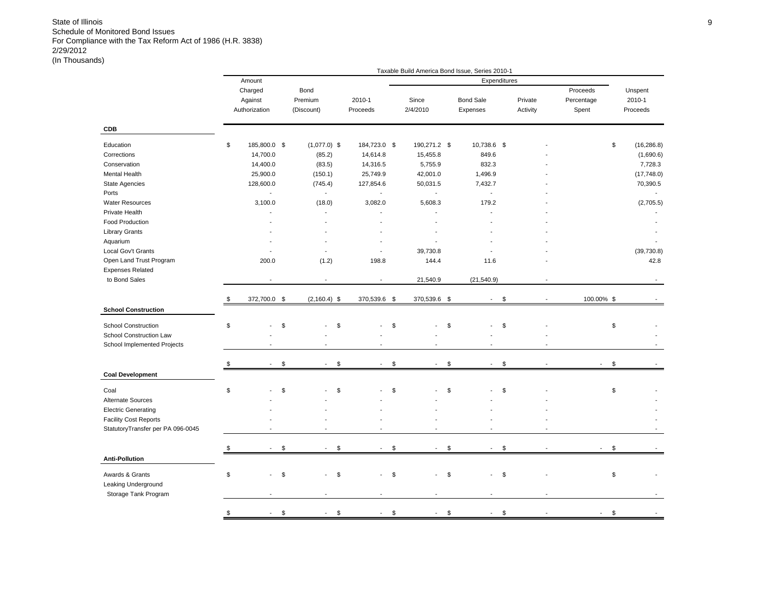|                                   |                    |                                         |                          |                          | Taxable Build America Bond Issue, Series 2010-1 |          |                           |                   |
|-----------------------------------|--------------------|-----------------------------------------|--------------------------|--------------------------|-------------------------------------------------|----------|---------------------------|-------------------|
|                                   | Amount             |                                         |                          |                          | Expenditures                                    |          |                           |                   |
|                                   | Charged            | Bond                                    |                          |                          |                                                 |          | Proceeds                  | Unspent           |
|                                   | Against            | Premium                                 | 2010-1                   | Since                    | <b>Bond Sale</b>                                | Private  | Percentage                | 2010-1            |
|                                   | Authorization      | (Discount)                              | Proceeds                 | 2/4/2010                 | Expenses                                        | Activity | Spent                     | Proceeds          |
| <b>CDB</b>                        |                    |                                         |                          |                          |                                                 |          |                           |                   |
| Education                         | \$<br>185,800.0 \$ | $(1,077.0)$ \$                          | 184,723.0 \$             | 190,271.2 \$             | 10,738.6 \$                                     |          |                           | \$<br>(16, 286.8) |
| Corrections                       | 14,700.0           | (85.2)                                  | 14,614.8                 | 15,455.8                 | 849.6                                           |          |                           | (1,690.6)         |
| Conservation                      | 14,400.0           | (83.5)                                  | 14,316.5                 | 5,755.9                  | 832.3                                           |          |                           | 7,728.3           |
| Mental Health                     | 25,900.0           | (150.1)                                 | 25,749.9                 | 42,001.0                 | 1,496.9                                         |          |                           | (17,748.0)        |
| State Agencies                    | 128,600.0          | (745.4)                                 | 127,854.6                | 50,031.5                 | 7,432.7                                         |          |                           | 70,390.5          |
| Ports                             | $\mathbf{r}$       | $\sim$                                  | $\mathbf{r}$             | $\mathbf{r}$             | $\blacksquare$                                  |          |                           |                   |
| <b>Water Resources</b>            | 3,100.0            | (18.0)                                  | 3,082.0                  | 5,608.3                  | 179.2                                           |          |                           | (2,705.5)         |
| Private Health                    |                    |                                         |                          |                          |                                                 |          |                           |                   |
| Food Production                   |                    |                                         |                          |                          |                                                 |          |                           |                   |
| <b>Library Grants</b>             |                    |                                         |                          |                          |                                                 |          |                           |                   |
| Aquarium                          |                    |                                         |                          | $\overline{\phantom{a}}$ |                                                 |          |                           |                   |
| Local Gov't Grants                |                    | $\overline{a}$                          | $\overline{\phantom{a}}$ | 39,730.8                 |                                                 |          |                           | (39, 730.8)       |
| Open Land Trust Program           | 200.0              | (1.2)                                   | 198.8                    | 144.4                    | 11.6                                            |          |                           | 42.8              |
| <b>Expenses Related</b>           |                    |                                         |                          |                          |                                                 |          |                           |                   |
| to Bond Sales                     |                    |                                         | ÷,                       | 21,540.9                 | (21, 540.9)                                     |          |                           |                   |
|                                   |                    |                                         |                          |                          |                                                 |          |                           |                   |
|                                   | \$<br>372,700.0 \$ | $(2, 160.4)$ \$                         | 370,539.6 \$             | 370,539.6 \$             | $\sim$                                          | \$       | 100.00% \$                |                   |
| <b>School Construction</b>        |                    |                                         |                          |                          |                                                 |          |                           |                   |
| <b>School Construction</b>        | \$                 | \$<br>\$                                |                          | \$                       | \$                                              | \$       |                           | \$                |
| School Construction Law           |                    |                                         |                          |                          |                                                 |          |                           |                   |
| School Implemented Projects       |                    | $\overline{a}$                          | $\overline{a}$           | ÷,                       | $\overline{\phantom{a}}$                        |          |                           |                   |
|                                   |                    |                                         |                          |                          |                                                 |          |                           |                   |
|                                   | \$                 | \$<br>\$                                | ÷,                       | \$<br>$\sim$             | \$                                              | \$       |                           | \$                |
| <b>Coal Development</b>           |                    |                                         |                          |                          |                                                 |          |                           |                   |
| Coal                              | \$                 | \$<br>\$                                |                          | \$                       | \$                                              | \$       |                           | \$                |
| Alternate Sources                 |                    |                                         |                          |                          |                                                 |          |                           |                   |
| <b>Electric Generating</b>        |                    |                                         |                          |                          |                                                 |          |                           |                   |
| <b>Facility Cost Reports</b>      |                    |                                         |                          |                          |                                                 |          |                           |                   |
| StatutoryTransfer per PA 096-0045 |                    | ÷                                       | ÷                        | $\overline{a}$           | ż.                                              |          |                           |                   |
|                                   |                    |                                         |                          |                          |                                                 |          |                           |                   |
|                                   | \$<br>$\sim$       | \$<br>\$<br>$\mathcal{L}_{\mathcal{A}}$ | $\sim$                   | \$<br>$\blacksquare$     | \$<br>÷.                                        | \$       | $\mathbb{L}^{\mathbb{N}}$ | \$                |
| <b>Anti-Pollution</b>             |                    |                                         |                          |                          |                                                 |          |                           |                   |
| Awards & Grants                   | \$                 | \$<br>\$                                | $\overline{a}$           | \$                       | \$                                              | \$       |                           | \$                |
| Leaking Underground               |                    |                                         |                          |                          |                                                 |          |                           |                   |
| Storage Tank Program              |                    |                                         |                          |                          |                                                 |          |                           |                   |
|                                   |                    |                                         |                          |                          |                                                 |          |                           |                   |
|                                   | \$<br>$\sim$       | \$<br>\$<br>$\overline{\phantom{a}}$    | $\blacksquare$           | \$<br>$\sim$             | \$<br>$\overline{\phantom{a}}$                  | \$       | $\overline{\phantom{a}}$  | \$                |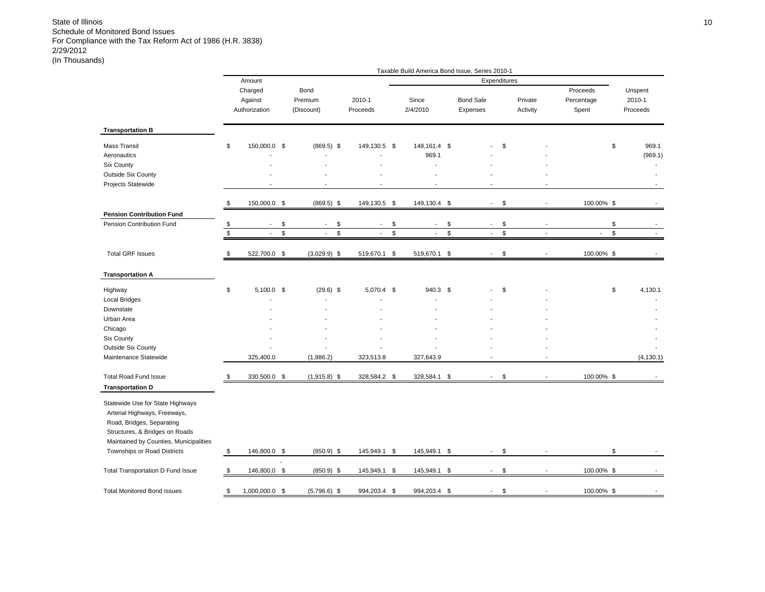|                                                                                                                                                                           |              |                                     |              |                               |                           |               | Taxable Build America Bond Issue, Series 2010-1 |             |                              |              |                          |                                 |                               |
|---------------------------------------------------------------------------------------------------------------------------------------------------------------------------|--------------|-------------------------------------|--------------|-------------------------------|---------------------------|---------------|-------------------------------------------------|-------------|------------------------------|--------------|--------------------------|---------------------------------|-------------------------------|
|                                                                                                                                                                           |              | Amount                              |              |                               |                           |               |                                                 |             | Expenditures                 |              |                          |                                 |                               |
|                                                                                                                                                                           |              | Charged<br>Against<br>Authorization |              | Bond<br>Premium<br>(Discount) | 2010-1<br>Proceeds        |               | Since<br>2/4/2010                               |             | <b>Bond Sale</b><br>Expenses |              | Private<br>Activity      | Proceeds<br>Percentage<br>Spent | Unspent<br>2010-1<br>Proceeds |
| <b>Transportation B</b>                                                                                                                                                   |              |                                     |              |                               |                           |               |                                                 |             |                              |              |                          |                                 |                               |
| Mass Transit                                                                                                                                                              | \$           | 150,000.0 \$                        |              | $(869.5)$ \$                  | 149,130.5 \$              |               | 148, 161.4 \$                                   |             |                              | \$           |                          |                                 | \$<br>969.1                   |
| Aeronautics                                                                                                                                                               |              |                                     |              |                               |                           |               | 969.1                                           |             |                              |              |                          |                                 | (969.1)                       |
| <b>Six County</b>                                                                                                                                                         |              |                                     |              |                               |                           |               | J.                                              |             |                              |              |                          |                                 |                               |
| <b>Outside Six County</b>                                                                                                                                                 |              |                                     |              |                               |                           |               |                                                 |             |                              |              |                          |                                 |                               |
| Projects Statewide                                                                                                                                                        |              |                                     |              |                               |                           |               |                                                 |             |                              |              |                          |                                 |                               |
|                                                                                                                                                                           | \$           | 150,000.0 \$                        |              | $(869.5)$ \$                  | 149,130.5 \$              |               | 149,130.4 \$                                    |             | $\sim$                       | \$           | $\blacksquare$           | 100.00% \$                      |                               |
| <b>Pension Contribution Fund</b>                                                                                                                                          |              |                                     |              |                               |                           |               |                                                 |             |                              |              |                          |                                 |                               |
| Pension Contribution Fund                                                                                                                                                 | \$           | $\blacksquare$                      | \$           | \$<br>$\blacksquare$          | $\overline{\phantom{a}}$  | \$            | $\overline{\phantom{a}}$                        | \$          | $\overline{\phantom{a}}$     | \$           | $\blacksquare$           |                                 | \$                            |
|                                                                                                                                                                           | $\mathbb{S}$ | $\mathbf{r}$                        | $\mathbb{S}$ | \$<br>$\mathbf{r}$            | $\mathbb{Z}^{\mathbb{Z}}$ | $\mathfrak s$ | $\blacksquare$                                  | $\mathbb S$ | $\blacksquare$               | $\mathbb{S}$ | $\overline{a}$           | $\mathcal{L}_{\mathcal{A}}$     | $\mathfrak{S}$                |
| <b>Total GRF Issues</b>                                                                                                                                                   | \$           | 522,700.0 \$                        |              | $(3,029.9)$ \$                | 519,670.1 \$              |               | 519,670.1 \$                                    |             |                              | \$           |                          | 100.00% \$                      |                               |
| <b>Transportation A</b>                                                                                                                                                   |              |                                     |              |                               |                           |               |                                                 |             |                              |              |                          |                                 |                               |
| Highway                                                                                                                                                                   | \$           | $5,100.0$ \$                        |              | $(29.6)$ \$                   | 5,070.4 \$                |               | 940.3 \$                                        |             |                              | \$           |                          |                                 | \$<br>4,130.1                 |
| <b>Local Bridges</b>                                                                                                                                                      |              |                                     |              |                               |                           |               |                                                 |             |                              |              |                          |                                 |                               |
| Downstate                                                                                                                                                                 |              |                                     |              |                               |                           |               |                                                 |             |                              |              |                          |                                 |                               |
| Urban Area                                                                                                                                                                |              |                                     |              |                               |                           |               |                                                 |             |                              |              |                          |                                 |                               |
| Chicago                                                                                                                                                                   |              |                                     |              |                               |                           |               |                                                 |             |                              |              |                          |                                 |                               |
| Six County                                                                                                                                                                |              |                                     |              |                               |                           |               |                                                 |             |                              |              |                          |                                 |                               |
| <b>Outside Six County</b>                                                                                                                                                 |              |                                     |              |                               |                           |               |                                                 |             |                              |              |                          |                                 |                               |
| Maintenance Statewide                                                                                                                                                     |              | 325,400.0                           |              | (1,886.2)                     | 323,513.8                 |               | 327,643.9                                       |             |                              |              |                          |                                 | (4, 130.1)                    |
| <b>Total Road Fund Issue</b>                                                                                                                                              | \$           | 330,500.0 \$                        |              | $(1,915.8)$ \$                | 328,584.2 \$              |               | 328,584.1 \$                                    |             |                              | \$           |                          | 100.00% \$                      |                               |
| <b>Transportation D</b>                                                                                                                                                   |              |                                     |              |                               |                           |               |                                                 |             |                              |              |                          |                                 |                               |
| Statewide Use for State Highways<br>Arterial Highways, Freeways,<br>Road, Bridges, Separating<br>Structures, & Bridges on Roads<br>Maintained by Counties, Municipalities |              |                                     |              |                               |                           |               |                                                 |             |                              |              |                          |                                 |                               |
| Townships or Road Districts                                                                                                                                               | \$           | 146,800.0 \$                        |              | $(850.9)$ \$                  | 145,949.1 \$              |               | 145,949.1 \$                                    |             | $\sim$                       | \$           |                          |                                 | \$                            |
| Total Transportation D Fund Issue                                                                                                                                         | \$           | 146,800.0 \$                        |              | $(850.9)$ \$                  | 145,949.1                 | \$            | 145,949.1                                       | \$          | $\sim$                       | \$           | $\overline{\phantom{a}}$ | 100.00% \$                      |                               |
| <b>Total Monitored Bond Issues</b>                                                                                                                                        | \$           | 1,000,000.0 \$                      |              | $(5,796.6)$ \$                | 994,203.4 \$              |               | 994,203.4 \$                                    |             |                              | \$           |                          | 100.00% \$                      |                               |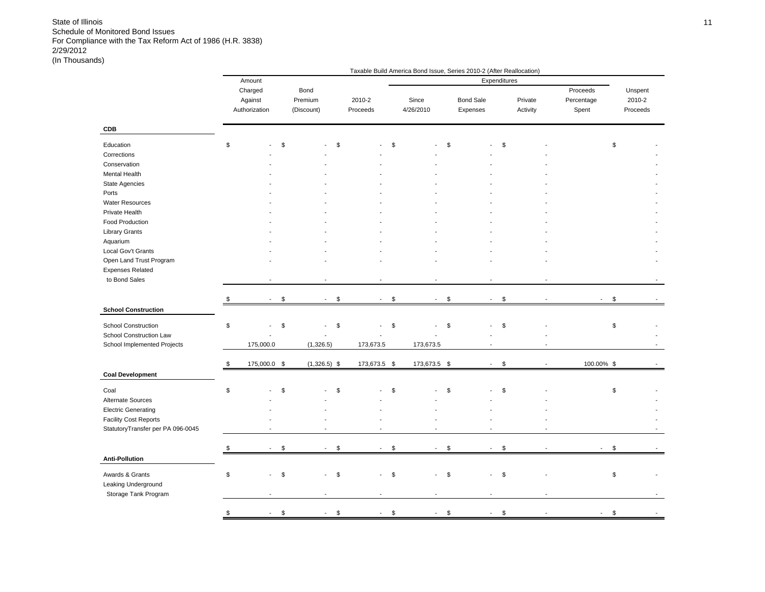|                                   |               |                          |                |                |                                | Taxable Build America Bond Issue, Series 2010-2 (After Reallocation) |                  |              |                          |                          |          |  |
|-----------------------------------|---------------|--------------------------|----------------|----------------|--------------------------------|----------------------------------------------------------------------|------------------|--------------|--------------------------|--------------------------|----------|--|
|                                   |               | Amount                   |                |                |                                |                                                                      |                  | Expenditures |                          |                          |          |  |
|                                   |               | Charged                  |                | Bond           |                                |                                                                      |                  |              |                          | Proceeds                 | Unspent  |  |
|                                   |               | Against                  |                | Premium        | 2010-2                         | Since                                                                | <b>Bond Sale</b> |              | Private                  | Percentage               | 2010-2   |  |
|                                   |               | Authorization            |                | (Discount)     | Proceeds                       | 4/26/2010                                                            | Expenses         |              | Activity                 | Spent                    | Proceeds |  |
| CDB                               |               |                          |                |                |                                |                                                                      |                  |              |                          |                          |          |  |
| Education                         | $\mathfrak s$ |                          | $\mathfrak{S}$ |                | \$                             | \$                                                                   | \$               | \$           |                          |                          | \$       |  |
| Corrections                       |               |                          |                |                |                                |                                                                      |                  |              |                          |                          |          |  |
| Conservation                      |               |                          |                |                |                                |                                                                      |                  |              |                          |                          |          |  |
| Mental Health                     |               |                          |                |                |                                |                                                                      |                  |              |                          |                          |          |  |
| <b>State Agencies</b>             |               |                          |                |                |                                |                                                                      |                  |              |                          |                          |          |  |
| Ports                             |               |                          |                |                |                                |                                                                      |                  |              |                          |                          |          |  |
| <b>Water Resources</b>            |               |                          |                |                |                                |                                                                      |                  |              |                          |                          |          |  |
| Private Health                    |               |                          |                |                |                                |                                                                      |                  |              |                          |                          |          |  |
| Food Production                   |               |                          |                |                |                                |                                                                      |                  |              |                          |                          |          |  |
| <b>Library Grants</b>             |               |                          |                |                |                                |                                                                      |                  |              |                          |                          |          |  |
| Aquarium                          |               |                          |                |                |                                |                                                                      |                  |              |                          |                          |          |  |
| Local Gov't Grants                |               |                          |                |                |                                |                                                                      |                  |              |                          |                          |          |  |
|                                   |               |                          |                |                |                                |                                                                      |                  |              |                          |                          |          |  |
| Open Land Trust Program           |               |                          |                |                |                                |                                                                      |                  |              |                          |                          |          |  |
| <b>Expenses Related</b>           |               |                          |                |                |                                |                                                                      |                  |              |                          |                          |          |  |
| to Bond Sales                     |               |                          |                |                |                                |                                                                      |                  |              |                          |                          |          |  |
|                                   |               |                          |                |                |                                |                                                                      |                  |              |                          |                          |          |  |
|                                   |               | $\overline{\phantom{a}}$ | \$             | $\blacksquare$ | \$<br>$\sim$                   | \$<br>$\sim$                                                         | \$<br>$\sim$     | \$           | $\overline{\phantom{a}}$ | $\overline{\phantom{a}}$ | \$       |  |
| <b>School Construction</b>        |               |                          |                |                |                                |                                                                      |                  |              |                          |                          |          |  |
| School Construction               | $\mathfrak s$ |                          | \$             |                | $\overline{a}$                 | \$                                                                   | \$               | \$           |                          |                          | \$       |  |
|                                   |               |                          |                |                | \$                             |                                                                      |                  |              |                          |                          |          |  |
| School Construction Law           |               |                          |                |                |                                |                                                                      |                  |              |                          |                          |          |  |
| School Implemented Projects       |               | 175,000.0                |                | (1,326.5)      | 173,673.5                      | 173,673.5                                                            |                  |              |                          |                          |          |  |
|                                   | \$            | 175,000.0 \$             |                | $(1,326.5)$ \$ | 173,673.5 \$                   | 173,673.5 \$                                                         | $\sim$           | \$           |                          | 100.00% \$               |          |  |
| <b>Coal Development</b>           |               |                          |                |                |                                |                                                                      |                  |              |                          |                          |          |  |
|                                   |               |                          |                |                |                                |                                                                      |                  |              |                          |                          |          |  |
| Coal                              | $\mathfrak s$ |                          | \$             |                | \$                             | \$                                                                   | \$               | \$           |                          |                          | \$       |  |
| Alternate Sources                 |               |                          |                |                |                                |                                                                      |                  |              |                          |                          |          |  |
| <b>Electric Generating</b>        |               |                          |                |                |                                |                                                                      |                  |              |                          |                          |          |  |
| <b>Facility Cost Reports</b>      |               |                          |                |                |                                |                                                                      |                  |              |                          |                          |          |  |
| StatutoryTransfer per PA 096-0045 |               |                          |                |                | ÷.                             |                                                                      |                  |              |                          |                          |          |  |
|                                   |               |                          |                |                |                                |                                                                      |                  |              |                          |                          |          |  |
|                                   | \$            |                          | \$             | ÷,             | \$<br>$\overline{\phantom{a}}$ | \$<br>÷,                                                             | \$               | \$           |                          |                          | \$       |  |
| <b>Anti-Pollution</b>             |               |                          |                |                |                                |                                                                      |                  |              |                          |                          |          |  |
|                                   |               |                          |                |                |                                |                                                                      |                  |              |                          |                          |          |  |
| Awards & Grants                   | \$            |                          | \$             |                | \$<br>$\blacksquare$           | \$                                                                   | \$               | \$           |                          |                          | \$       |  |
| Leaking Underground               |               |                          |                |                |                                |                                                                      |                  |              |                          |                          |          |  |
| Storage Tank Program              |               |                          |                |                |                                |                                                                      |                  |              |                          |                          |          |  |
|                                   |               |                          |                |                |                                |                                                                      |                  |              |                          |                          |          |  |
|                                   | $\mathfrak s$ | $\sim$                   | \$             | $\blacksquare$ | \$<br>$\sim$                   | \$<br>$\blacksquare$                                                 | \$               | \$           |                          |                          | \$       |  |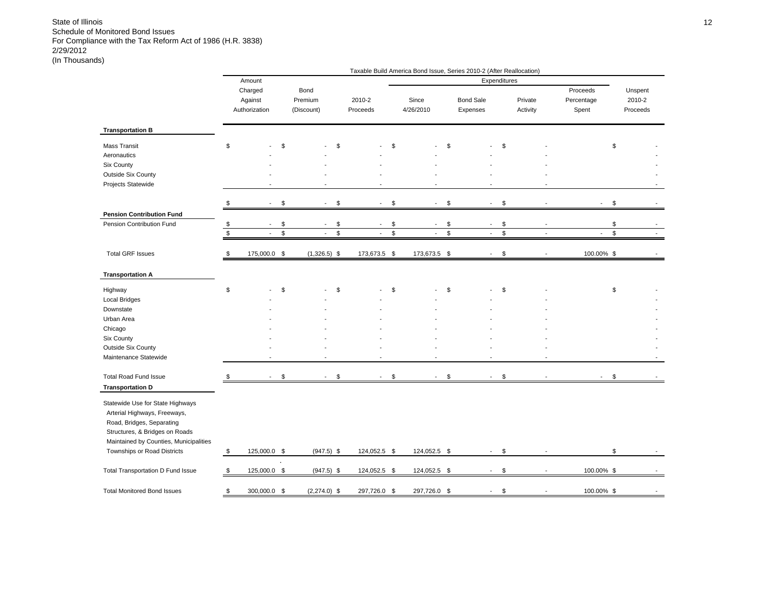|                                                                                                                                                                                                          |                      |                                     |                |                               |                                |                                |               | Taxable Build America Bond Issue, Series 2010-2 (After Reallocation) |                      |                                 |                               |
|----------------------------------------------------------------------------------------------------------------------------------------------------------------------------------------------------------|----------------------|-------------------------------------|----------------|-------------------------------|--------------------------------|--------------------------------|---------------|----------------------------------------------------------------------|----------------------|---------------------------------|-------------------------------|
|                                                                                                                                                                                                          |                      | Amount                              |                |                               |                                |                                |               | Expenditures                                                         |                      |                                 |                               |
|                                                                                                                                                                                                          |                      | Charged<br>Against<br>Authorization |                | Bond<br>Premium<br>(Discount) | 2010-2<br>Proceeds             | Since<br>4/26/2010             |               | <b>Bond Sale</b><br>Expenses                                         | Private<br>Activity  | Proceeds<br>Percentage<br>Spent | Unspent<br>2010-2<br>Proceeds |
| <b>Transportation B</b>                                                                                                                                                                                  |                      |                                     |                |                               |                                |                                |               |                                                                      |                      |                                 |                               |
| <b>Mass Transit</b><br>Aeronautics<br>Six County<br><b>Outside Six County</b><br>Projects Statewide                                                                                                      | \$                   |                                     | \$             |                               | \$                             | \$                             | \$            |                                                                      | \$                   |                                 | \$                            |
|                                                                                                                                                                                                          | \$                   | $\sim$                              | \$             | $\sim$                        | \$<br>$\sim$                   | \$<br>$\sim$                   | \$            | $\sim$                                                               | \$                   | $\sim$                          | \$                            |
| <b>Pension Contribution Fund</b><br>Pension Contribution Fund                                                                                                                                            |                      | $\blacksquare$                      | \$             | $\overline{\phantom{a}}$      | \$<br>$\overline{\phantom{a}}$ | \$<br>$\overline{\phantom{a}}$ | \$            | $\blacksquare$                                                       | \$                   |                                 | \$                            |
|                                                                                                                                                                                                          | \$<br>$$\mathbb{S}$$ | $\mathbf{r}$                        | $\mathfrak{S}$ | $\blacksquare$                | \$<br>$\blacksquare$           | \$<br>$\overline{\phantom{a}}$ | $\mathsf{\$}$ | $\overline{\phantom{a}}$                                             | \$<br>$\blacksquare$ | $\overline{\phantom{a}}$        | $\mathbb S$                   |
| <b>Total GRF Issues</b>                                                                                                                                                                                  | \$                   | 175,000.0 \$                        |                | $(1,326.5)$ \$                | 173,673.5 \$                   | 173,673.5 \$                   |               |                                                                      | \$                   | 100.00% \$                      |                               |
| <b>Transportation A</b>                                                                                                                                                                                  |                      |                                     |                |                               |                                |                                |               |                                                                      |                      |                                 |                               |
| Highway<br><b>Local Bridges</b>                                                                                                                                                                          | \$                   |                                     | \$             |                               | \$                             | \$                             | \$            |                                                                      | \$                   |                                 | \$                            |
| Downstate                                                                                                                                                                                                |                      |                                     |                |                               |                                |                                |               |                                                                      |                      |                                 |                               |
| Urban Area                                                                                                                                                                                               |                      |                                     |                |                               |                                |                                |               |                                                                      |                      |                                 |                               |
| Chicago                                                                                                                                                                                                  |                      |                                     |                |                               |                                |                                |               |                                                                      |                      |                                 |                               |
| Six County                                                                                                                                                                                               |                      |                                     |                |                               |                                |                                |               |                                                                      |                      |                                 |                               |
| Outside Six County<br>Maintenance Statewide                                                                                                                                                              |                      |                                     |                |                               |                                |                                |               |                                                                      |                      |                                 |                               |
| <b>Total Road Fund Issue</b><br><b>Transportation D</b>                                                                                                                                                  | \$                   | $\sim 10$                           | \$             | $\blacksquare$                | \$<br>$\sim$                   | \$<br>$\blacksquare$           | \$            | $\sim$                                                               | \$                   | $\blacksquare$                  | \$                            |
| Statewide Use for State Highways<br>Arterial Highways, Freeways,<br>Road, Bridges, Separating<br>Structures, & Bridges on Roads<br>Maintained by Counties, Municipalities<br>Townships or Road Districts | \$                   | 125,000.0 \$                        |                | $(947.5)$ \$                  | 124,052.5 \$                   | 124,052.5 \$                   |               | $\blacksquare$                                                       | \$                   |                                 | \$                            |
|                                                                                                                                                                                                          |                      |                                     |                |                               |                                |                                |               |                                                                      |                      |                                 |                               |
| <b>Total Transportation D Fund Issue</b>                                                                                                                                                                 | \$                   | 125,000.0 \$                        |                | $(947.5)$ \$                  | 124,052.5 \$                   | 124,052.5 \$                   |               | $\mathbf{r}$                                                         | \$                   | 100.00% \$                      |                               |
| <b>Total Monitored Bond Issues</b>                                                                                                                                                                       | \$                   | 300,000.0 \$                        |                | $(2,274.0)$ \$                | 297,726.0 \$                   | 297,726.0 \$                   |               |                                                                      | \$                   | 100.00% \$                      |                               |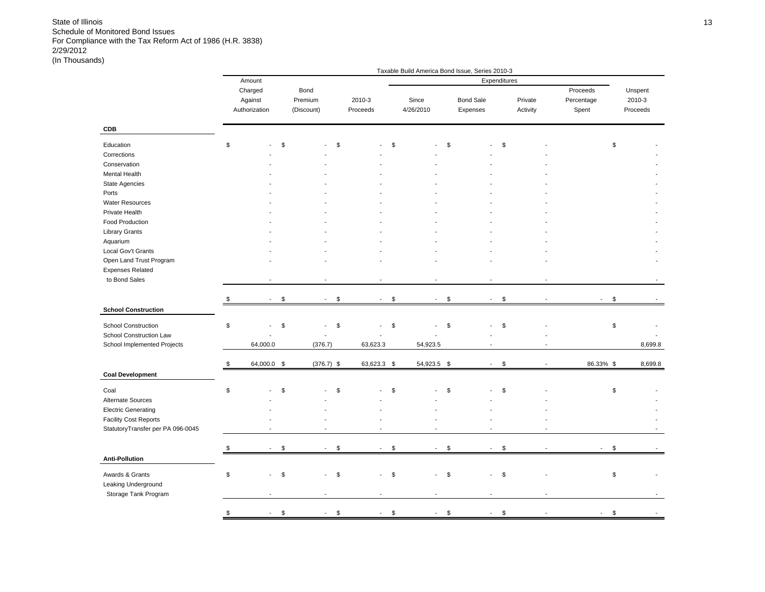|                                                                                                                                                                                                                                                                             |               |                                     |                               |                      |                            |              |                          |                | Taxable Build America Bond Issue, Series 2010-3 |              |                          |                                 |                               |
|-----------------------------------------------------------------------------------------------------------------------------------------------------------------------------------------------------------------------------------------------------------------------------|---------------|-------------------------------------|-------------------------------|----------------------|----------------------------|--------------|--------------------------|----------------|-------------------------------------------------|--------------|--------------------------|---------------------------------|-------------------------------|
|                                                                                                                                                                                                                                                                             |               | Amount                              |                               |                      |                            |              |                          |                |                                                 | Expenditures |                          |                                 |                               |
|                                                                                                                                                                                                                                                                             |               | Charged<br>Against<br>Authorization | Bond<br>Premium<br>(Discount) |                      | 2010-3<br>Proceeds         |              | Since<br>4/26/2010       |                | <b>Bond Sale</b><br>Expenses                    |              | Private<br>Activity      | Proceeds<br>Percentage<br>Spent | Unspent<br>2010-3<br>Proceeds |
| CDB                                                                                                                                                                                                                                                                         |               |                                     |                               |                      |                            |              |                          |                |                                                 |              |                          |                                 |                               |
| Education<br>Corrections<br>Conservation<br>Mental Health<br><b>State Agencies</b><br>Ports<br><b>Water Resources</b><br>Private Health<br>Food Production<br><b>Library Grants</b><br>Aquarium<br>Local Gov't Grants<br>Open Land Trust Program<br><b>Expenses Related</b> | \$            |                                     | \$                            | \$                   |                            | \$           |                          | \$             |                                                 | \$           |                          |                                 | \$                            |
| to Bond Sales                                                                                                                                                                                                                                                               |               |                                     |                               |                      |                            |              |                          |                |                                                 |              |                          |                                 |                               |
|                                                                                                                                                                                                                                                                             | S             | $\sim$                              | $\mathfrak s$                 | \$<br>$\sim$         | $\sim$                     | $\mathbb{S}$ | $\blacksquare$           | $\mathfrak{S}$ | $\sim$                                          | \$           | $\overline{\phantom{a}}$ | $\overline{\phantom{a}}$        | \$                            |
| <b>School Construction</b><br><b>School Construction</b><br>School Construction Law<br>School Implemented Projects                                                                                                                                                          | \$            | 64,000.0                            | \$                            | \$<br>(376.7)        | $\blacksquare$<br>63,623.3 | \$           | 54,923.5                 | \$             | ÷                                               | \$           |                          |                                 | \$<br>8,699.8                 |
|                                                                                                                                                                                                                                                                             | \$            | 64,000.0 \$                         |                               | $(376.7)$ \$         | 63,623.3 \$                |              | 54,923.5 \$              |                | $\sim$                                          | \$           |                          | 86.33% \$                       | 8,699.8                       |
| <b>Coal Development</b>                                                                                                                                                                                                                                                     |               |                                     |                               |                      |                            |              |                          |                |                                                 |              |                          |                                 |                               |
| Coal<br>Alternate Sources<br><b>Electric Generating</b><br><b>Facility Cost Reports</b><br>StatutoryTransfer per PA 096-0045                                                                                                                                                | \$            |                                     | \$                            | \$                   | ÷,                         | \$           | $\overline{\phantom{a}}$ | \$             |                                                 | \$           |                          |                                 | \$                            |
|                                                                                                                                                                                                                                                                             | \$            |                                     | \$                            | \$<br>$\overline{a}$ | $\blacksquare$             | \$           | $\mathbf{r}$             | \$             |                                                 | \$           |                          |                                 | \$                            |
| <b>Anti-Pollution</b>                                                                                                                                                                                                                                                       |               |                                     |                               |                      |                            |              |                          |                |                                                 |              |                          |                                 |                               |
| Awards & Grants<br>Leaking Underground<br>Storage Tank Program                                                                                                                                                                                                              | \$            |                                     | \$                            | \$                   | $\sim$                     | \$           |                          | \$             |                                                 | \$           |                          |                                 | \$                            |
|                                                                                                                                                                                                                                                                             | $\mathfrak s$ | $\sim$                              | $\mathfrak{S}$                | \$<br>$\blacksquare$ | $\sim$                     | \$           | $\blacksquare$           | \$             | $\blacksquare$                                  | \$           |                          |                                 | \$                            |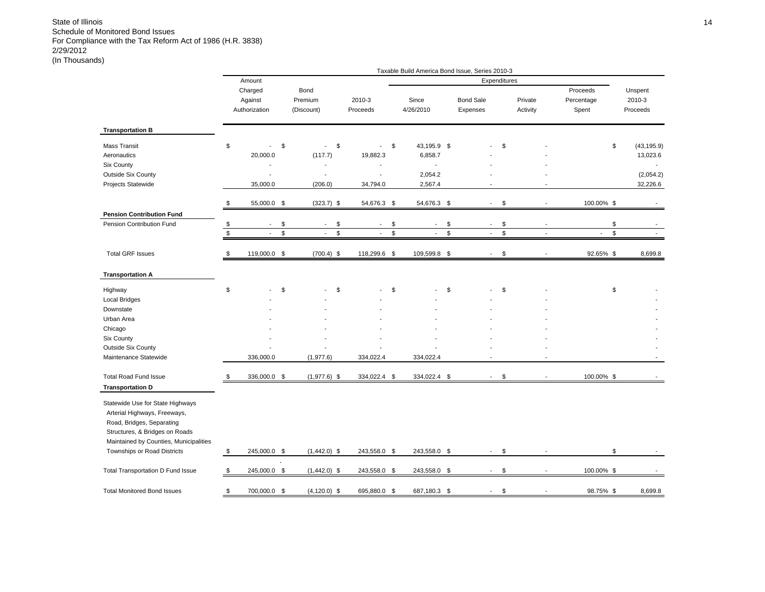|                                                                                                                                                                           |             |                |               |                                |                          |             | Taxable Build America Bond Issue, Series 2010-3 |             |                  |              |          |            |               |             |
|---------------------------------------------------------------------------------------------------------------------------------------------------------------------------|-------------|----------------|---------------|--------------------------------|--------------------------|-------------|-------------------------------------------------|-------------|------------------|--------------|----------|------------|---------------|-------------|
|                                                                                                                                                                           |             | Amount         |               |                                |                          |             |                                                 |             | Expenditures     |              |          |            |               |             |
|                                                                                                                                                                           |             | Charged        |               | Bond                           |                          |             |                                                 |             |                  |              |          | Proceeds   |               | Unspent     |
|                                                                                                                                                                           |             | Against        |               | Premium                        | 2010-3                   |             | Since                                           |             | <b>Bond Sale</b> |              | Private  | Percentage |               | 2010-3      |
|                                                                                                                                                                           |             | Authorization  |               | (Discount)                     | Proceeds                 |             | 4/26/2010                                       |             | Expenses         |              | Activity | Spent      |               | Proceeds    |
| <b>Transportation B</b>                                                                                                                                                   |             |                |               |                                |                          |             |                                                 |             |                  |              |          |            |               |             |
|                                                                                                                                                                           |             |                |               |                                |                          |             |                                                 |             |                  |              |          |            |               |             |
| <b>Mass Transit</b>                                                                                                                                                       | \$          | $\blacksquare$ | \$            | \$<br>$\overline{\phantom{a}}$ | $\overline{\phantom{a}}$ | \$          | 43,195.9 \$                                     |             |                  | \$           |          |            | \$            | (43, 195.9) |
| Aeronautics                                                                                                                                                               |             | 20,000.0       |               | (117.7)                        | 19,882.3                 |             | 6,858.7                                         |             |                  |              |          |            |               | 13,023.6    |
| Six County                                                                                                                                                                |             |                |               |                                |                          |             | $\overline{a}$                                  |             |                  |              |          |            |               |             |
| <b>Outside Six County</b>                                                                                                                                                 |             | ÷.             |               | $\overline{a}$                 | J.                       |             | 2,054.2                                         |             |                  |              |          |            |               | (2,054.2)   |
| Projects Statewide                                                                                                                                                        |             | 35,000.0       |               | (206.0)                        | 34,794.0                 |             | 2,567.4                                         |             |                  |              |          |            |               | 32,226.6    |
|                                                                                                                                                                           | \$          | 55,000.0 \$    |               | $(323.7)$ \$                   | 54,676.3 \$              |             | 54,676.3 \$                                     |             | $\sim$           | \$           |          | 100.00% \$ |               |             |
| <b>Pension Contribution Fund</b>                                                                                                                                          |             |                |               |                                |                          |             |                                                 |             |                  |              |          |            |               |             |
| Pension Contribution Fund                                                                                                                                                 | \$          | $\blacksquare$ | \$            | \$<br>$\overline{\phantom{a}}$ | $\overline{\phantom{a}}$ | \$          | $\blacksquare$                                  | \$          |                  | \$           |          |            | \$            |             |
|                                                                                                                                                                           | $\mathbb S$ |                | $\mathsf{\$}$ | \$                             |                          | $\mathbb S$ |                                                 | $\mathbb S$ |                  | $\mathbb{S}$ |          |            | $\mathsf{\$}$ |             |
| <b>Total GRF Issues</b>                                                                                                                                                   | \$          | 119,000.0 \$   |               | $(700.4)$ \$                   | 118,299.6 \$             |             | 109,599.8 \$                                    |             | $\sim$           | \$           |          | 92.65% \$  |               | 8,699.8     |
| <b>Transportation A</b>                                                                                                                                                   |             |                |               |                                |                          |             |                                                 |             |                  |              |          |            |               |             |
|                                                                                                                                                                           |             |                |               |                                |                          |             |                                                 |             |                  |              |          |            |               |             |
| Highway                                                                                                                                                                   | \$          |                | \$            | \$                             |                          | \$          |                                                 | \$          |                  | \$           |          |            | \$            |             |
| <b>Local Bridges</b>                                                                                                                                                      |             |                |               |                                |                          |             |                                                 |             |                  |              |          |            |               |             |
| Downstate                                                                                                                                                                 |             |                |               |                                |                          |             |                                                 |             |                  |              |          |            |               |             |
| Urban Area                                                                                                                                                                |             |                |               |                                |                          |             |                                                 |             |                  |              |          |            |               |             |
| Chicago                                                                                                                                                                   |             |                |               |                                |                          |             |                                                 |             |                  |              |          |            |               |             |
| Six County                                                                                                                                                                |             |                |               |                                |                          |             |                                                 |             |                  |              |          |            |               |             |
| <b>Outside Six County</b>                                                                                                                                                 |             |                |               |                                |                          |             |                                                 |             |                  |              |          |            |               |             |
| Maintenance Statewide                                                                                                                                                     |             | 336,000.0      |               | (1,977.6)                      | 334,022.4                |             | 334,022.4                                       |             |                  |              |          |            |               |             |
| <b>Total Road Fund Issue</b>                                                                                                                                              | \$          | 336,000.0 \$   |               | $(1,977.6)$ \$                 | 334,022.4 \$             |             | 334,022.4 \$                                    |             | $\sim$           | \$           |          | 100.00% \$ |               |             |
| <b>Transportation D</b>                                                                                                                                                   |             |                |               |                                |                          |             |                                                 |             |                  |              |          |            |               |             |
| Statewide Use for State Highways<br>Arterial Highways, Freeways,<br>Road, Bridges, Separating<br>Structures, & Bridges on Roads<br>Maintained by Counties, Municipalities |             |                |               |                                |                          |             |                                                 |             |                  |              |          |            |               |             |
| Townships or Road Districts                                                                                                                                               | \$          | 245,000.0 \$   |               | $(1,442.0)$ \$                 | 243,558.0 \$             |             | 243,558.0 \$                                    |             | $\sim$           | \$           |          |            | \$            |             |
|                                                                                                                                                                           |             |                |               |                                |                          |             |                                                 |             |                  |              |          |            |               |             |
| <b>Total Transportation D Fund Issue</b>                                                                                                                                  | \$          | 245,000.0 \$   |               | $(1,442.0)$ \$                 | 243,558.0 \$             |             | 243,558.0 \$                                    |             |                  | \$           |          | 100.00% \$ |               |             |
| <b>Total Monitored Bond Issues</b>                                                                                                                                        | \$          | 700,000.0 \$   |               | $(4, 120.0)$ \$                | 695,880.0 \$             |             | 687,180.3 \$                                    |             |                  | \$           |          | 98.75% \$  |               | 8,699.8     |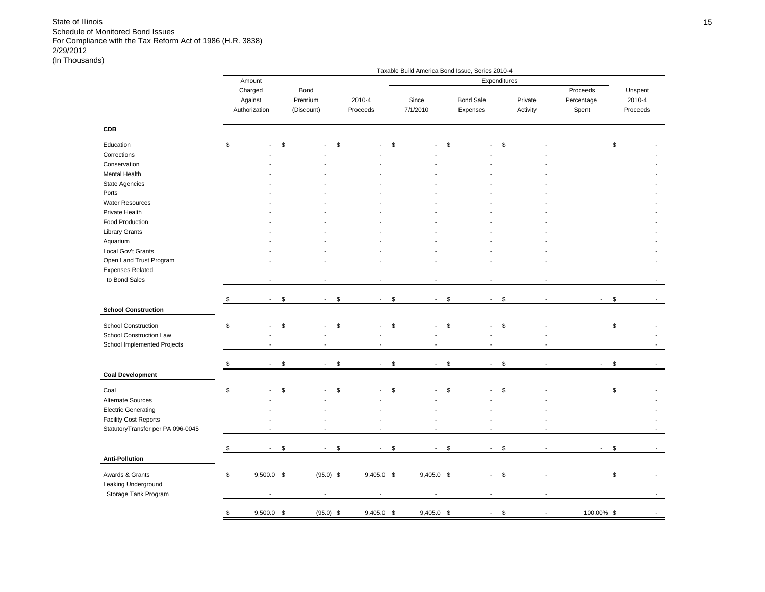|                                                                                                                                                                                                                                           |                                     |                               |                    |                   |                                | Taxable Build America Bond Issue, Series 2010-4 |                     |                                        |                               |
|-------------------------------------------------------------------------------------------------------------------------------------------------------------------------------------------------------------------------------------------|-------------------------------------|-------------------------------|--------------------|-------------------|--------------------------------|-------------------------------------------------|---------------------|----------------------------------------|-------------------------------|
|                                                                                                                                                                                                                                           | Amount                              |                               |                    |                   |                                |                                                 | Expenditures        |                                        |                               |
|                                                                                                                                                                                                                                           | Charged<br>Against<br>Authorization | Bond<br>Premium<br>(Discount) | 2010-4<br>Proceeds | Since<br>7/1/2010 |                                | <b>Bond Sale</b><br>Expenses                    | Private<br>Activity | Proceeds<br>Percentage<br>Spent        | Unspent<br>2010-4<br>Proceeds |
| CDB                                                                                                                                                                                                                                       |                                     |                               |                    |                   |                                |                                                 |                     |                                        |                               |
| Education<br>Corrections<br>Conservation<br>Mental Health<br>State Agencies<br>Ports<br><b>Water Resources</b><br>Private Health<br>Food Production<br><b>Library Grants</b><br>Aquarium<br>Local Gov't Grants<br>Open Land Trust Program | \$                                  | \$<br>\$                      | $\overline{a}$     | \$                | \$                             |                                                 | \$                  |                                        | \$                            |
| <b>Expenses Related</b>                                                                                                                                                                                                                   |                                     |                               |                    |                   |                                |                                                 |                     |                                        |                               |
| to Bond Sales                                                                                                                                                                                                                             |                                     |                               | $\overline{a}$     |                   | Ĭ.                             | $\blacksquare$                                  |                     |                                        |                               |
|                                                                                                                                                                                                                                           |                                     |                               |                    |                   |                                |                                                 |                     |                                        |                               |
| <b>School Construction</b>                                                                                                                                                                                                                | \$                                  | \$<br>\$<br>$\blacksquare$    | $\blacksquare$     | \$                | \$<br>$\blacksquare$           | $\blacksquare$                                  | \$                  |                                        | \$                            |
| School Construction<br>School Construction Law<br>School Implemented Projects                                                                                                                                                             | \$                                  | \$<br>\$                      | L,                 | \$                | \$<br>ä,                       |                                                 | \$                  |                                        | \$                            |
|                                                                                                                                                                                                                                           | \$<br>$\overline{\phantom{a}}$      | \$<br>\$<br>$\sim$            | $\sim$             | \$                | $\sqrt[6]{2}$<br>$\sim$        | $\blacksquare$                                  | \$                  | $\overline{\phantom{a}}$               | $\sqrt[6]{2}$                 |
| <b>Coal Development</b>                                                                                                                                                                                                                   |                                     |                               |                    |                   |                                |                                                 |                     |                                        |                               |
| Coal<br>Alternate Sources<br><b>Electric Generating</b><br><b>Facility Cost Reports</b><br>StatutoryTransfer per PA 096-0045                                                                                                              | \$                                  | \$<br>\$                      |                    | \$                | \$                             |                                                 | \$                  |                                        | \$                            |
|                                                                                                                                                                                                                                           | \$<br>$\overline{\phantom{a}}$      | \$<br>\$<br>$\sim$            | $\blacksquare$     | \$                | \$<br>$\overline{\phantom{a}}$ | $\sim$                                          | \$                  | $\overline{\phantom{a}}$               | \$                            |
| <b>Anti-Pollution</b>                                                                                                                                                                                                                     |                                     |                               |                    |                   |                                |                                                 |                     |                                        |                               |
| Awards & Grants<br>Leaking Underground<br>Storage Tank Program                                                                                                                                                                            | \$<br>$9,500.0$ \$                  | $(95.0)$ \$                   | $9,405.0$ \$       |                   | 9,405.0 \$                     | $\overline{\phantom{a}}$                        | \$                  |                                        | \$                            |
|                                                                                                                                                                                                                                           | \$<br>$9,500.0$ \$                  | $(95.0)$ \$                   | $9,405.0$ \$       |                   | $9,405.0$ \$                   | $\sim$                                          | \$                  | 100.00% \$<br>$\overline{\phantom{a}}$ |                               |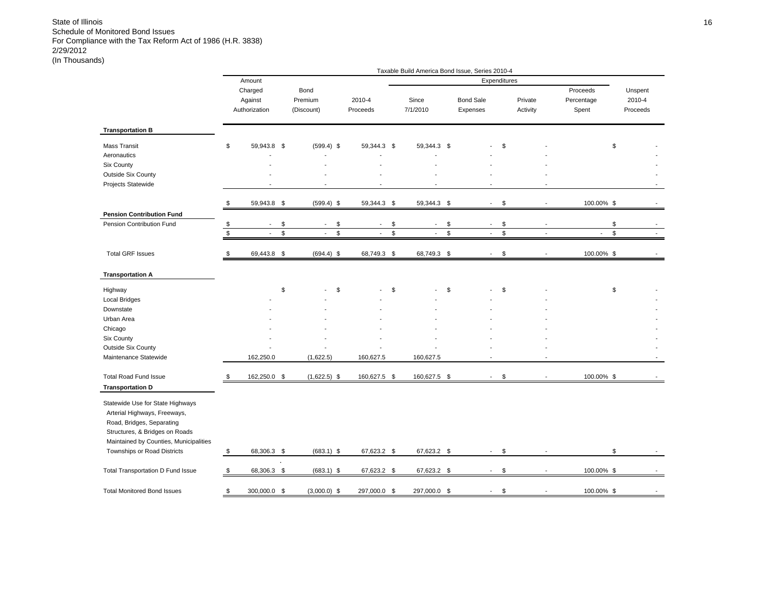|                                                                                                                                                                                                                                     |              |                                     |                                      |                    |               |                          | Taxable Build America Bond Issue, Series 2010-4 |                                |                                 |                                |
|-------------------------------------------------------------------------------------------------------------------------------------------------------------------------------------------------------------------------------------|--------------|-------------------------------------|--------------------------------------|--------------------|---------------|--------------------------|-------------------------------------------------|--------------------------------|---------------------------------|--------------------------------|
|                                                                                                                                                                                                                                     |              | Amount                              |                                      |                    |               |                          | Expenditures                                    |                                |                                 |                                |
|                                                                                                                                                                                                                                     |              | Charged<br>Against<br>Authorization | Bond<br>Premium<br>(Discount)        | 2010-4<br>Proceeds |               | Since<br>7/1/2010        | <b>Bond Sale</b><br>Expenses                    | Private<br>Activity            | Proceeds<br>Percentage<br>Spent | Unspent<br>2010-4<br>Proceeds  |
| <b>Transportation B</b>                                                                                                                                                                                                             |              |                                     |                                      |                    |               |                          |                                                 |                                |                                 |                                |
| <b>Mass Transit</b>                                                                                                                                                                                                                 | \$           | 59,943.8 \$                         | $(599.4)$ \$                         | 59,344.3 \$        |               | 59,344.3 \$              |                                                 | \$                             |                                 | \$                             |
| Aeronautics                                                                                                                                                                                                                         |              |                                     |                                      |                    |               |                          |                                                 |                                |                                 |                                |
| Six County                                                                                                                                                                                                                          |              |                                     |                                      |                    |               |                          |                                                 |                                |                                 |                                |
| <b>Outside Six County</b>                                                                                                                                                                                                           |              |                                     |                                      |                    |               |                          |                                                 |                                |                                 |                                |
| Projects Statewide                                                                                                                                                                                                                  |              |                                     |                                      |                    |               |                          |                                                 |                                |                                 |                                |
|                                                                                                                                                                                                                                     | \$           | 59,943.8 \$                         | $(599.4)$ \$                         | 59,344.3 \$        |               | 59,344.3 \$              | $\sim$                                          | \$<br>$\overline{\phantom{a}}$ | 100.00% \$                      |                                |
| <b>Pension Contribution Fund</b>                                                                                                                                                                                                    |              |                                     |                                      |                    |               |                          |                                                 |                                |                                 |                                |
| Pension Contribution Fund                                                                                                                                                                                                           | \$           | $\overline{\phantom{a}}$            | \$<br>\$<br>$\overline{\phantom{a}}$ | $\blacksquare$     | \$            | $\overline{\phantom{a}}$ | \$<br>$\sim$                                    | \$                             |                                 | \$                             |
|                                                                                                                                                                                                                                     | $\mathbb{S}$ | $\sim$                              | \$<br>\$<br>$\overline{\phantom{a}}$ | $\blacksquare$     | $\mathfrak s$ | $\overline{\phantom{a}}$ | \$<br>$\overline{\phantom{a}}$                  | \$<br>$\tilde{\phantom{a}}$    | $\overline{\phantom{a}}$        | \$<br>$\overline{\phantom{a}}$ |
| <b>Total GRF Issues</b>                                                                                                                                                                                                             | \$           | 69,443.8 \$                         | $(694.4)$ \$                         | 68,749.3 \$        |               | 68,749.3 \$              |                                                 | \$                             | 100.00% \$                      |                                |
| <b>Transportation A</b>                                                                                                                                                                                                             |              |                                     |                                      |                    |               |                          |                                                 |                                |                                 |                                |
| Highway                                                                                                                                                                                                                             |              |                                     | \$<br>\$                             |                    | \$            |                          | \$                                              | \$                             |                                 | \$                             |
| <b>Local Bridges</b>                                                                                                                                                                                                                |              |                                     |                                      |                    |               |                          |                                                 |                                |                                 |                                |
| Downstate                                                                                                                                                                                                                           |              |                                     |                                      |                    |               |                          |                                                 |                                |                                 |                                |
| Urban Area                                                                                                                                                                                                                          |              |                                     |                                      |                    |               |                          |                                                 |                                |                                 |                                |
| Chicago                                                                                                                                                                                                                             |              |                                     |                                      |                    |               |                          |                                                 |                                |                                 |                                |
| Six County                                                                                                                                                                                                                          |              |                                     |                                      |                    |               |                          |                                                 |                                |                                 |                                |
| <b>Outside Six County</b>                                                                                                                                                                                                           |              |                                     |                                      |                    |               |                          |                                                 |                                |                                 |                                |
| Maintenance Statewide                                                                                                                                                                                                               |              | 162,250.0                           | (1,622.5)                            | 160,627.5          |               | 160,627.5                |                                                 |                                |                                 |                                |
| <b>Total Road Fund Issue</b>                                                                                                                                                                                                        | \$           | 162,250.0 \$                        | $(1,622.5)$ \$                       | 160,627.5 \$       |               | 160,627.5 \$             | $\sim$                                          | \$                             | 100.00% \$                      |                                |
| <b>Transportation D</b><br>Statewide Use for State Highways<br>Arterial Highways, Freeways,<br>Road, Bridges, Separating<br>Structures, & Bridges on Roads<br>Maintained by Counties, Municipalities<br>Townships or Road Districts | \$           | 68,306.3 \$                         | $(683.1)$ \$                         | 67,623.2 \$        |               | 67,623.2 \$              | $\sim$                                          | \$                             |                                 | \$                             |
| <b>Total Transportation D Fund Issue</b>                                                                                                                                                                                            | \$           | 68,306.3 \$                         | $(683.1)$ \$                         | 67,623.2 \$        |               | 67,623.2 \$              | $\sim$                                          | \$<br>$\blacksquare$           | 100.00% \$                      |                                |
| <b>Total Monitored Bond Issues</b>                                                                                                                                                                                                  | \$           | 300,000.0 \$                        | $(3,000.0)$ \$                       | 297,000.0 \$       |               | 297,000.0 \$             |                                                 | \$                             | 100.00% \$                      |                                |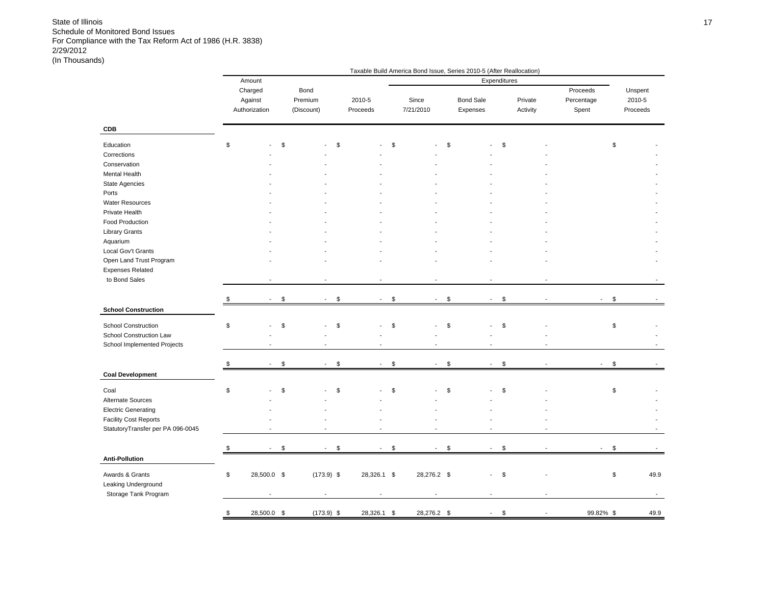|                                   |                                |                      | Taxable Build America Bond Issue, Series 2010-5 (After Reallocation) |                                |                                |              |          |            |                                |          |
|-----------------------------------|--------------------------------|----------------------|----------------------------------------------------------------------|--------------------------------|--------------------------------|--------------|----------|------------|--------------------------------|----------|
|                                   | Amount                         |                      |                                                                      |                                |                                | Expenditures |          |            |                                |          |
|                                   | Charged                        | Bond                 |                                                                      |                                |                                |              |          | Proceeds   |                                | Unspent  |
|                                   | Against                        | Premium              | 2010-5                                                               | Since                          | <b>Bond Sale</b>               |              | Private  | Percentage |                                | 2010-5   |
|                                   | Authorization                  | (Discount)           | Proceeds                                                             | 7/21/2010                      | Expenses                       |              | Activity | Spent      |                                | Proceeds |
| <b>CDB</b>                        |                                |                      |                                                                      |                                |                                |              |          |            |                                |          |
| Education                         | \$                             | \$                   | \$<br>÷                                                              | \$                             | \$                             | \$           |          |            | \$                             |          |
| Corrections                       |                                |                      |                                                                      |                                |                                |              |          |            |                                |          |
| Conservation                      |                                |                      |                                                                      |                                |                                |              |          |            |                                |          |
| Mental Health                     |                                |                      |                                                                      |                                |                                |              |          |            |                                |          |
| <b>State Agencies</b>             |                                |                      |                                                                      |                                |                                |              |          |            |                                |          |
| Ports                             |                                |                      |                                                                      |                                |                                |              |          |            |                                |          |
| <b>Water Resources</b>            |                                |                      |                                                                      |                                |                                |              |          |            |                                |          |
| Private Health                    |                                |                      |                                                                      |                                |                                |              |          |            |                                |          |
| Food Production                   |                                |                      |                                                                      |                                |                                |              |          |            |                                |          |
| <b>Library Grants</b>             |                                |                      |                                                                      |                                |                                |              |          |            |                                |          |
| Aquarium                          |                                |                      |                                                                      |                                |                                |              |          |            |                                |          |
| Local Gov't Grants                |                                |                      |                                                                      |                                |                                |              |          |            |                                |          |
| Open Land Trust Program           |                                |                      |                                                                      |                                |                                |              |          |            |                                |          |
| <b>Expenses Related</b>           |                                |                      |                                                                      |                                |                                |              |          |            |                                |          |
| to Bond Sales                     |                                |                      |                                                                      |                                |                                |              |          |            |                                |          |
|                                   |                                |                      |                                                                      |                                |                                |              |          |            |                                |          |
|                                   | \$<br>$\overline{a}$           | \$<br>a.             | \$<br>$\overline{a}$                                                 | \$<br>$\overline{\phantom{a}}$ | \$<br>$\overline{a}$           | \$           |          |            | \$<br>i.                       |          |
| <b>School Construction</b>        |                                |                      |                                                                      |                                |                                |              |          |            |                                |          |
|                                   |                                |                      |                                                                      |                                |                                |              |          |            |                                |          |
| <b>School Construction</b>        | \$                             | \$                   | \$                                                                   | \$                             | \$                             | \$           |          |            | \$                             |          |
| School Construction Law           |                                |                      |                                                                      |                                |                                |              |          |            |                                |          |
| School Implemented Projects       |                                |                      |                                                                      |                                |                                |              |          |            |                                |          |
|                                   |                                |                      |                                                                      |                                |                                |              |          |            |                                |          |
|                                   | \$<br>$\blacksquare$           | \$<br>$\blacksquare$ | \$<br>$\overline{\phantom{a}}$                                       | \$<br>$\overline{\phantom{a}}$ | \$<br>$\overline{\phantom{a}}$ | \$           |          |            | \$                             |          |
| <b>Coal Development</b>           |                                |                      |                                                                      |                                |                                |              |          |            |                                |          |
| Coal                              | \$                             | \$                   | \$                                                                   | \$                             | \$                             | \$           |          |            | \$                             |          |
| Alternate Sources                 |                                |                      |                                                                      |                                |                                |              |          |            |                                |          |
|                                   |                                |                      |                                                                      |                                |                                |              |          |            |                                |          |
| <b>Electric Generating</b>        |                                |                      |                                                                      |                                |                                |              |          |            |                                |          |
| <b>Facility Cost Reports</b>      |                                |                      |                                                                      |                                |                                |              |          |            |                                |          |
| StatutoryTransfer per PA 096-0045 |                                |                      |                                                                      |                                |                                |              |          |            |                                |          |
|                                   | \$<br>$\overline{\phantom{a}}$ | \$<br>$\blacksquare$ | \$<br>$\overline{\phantom{a}}$                                       | \$<br>$\blacksquare$           | \$<br>$\blacksquare$           | \$           |          |            | \$<br>$\overline{\phantom{a}}$ |          |
| <b>Anti-Pollution</b>             |                                |                      |                                                                      |                                |                                |              |          |            |                                |          |
| Awards & Grants                   | \$<br>28,500.0 \$              | $(173.9)$ \$         | 28,326.1 \$                                                          | 28,276.2 \$                    |                                | \$           |          |            | \$                             | 49.9     |
| Leaking Underground               |                                |                      |                                                                      |                                |                                |              |          |            |                                |          |
| Storage Tank Program              |                                |                      |                                                                      |                                |                                |              |          |            |                                |          |
|                                   |                                |                      |                                                                      |                                |                                |              |          |            |                                |          |
|                                   | \$<br>28,500.0 \$              | $(173.9)$ \$         | 28,326.1 \$                                                          | 28,276.2 \$                    | $\overline{\phantom{a}}$       | \$           |          |            | 99.82% \$                      | 49.9     |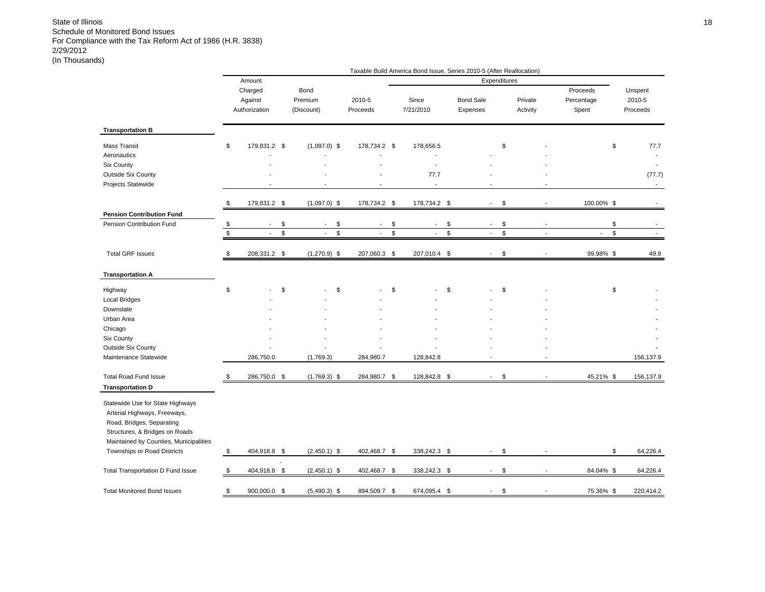|                                                                                                                                                                           |               |                                     |             |                                |                          |             | Taxable Build America Bond Issue, Series 2010-5 (After Reallocation) |               |                              |      |                          |                                 |             |                               |
|---------------------------------------------------------------------------------------------------------------------------------------------------------------------------|---------------|-------------------------------------|-------------|--------------------------------|--------------------------|-------------|----------------------------------------------------------------------|---------------|------------------------------|------|--------------------------|---------------------------------|-------------|-------------------------------|
|                                                                                                                                                                           |               | Amount                              |             |                                |                          |             |                                                                      |               | Expenditures                 |      |                          |                                 |             |                               |
|                                                                                                                                                                           |               | Charged<br>Against<br>Authorization |             | Bond<br>Premium<br>(Discount)  | 2010-5<br>Proceeds       |             | Since<br>7/21/2010                                                   |               | <b>Bond Sale</b><br>Expenses |      | Private<br>Activity      | Proceeds<br>Percentage<br>Spent |             | Unspent<br>2010-5<br>Proceeds |
| <b>Transportation B</b>                                                                                                                                                   |               |                                     |             |                                |                          |             |                                                                      |               |                              |      |                          |                                 |             |                               |
| <b>Mass Transit</b>                                                                                                                                                       | \$            | 179,831.2 \$                        |             | $(1,097.0)$ \$                 | 178,734.2 \$             |             | 178,656.5                                                            |               |                              | \$   |                          |                                 | \$          | 77.7                          |
| Aeronautics                                                                                                                                                               |               |                                     |             |                                |                          |             |                                                                      |               |                              |      |                          |                                 |             | $\overline{\phantom{a}}$      |
| <b>Six County</b>                                                                                                                                                         |               |                                     |             |                                |                          |             |                                                                      |               |                              |      |                          |                                 |             |                               |
| <b>Outside Six County</b>                                                                                                                                                 |               |                                     |             |                                |                          |             | 77.7                                                                 |               |                              |      |                          |                                 |             | (77.7)                        |
| Projects Statewide                                                                                                                                                        |               |                                     |             |                                |                          |             | $\overline{a}$                                                       |               |                              |      |                          |                                 |             | $\blacksquare$                |
|                                                                                                                                                                           | \$            | 179,831.2 \$                        |             | $(1,097.0)$ \$                 | 178,734.2 \$             |             | 178,734.2 \$                                                         |               | $\overline{\phantom{a}}$     | \$   |                          | 100.00% \$                      |             |                               |
| <b>Pension Contribution Fund</b>                                                                                                                                          |               |                                     |             |                                |                          |             |                                                                      |               |                              |      |                          |                                 |             |                               |
| Pension Contribution Fund                                                                                                                                                 | \$            | $\blacksquare$                      | \$          | \$<br>$\blacksquare$           | $\overline{\phantom{a}}$ | \$          | $\blacksquare$                                                       | \$            | $\blacksquare$               | \$   | $\overline{\phantom{a}}$ |                                 | \$          |                               |
|                                                                                                                                                                           | $\mathfrak s$ | $\mathcal{L}_{\mathcal{A}}$         | $\mathbb S$ | \$<br>$\overline{\phantom{a}}$ | $\mathcal{L}^{\pm}$      | $\mathbb S$ | $\overline{\phantom{a}}$                                             | $\mathsf{\$}$ | $\overline{a}$               | $\$$ |                          | $\overline{a}$                  | $\mathbb S$ |                               |
| <b>Total GRF Issues</b>                                                                                                                                                   | \$            | 208,331.2 \$                        |             | $(1,270.9)$ \$                 | 207,060.3 \$             |             | 207,010.4 \$                                                         |               |                              | \$   |                          | 99.98% \$                       |             | 49.9                          |
| <b>Transportation A</b>                                                                                                                                                   |               |                                     |             |                                |                          |             |                                                                      |               |                              |      |                          |                                 |             |                               |
| Highway                                                                                                                                                                   | \$            |                                     | \$          | \$                             |                          | \$          |                                                                      | \$            |                              | \$   |                          |                                 | \$          |                               |
| <b>Local Bridges</b>                                                                                                                                                      |               |                                     |             |                                |                          |             |                                                                      |               |                              |      |                          |                                 |             |                               |
| Downstate                                                                                                                                                                 |               |                                     |             |                                |                          |             |                                                                      |               |                              |      |                          |                                 |             |                               |
| Urban Area                                                                                                                                                                |               |                                     |             |                                |                          |             |                                                                      |               |                              |      |                          |                                 |             |                               |
| Chicago                                                                                                                                                                   |               |                                     |             |                                |                          |             |                                                                      |               |                              |      |                          |                                 |             |                               |
| Six County                                                                                                                                                                |               |                                     |             |                                |                          |             |                                                                      |               |                              |      |                          |                                 |             |                               |
| <b>Outside Six County</b>                                                                                                                                                 |               |                                     |             |                                |                          |             |                                                                      |               |                              |      |                          |                                 |             |                               |
| Maintenance Statewide                                                                                                                                                     |               | 286,750.0                           |             | (1,769.3)                      | 284,980.7                |             | 128,842.8                                                            |               |                              |      |                          |                                 |             | 156,137.9                     |
| <b>Total Road Fund Issue</b>                                                                                                                                              | \$            | 286,750.0 \$                        |             | $(1,769.3)$ \$                 | 284,980.7 \$             |             | 128,842.8 \$                                                         |               | $\mathcal{L}^{\mathcal{L}}$  | \$   |                          | 45.21% \$                       |             | 156,137.9                     |
| <b>Transportation D</b>                                                                                                                                                   |               |                                     |             |                                |                          |             |                                                                      |               |                              |      |                          |                                 |             |                               |
| Statewide Use for State Highways<br>Arterial Highways, Freeways,<br>Road, Bridges, Separating<br>Structures, & Bridges on Roads<br>Maintained by Counties, Municipalities |               |                                     |             |                                |                          |             |                                                                      |               |                              |      |                          |                                 |             |                               |
| Townships or Road Districts                                                                                                                                               | \$            | 404,918.8 \$                        |             | $(2,450.1)$ \$                 | 402,468.7 \$             |             | 338,242.3 \$                                                         |               | $\sim$                       | \$   |                          |                                 | \$          | 64,226.4                      |
| Total Transportation D Fund Issue                                                                                                                                         | \$            | 404,918.8 \$                        |             | $(2,450.1)$ \$                 | 402,468.7 \$             |             | 338,242.3                                                            | \$            |                              | \$   |                          | 84.04% \$                       |             | 64,226.4                      |
| <b>Total Monitored Bond Issues</b>                                                                                                                                        | \$            | 900,000.0 \$                        |             | $(5,490.3)$ \$                 | 894,509.7 \$             |             | 674,095.4 \$                                                         |               |                              | \$   |                          | 75.36% \$                       |             | 220,414.2                     |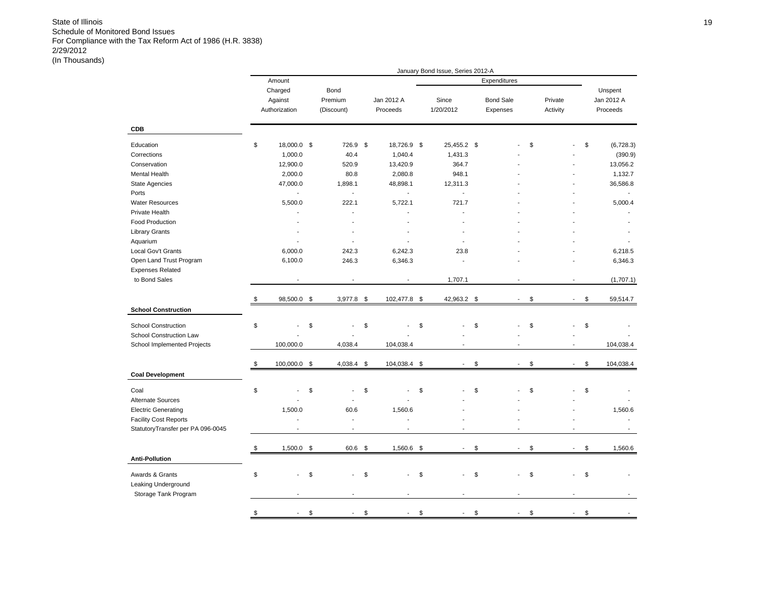|                                   |                          |              |                   | January Bond Issue, Series 2012-A |                                |          |                                |            |
|-----------------------------------|--------------------------|--------------|-------------------|-----------------------------------|--------------------------------|----------|--------------------------------|------------|
|                                   | Amount                   |              |                   |                                   | Expenditures                   |          |                                |            |
|                                   | Charged                  | Bond         |                   |                                   |                                |          |                                | Unspent    |
|                                   | Against                  | Premium      | Jan 2012 A        | Since                             | <b>Bond Sale</b>               | Private  |                                | Jan 2012 A |
|                                   | Authorization            | (Discount)   | Proceeds          | 1/20/2012                         | Expenses                       | Activity |                                | Proceeds   |
|                                   |                          |              |                   |                                   |                                |          |                                |            |
| <b>CDB</b>                        |                          |              |                   |                                   |                                |          |                                |            |
| Education                         | \$<br>18,000.0 \$        | 726.9        | \$<br>18,726.9 \$ | 25,455.2 \$                       |                                | \$       | \$                             | (6,728.3)  |
| Corrections                       | 1,000.0                  | 40.4         | 1,040.4           | 1,431.3                           |                                |          |                                | (390.9)    |
| Conservation                      | 12,900.0                 | 520.9        | 13,420.9          | 364.7                             |                                |          |                                | 13,056.2   |
| Mental Health                     | 2,000.0                  | 80.8         | 2,080.8           | 948.1                             |                                |          |                                | 1,132.7    |
| <b>State Agencies</b>             | 47,000.0                 | 1,898.1      | 48,898.1          | 12,311.3                          |                                |          |                                | 36,586.8   |
| Ports                             | $\overline{\phantom{a}}$ | $\mathbf{r}$ | $\sim$            | $\overline{\phantom{a}}$          |                                |          |                                |            |
| <b>Water Resources</b>            | 5,500.0                  | 222.1        | 5,722.1           | 721.7                             |                                |          |                                | 5,000.4    |
| Private Health                    |                          |              |                   |                                   |                                |          |                                |            |
| <b>Food Production</b>            |                          |              |                   |                                   |                                |          |                                |            |
| <b>Library Grants</b>             |                          |              |                   |                                   |                                |          |                                |            |
| Aquarium                          |                          |              |                   |                                   |                                |          |                                |            |
| Local Gov't Grants                | 6,000.0                  | 242.3        | 6,242.3           | 23.8                              |                                |          |                                | 6,218.5    |
| Open Land Trust Program           | 6,100.0                  | 246.3        | 6,346.3           | $\overline{a}$                    |                                |          |                                | 6,346.3    |
| <b>Expenses Related</b>           |                          |              |                   |                                   |                                |          |                                |            |
| to Bond Sales                     |                          |              |                   | 1,707.1                           |                                |          |                                | (1,707.1)  |
|                                   |                          |              |                   |                                   |                                |          |                                |            |
|                                   | \$<br>98,500.0 \$        | 3,977.8 \$   | 102,477.8 \$      | \$<br>42,963.2                    | $\overline{\phantom{a}}$       | \$       | \$<br>$\blacksquare$           | 59,514.7   |
| <b>School Construction</b>        |                          |              |                   |                                   |                                |          |                                |            |
| <b>School Construction</b>        | \$                       | \$           | \$                | \$                                | \$                             | \$       | \$                             |            |
| School Construction Law           |                          |              |                   |                                   |                                |          |                                |            |
| School Implemented Projects       | 100,000.0                | 4,038.4      | 104,038.4         |                                   |                                |          |                                | 104,038.4  |
|                                   |                          |              |                   |                                   |                                |          |                                |            |
| <b>Coal Development</b>           | \$<br>100,000.0 \$       | 4,038.4 \$   | 104,038.4 \$      | \$<br>$\overline{\phantom{a}}$    | $\blacksquare$                 | \$       | \$<br>$\overline{\phantom{a}}$ | 104,038.4  |
|                                   |                          |              |                   |                                   |                                |          |                                |            |
| Coal                              | \$                       | \$           | \$                | \$                                | \$                             | \$       | \$                             |            |
| Alternate Sources                 |                          |              |                   |                                   |                                |          |                                |            |
| <b>Electric Generating</b>        | 1,500.0                  | 60.6         | 1,560.6           |                                   |                                |          |                                | 1,560.6    |
| <b>Facility Cost Reports</b>      |                          | $\sim$       | L.                |                                   |                                |          |                                |            |
| StatutoryTransfer per PA 096-0045 |                          |              |                   |                                   |                                |          |                                |            |
|                                   |                          |              |                   |                                   |                                |          |                                |            |
|                                   | \$<br>$1,500.0$ \$       | 60.6         | \$<br>1,560.6 \$  | $\blacksquare$                    | \$<br>$\overline{\phantom{a}}$ | \$       | \$<br>$\blacksquare$           | 1,560.6    |
| <b>Anti-Pollution</b>             |                          |              |                   |                                   |                                |          |                                |            |
|                                   |                          |              |                   |                                   |                                |          |                                |            |
| Awards & Grants                   | \$                       | \$           | \$<br>L,          | \$<br>\$                          |                                | \$       | \$                             |            |
| Leaking Underground               |                          |              |                   |                                   |                                |          |                                |            |
| Storage Tank Program              |                          |              |                   |                                   |                                |          |                                |            |
|                                   |                          |              |                   |                                   |                                |          |                                |            |
|                                   | \$                       | \$           | \$                | \$                                | \$                             | \$       | \$                             |            |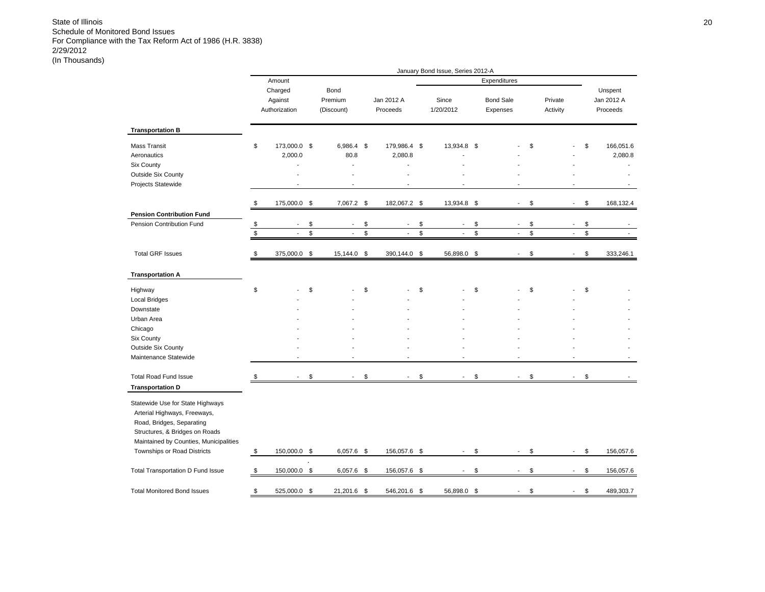|                                                                                                                                                                                                          |                           |                                          |          |                                                      |          |                                    |          | January Bond Issue, Series 2012-A                    |          |                                                      |          |                     |                                                      |          |                                   |
|----------------------------------------------------------------------------------------------------------------------------------------------------------------------------------------------------------|---------------------------|------------------------------------------|----------|------------------------------------------------------|----------|------------------------------------|----------|------------------------------------------------------|----------|------------------------------------------------------|----------|---------------------|------------------------------------------------------|----------|-----------------------------------|
|                                                                                                                                                                                                          |                           | Amount                                   |          |                                                      |          |                                    |          |                                                      |          | Expenditures                                         |          |                     |                                                      |          |                                   |
|                                                                                                                                                                                                          |                           | Charged<br>Against<br>Authorization      |          | Bond<br>Premium<br>(Discount)                        |          | Jan 2012 A<br>Proceeds             |          | Since<br>1/20/2012                                   |          | <b>Bond Sale</b><br>Expenses                         |          | Private<br>Activity |                                                      |          | Unspent<br>Jan 2012 A<br>Proceeds |
| <b>Transportation B</b>                                                                                                                                                                                  |                           |                                          |          |                                                      |          |                                    |          |                                                      |          |                                                      |          |                     |                                                      |          |                                   |
| <b>Mass Transit</b><br>Aeronautics<br><b>Six County</b><br><b>Outside Six County</b><br>Projects Statewide                                                                                               | \$                        | 173,000.0 \$<br>2,000.0<br>ä,            |          | $6,986.4$ \$<br>80.8                                 |          | 179,986.4 \$<br>2,080.8<br>L,      |          | 13,934.8 \$                                          |          |                                                      | \$       |                     |                                                      | \$       | 166,051.6<br>2,080.8              |
|                                                                                                                                                                                                          | \$                        | 175,000.0 \$                             |          | 7,067.2 \$                                           |          | 182,067.2                          | \$       | 13,934.8 \$                                          |          | $\sim$                                               | \$       |                     | $\overline{\phantom{a}}$                             | \$       | 168,132.4                         |
| <b>Pension Contribution Fund</b>                                                                                                                                                                         |                           |                                          |          |                                                      |          |                                    |          |                                                      |          |                                                      |          |                     |                                                      |          |                                   |
| Pension Contribution Fund                                                                                                                                                                                | $\pmb{\$}$<br>$\mathbb S$ | $\overline{\phantom{a}}$<br>$\mathbf{r}$ | \$<br>\$ | $\overline{\phantom{a}}$<br>$\overline{\phantom{a}}$ | \$<br>\$ | $\overline{\phantom{a}}$<br>$\sim$ | \$<br>\$ | $\overline{\phantom{a}}$<br>$\overline{\phantom{a}}$ | \$<br>\$ | $\overline{\phantom{a}}$<br>$\overline{\phantom{a}}$ | \$<br>\$ |                     | $\overline{\phantom{a}}$<br>$\overline{\phantom{a}}$ | \$<br>\$ |                                   |
| <b>Total GRF Issues</b>                                                                                                                                                                                  | \$                        | 375,000.0                                | \$       | 15,144.0                                             | \$       | 390,144.0                          | \$       | 56,898.0                                             | \$       |                                                      | \$       |                     |                                                      | \$       | 333,246.1                         |
|                                                                                                                                                                                                          |                           |                                          |          |                                                      |          |                                    |          |                                                      |          |                                                      |          |                     |                                                      |          |                                   |
| <b>Transportation A</b>                                                                                                                                                                                  |                           |                                          |          |                                                      |          |                                    |          |                                                      |          |                                                      |          |                     |                                                      |          |                                   |
| Highway                                                                                                                                                                                                  | \$                        |                                          | \$       |                                                      | \$       |                                    | \$       |                                                      | \$       |                                                      | \$       |                     |                                                      | \$       |                                   |
| <b>Local Bridges</b>                                                                                                                                                                                     |                           |                                          |          |                                                      |          |                                    |          |                                                      |          |                                                      |          |                     |                                                      |          |                                   |
| Downstate                                                                                                                                                                                                |                           |                                          |          |                                                      |          |                                    |          |                                                      |          |                                                      |          |                     |                                                      |          |                                   |
| Urban Area                                                                                                                                                                                               |                           |                                          |          |                                                      |          |                                    |          |                                                      |          |                                                      |          |                     |                                                      |          |                                   |
| Chicago                                                                                                                                                                                                  |                           |                                          |          |                                                      |          |                                    |          |                                                      |          |                                                      |          |                     |                                                      |          |                                   |
| Six County                                                                                                                                                                                               |                           |                                          |          |                                                      |          |                                    |          |                                                      |          |                                                      |          |                     |                                                      |          |                                   |
| Outside Six County<br>Maintenance Statewide                                                                                                                                                              |                           |                                          |          |                                                      |          |                                    |          |                                                      |          |                                                      |          |                     |                                                      |          |                                   |
| <b>Total Road Fund Issue</b>                                                                                                                                                                             | \$                        | $\mathbf{r}$                             | \$       | $\overline{\phantom{a}}$                             | \$       | $\overline{a}$                     | \$       | $\overline{\phantom{a}}$                             | \$       | $\overline{\phantom{a}}$                             | \$       |                     | $\overline{\phantom{a}}$                             | \$       |                                   |
| <b>Transportation D</b>                                                                                                                                                                                  |                           |                                          |          |                                                      |          |                                    |          |                                                      |          |                                                      |          |                     |                                                      |          |                                   |
| Statewide Use for State Highways<br>Arterial Highways, Freeways,<br>Road, Bridges, Separating<br>Structures, & Bridges on Roads<br>Maintained by Counties, Municipalities<br>Townships or Road Districts | \$                        | 150,000.0 \$                             |          | $6,057.6$ \$                                         |          | 156,057.6 \$                       |          | $\overline{\phantom{a}}$                             | \$       | $\overline{\phantom{a}}$                             | \$       |                     | $\blacksquare$                                       | \$       | 156,057.6                         |
|                                                                                                                                                                                                          |                           |                                          |          |                                                      |          |                                    |          | L.                                                   |          |                                                      |          |                     | $\sim$                                               |          |                                   |
| Total Transportation D Fund Issue                                                                                                                                                                        | \$                        | 150,000.0 \$                             |          | $6,057.6$ \$                                         |          | 156,057.6                          | \$       |                                                      | \$       |                                                      | \$       |                     |                                                      | \$       | 156,057.6                         |
| <b>Total Monitored Bond Issues</b>                                                                                                                                                                       | \$                        | 525,000.0 \$                             |          | 21,201.6                                             | \$       | 546,201.6                          | \$       | 56,898.0                                             | \$       |                                                      | \$       |                     |                                                      | \$       | 489,303.7                         |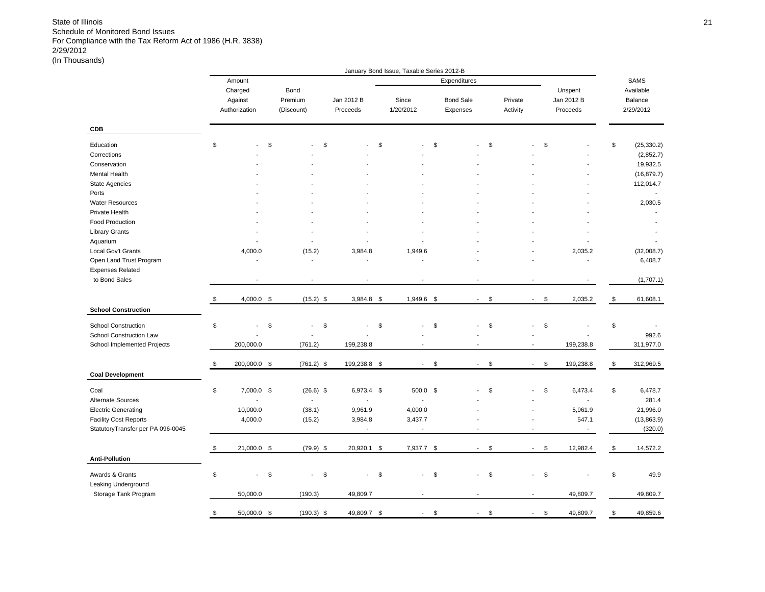|                                   |                      |            |                          |            |              | January Bond Issue, Taxable Series 2012-B |                                |          |                          |                 |                   |
|-----------------------------------|----------------------|------------|--------------------------|------------|--------------|-------------------------------------------|--------------------------------|----------|--------------------------|-----------------|-------------------|
|                                   | Amount               |            |                          |            |              |                                           | Expenditures                   |          |                          |                 | SAMS              |
|                                   | Charged              | Bond       |                          |            |              |                                           |                                |          |                          | Unspent         | Available         |
|                                   | Against              | Premium    |                          | Jan 2012 B |              | Since                                     | <b>Bond Sale</b>               | Private  |                          | Jan 2012 B      | Balance           |
|                                   | Authorization        | (Discount) |                          | Proceeds   |              | 1/20/2012                                 | Expenses                       | Activity |                          | Proceeds        | 2/29/2012         |
|                                   |                      |            |                          |            |              |                                           |                                |          |                          |                 |                   |
| <b>CDB</b>                        |                      |            |                          |            |              |                                           |                                |          |                          |                 |                   |
| Education                         | \$                   | \$         |                          | \$         |              | \$                                        | \$                             | \$       |                          | \$              | \$<br>(25, 330.2) |
| Corrections                       |                      |            |                          |            |              |                                           |                                |          |                          |                 | (2,852.7)         |
| Conservation                      |                      |            |                          |            |              |                                           |                                |          |                          |                 | 19,932.5          |
| Mental Health                     |                      |            |                          |            |              |                                           |                                |          |                          |                 | (16, 879.7)       |
| <b>State Agencies</b>             |                      |            |                          |            |              |                                           |                                |          |                          |                 | 112,014.7         |
| Ports                             |                      |            |                          |            |              |                                           |                                |          |                          |                 |                   |
| <b>Water Resources</b>            |                      |            |                          |            |              |                                           |                                |          |                          |                 | 2,030.5           |
| Private Health                    |                      |            |                          |            |              |                                           |                                |          |                          |                 |                   |
| Food Production                   |                      |            |                          |            |              |                                           |                                |          |                          |                 |                   |
| <b>Library Grants</b>             |                      |            |                          |            |              |                                           |                                |          |                          |                 |                   |
|                                   |                      |            |                          |            |              |                                           |                                |          |                          |                 |                   |
| Aquarium                          |                      |            |                          |            |              |                                           |                                |          |                          |                 |                   |
| Local Gov't Grants                | 4,000.0              |            | (15.2)                   |            | 3,984.8      | 1,949.6                                   |                                |          |                          | 2,035.2         | (32,008.7)        |
| Open Land Trust Program           | ÷,                   |            | ÷,                       |            |              | L,                                        |                                |          |                          |                 | 6,408.7           |
| <b>Expenses Related</b>           |                      |            |                          |            |              |                                           |                                |          |                          |                 |                   |
| to Bond Sales                     | $\overline{a}$       |            | $\overline{a}$           |            |              |                                           |                                |          |                          |                 | (1,707.1)         |
|                                   |                      |            |                          |            |              |                                           |                                |          |                          |                 |                   |
|                                   | \$<br>$4,000.0$ \$   |            | $(15.2)$ \$              |            | 3,984.8 \$   | 1,949.6 \$                                | $\sim$                         | \$       | $\blacksquare$           | \$<br>2,035.2   | \$<br>61,608.1    |
| <b>School Construction</b>        |                      |            |                          |            |              |                                           |                                |          |                          |                 |                   |
| <b>School Construction</b>        | \$                   | \$         | $\overline{a}$           | \$         |              | \$                                        | \$                             | \$       |                          | \$              | \$                |
| School Construction Law           |                      |            |                          |            |              |                                           |                                |          |                          |                 | 992.6             |
| School Implemented Projects       | 200,000.0            |            | (761.2)                  |            | 199,238.8    |                                           |                                |          | $\overline{\phantom{a}}$ | 199,238.8       | 311,977.0         |
|                                   |                      |            |                          |            |              |                                           |                                |          |                          |                 |                   |
|                                   | \$<br>200,000.0 \$   |            | $(761.2)$ \$             |            | 199,238.8 \$ | $\overline{\phantom{a}}$                  | \$<br>$\overline{\phantom{a}}$ | \$       | $\sim$                   | \$<br>199,238.8 | \$<br>312,969.5   |
| <b>Coal Development</b>           |                      |            |                          |            |              |                                           |                                |          |                          |                 |                   |
| Coal                              | \$<br>$7,000.0$ \$   |            | $(26.6)$ \$              |            | 6,973.4 \$   | 500.0 \$                                  |                                | \$       | ÷.                       | \$<br>6,473.4   | \$<br>6,478.7     |
| <b>Alternate Sources</b>          | $\overline{a}$       |            | $\overline{\phantom{a}}$ |            |              | $\overline{\phantom{a}}$                  |                                |          |                          |                 | 281.4             |
| <b>Electric Generating</b>        | 10,000.0             |            | (38.1)                   |            | 9,961.9      | 4,000.0                                   |                                |          |                          | 5,961.9         | 21,996.0          |
| <b>Facility Cost Reports</b>      | 4,000.0              |            | (15.2)                   |            | 3,984.8      | 3,437.7                                   |                                |          |                          | 547.1           | (13,863.9)        |
| StatutoryTransfer per PA 096-0045 |                      |            |                          |            |              | $\blacksquare$                            |                                |          |                          |                 | (320.0)           |
|                                   |                      |            |                          |            |              |                                           |                                |          |                          |                 |                   |
|                                   | \$<br>21,000.0 \$    |            | $(79.9)$ \$              |            | 20,920.1 \$  | 7,937.7 \$                                | $\mathbf{r}$                   | \$       | $\blacksquare$           | \$<br>12,982.4  | \$<br>14,572.2    |
| <b>Anti-Pollution</b>             |                      |            |                          |            |              |                                           |                                |          |                          |                 |                   |
| Awards & Grants                   | \$<br>$\overline{a}$ | \$         | $\overline{\phantom{a}}$ | \$         | $\mathbf{r}$ | \$<br>÷,                                  | \$                             | \$       | ÷,                       | \$              | \$<br>49.9        |
| Leaking Underground               |                      |            |                          |            |              |                                           |                                |          |                          |                 |                   |
| Storage Tank Program              | 50,000.0             |            | (190.3)                  |            | 49,809.7     |                                           |                                |          | $\overline{\phantom{a}}$ | 49,809.7        | 49,809.7          |
|                                   |                      |            |                          |            |              |                                           |                                |          |                          |                 |                   |
|                                   | \$<br>50,000.0 \$    |            | $(190.3)$ \$             |            | 49,809.7 \$  | $\overline{\phantom{a}}$                  | \$<br>$\blacksquare$           | \$       | $\tilde{\phantom{a}}$    | \$<br>49,809.7  | \$<br>49,859.6    |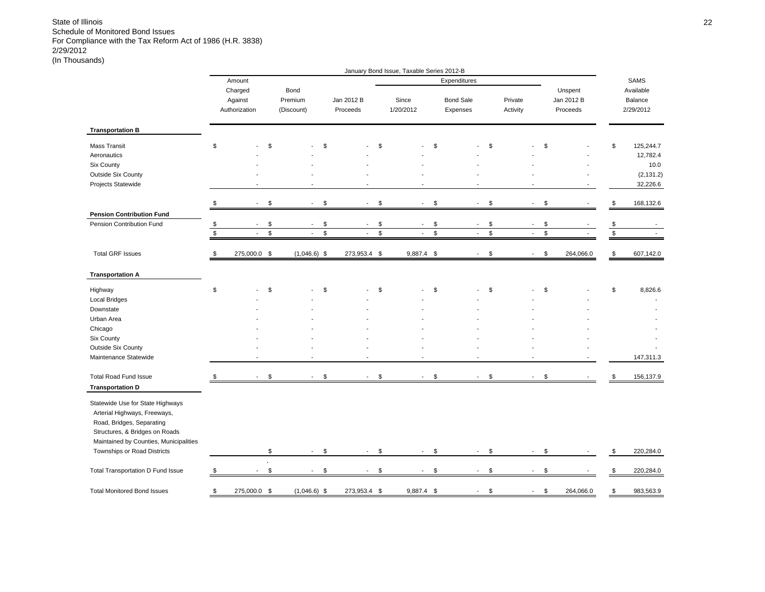|                                                                                                                                                                                                          |              |                                     |               |                               |               |                          |              | January Bond Issue, Taxable Series 2012-B |                |                              |             |                     |                |             |                                   |               |                                   |
|----------------------------------------------------------------------------------------------------------------------------------------------------------------------------------------------------------|--------------|-------------------------------------|---------------|-------------------------------|---------------|--------------------------|--------------|-------------------------------------------|----------------|------------------------------|-------------|---------------------|----------------|-------------|-----------------------------------|---------------|-----------------------------------|
|                                                                                                                                                                                                          |              | Amount                              |               |                               |               |                          |              |                                           |                | Expenditures                 |             |                     |                |             |                                   |               | SAMS                              |
|                                                                                                                                                                                                          |              | Charged<br>Against<br>Authorization |               | Bond<br>Premium<br>(Discount) |               | Jan 2012 B<br>Proceeds   |              | Since<br>1/20/2012                        |                | <b>Bond Sale</b><br>Expenses |             | Private<br>Activity |                |             | Unspent<br>Jan 2012 B<br>Proceeds |               | Available<br>Balance<br>2/29/2012 |
| <b>Transportation B</b>                                                                                                                                                                                  |              |                                     |               |                               |               |                          |              |                                           |                |                              |             |                     |                |             |                                   |               |                                   |
| Mass Transit                                                                                                                                                                                             | \$           |                                     | \$            |                               | \$            |                          | \$           |                                           | \$             |                              | \$          |                     |                | \$          |                                   | \$            | 125,244.7                         |
| Aeronautics                                                                                                                                                                                              |              |                                     |               |                               |               |                          |              |                                           |                |                              |             |                     |                |             |                                   |               | 12,782.4                          |
| Six County                                                                                                                                                                                               |              |                                     |               |                               |               |                          |              |                                           |                |                              |             |                     |                |             |                                   |               | 10.0                              |
| Outside Six County                                                                                                                                                                                       |              |                                     |               |                               |               |                          |              |                                           |                |                              |             |                     |                |             |                                   |               | (2, 131.2)                        |
| Projects Statewide                                                                                                                                                                                       |              |                                     |               |                               |               |                          |              |                                           |                |                              |             |                     |                |             |                                   |               | 32,226.6                          |
|                                                                                                                                                                                                          | \$           | $\sim$                              | \$            | $\overline{\phantom{a}}$      | \$            | $\blacksquare$           | \$           | $\overline{\phantom{a}}$                  | \$             | $\blacksquare$               | \$          | $\blacksquare$      |                | \$          |                                   | \$            | 168,132.6                         |
| <b>Pension Contribution Fund</b>                                                                                                                                                                         |              |                                     |               |                               |               |                          |              |                                           |                |                              |             |                     |                |             |                                   |               |                                   |
| Pension Contribution Fund                                                                                                                                                                                | \$           | $\sim$                              | \$            | $\sim$                        | \$            | $\sim$                   | \$           | $\blacksquare$                            | \$             | $\sim$                       | \$          | $\sim$              |                | \$          |                                   | $\frac{1}{2}$ |                                   |
|                                                                                                                                                                                                          | $\mathbb{S}$ | $\mathbf{r}$                        | $\mathbb S$   | $\sim$                        | $\mathbb S$   | $\blacksquare$           | $\mathbb{S}$ | $\mathcal{L}_{\mathcal{A}}$               | $$\mathbb{S}$$ | $\sim$                       | $\mathbb S$ |                     | $\sim$         | $\mathbb S$ |                                   |               |                                   |
| <b>Total GRF Issues</b>                                                                                                                                                                                  | \$           | 275,000.0 \$                        |               | $(1,046.6)$ \$                |               | 273,953.4 \$             |              | 9,887.4 \$                                |                | $\overline{\phantom{a}}$     | \$          | $\blacksquare$      |                | \$          | 264,066.0                         | \$            | 607,142.0                         |
| <b>Transportation A</b>                                                                                                                                                                                  |              |                                     |               |                               |               |                          |              |                                           |                |                              |             |                     |                |             |                                   |               |                                   |
| Highway                                                                                                                                                                                                  | \$           |                                     | \$            |                               | \$            |                          | \$           |                                           | \$             |                              | \$          |                     |                | \$          |                                   | \$            | 8,826.6                           |
| <b>Local Bridges</b>                                                                                                                                                                                     |              |                                     |               |                               |               |                          |              |                                           |                |                              |             |                     |                |             |                                   |               |                                   |
| Downstate                                                                                                                                                                                                |              |                                     |               |                               |               |                          |              |                                           |                |                              |             |                     |                |             |                                   |               |                                   |
| Urban Area                                                                                                                                                                                               |              |                                     |               |                               |               |                          |              |                                           |                |                              |             |                     |                |             |                                   |               |                                   |
| Chicago                                                                                                                                                                                                  |              |                                     |               |                               |               |                          |              |                                           |                |                              |             |                     |                |             |                                   |               |                                   |
| Six County                                                                                                                                                                                               |              |                                     |               |                               |               |                          |              |                                           |                |                              |             |                     |                |             |                                   |               |                                   |
| Outside Six County<br>Maintenance Statewide                                                                                                                                                              |              |                                     |               |                               |               |                          |              |                                           |                |                              |             |                     |                |             |                                   |               | 147,311.3                         |
| <b>Total Road Fund Issue</b>                                                                                                                                                                             |              | $\sim$                              | $\mathfrak s$ | $\mathbf{r}$                  | $\mathfrak s$ | $\sim$                   | \$           | $\mathbf{r}$                              | \$             |                              | \$          |                     | $\sim$         | \$          |                                   |               |                                   |
| <b>Transportation D</b>                                                                                                                                                                                  | \$           |                                     |               |                               |               |                          |              |                                           |                | $\sim$                       |             |                     |                |             |                                   | \$            | 156,137.9                         |
| Statewide Use for State Highways<br>Arterial Highways, Freeways,<br>Road, Bridges, Separating<br>Structures, & Bridges on Roads<br>Maintained by Counties, Municipalities<br>Townships or Road Districts |              |                                     | \$            | $\blacksquare$                | \$            | $\sim$                   | \$           | $\mathbf{r}$                              | \$             | $\sim$                       | \$          | $\mathbf{r}$        |                | \$          |                                   | \$            | 220,284.0                         |
| <b>Total Transportation D Fund Issue</b>                                                                                                                                                                 | \$           | $\overline{\phantom{a}}$            | \$            | $\overline{\phantom{a}}$      | \$            | $\overline{\phantom{a}}$ | \$           | $\blacksquare$                            | \$             | $\sim$                       | \$          |                     | $\blacksquare$ | \$          |                                   | \$            | 220,284.0                         |
| <b>Total Monitored Bond Issues</b>                                                                                                                                                                       | \$           | 275,000.0 \$                        |               | $(1,046.6)$ \$                |               | 273,953.4 \$             |              | 9,887.4 \$                                |                | $\blacksquare$               | \$          | $\sim$              |                | \$          | 264,066.0                         | \$            | 983,563.9                         |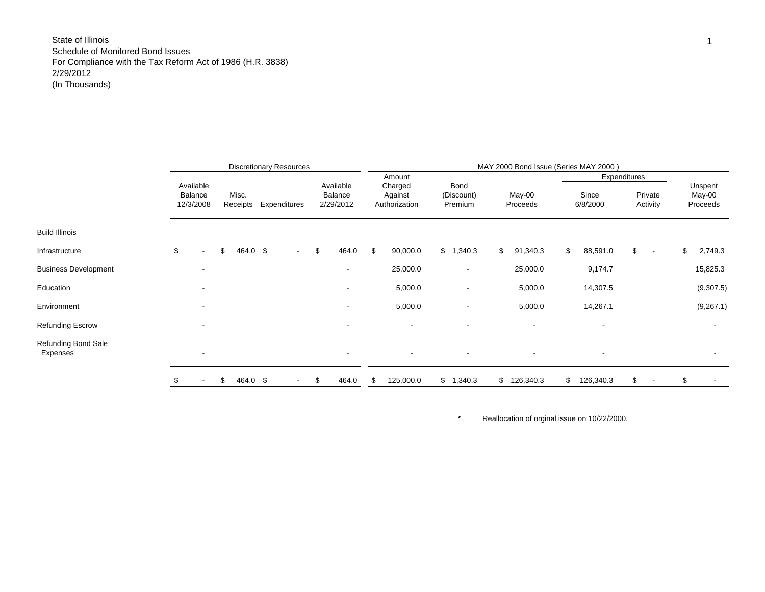|                                 |                                   |                   | <b>Discretionary Resources</b> |                                   |                                               |                               | MAY 2000 Bond Issue (Series MAY 2000) |                                   |                                |                               |
|---------------------------------|-----------------------------------|-------------------|--------------------------------|-----------------------------------|-----------------------------------------------|-------------------------------|---------------------------------------|-----------------------------------|--------------------------------|-------------------------------|
|                                 | Available<br>Balance<br>12/3/2008 | Misc.<br>Receipts | Expenditures                   | Available<br>Balance<br>2/29/2012 | Amount<br>Charged<br>Against<br>Authorization | Bond<br>(Discount)<br>Premium | May-00<br>Proceeds                    | Expenditures<br>Since<br>6/8/2000 | Private<br>Activity            | Unspent<br>May-00<br>Proceeds |
| <b>Build Illinois</b>           |                                   |                   |                                |                                   |                                               |                               |                                       |                                   |                                |                               |
| Infrastructure                  | \$<br>$\overline{\phantom{a}}$    | \$<br>464.0 \$    | $\sim$                         | \$<br>464.0                       | \$<br>90,000.0                                | \$1,340.3                     | \$<br>91,340.3                        | \$<br>88,591.0                    | \$<br>$\overline{\phantom{a}}$ | \$<br>2,749.3                 |
| <b>Business Development</b>     |                                   |                   |                                | $\overline{\phantom{a}}$          | 25,000.0                                      | $\overline{\phantom{a}}$      | 25,000.0                              | 9,174.7                           |                                | 15,825.3                      |
| Education                       |                                   |                   |                                | ۰                                 | 5,000.0                                       | $\overline{\phantom{a}}$      | 5,000.0                               | 14,307.5                          |                                | (9,307.5)                     |
| Environment                     |                                   |                   |                                | $\overline{\phantom{a}}$          | 5,000.0                                       | $\overline{\phantom{a}}$      | 5,000.0                               | 14,267.1                          |                                | (9,267.1)                     |
| <b>Refunding Escrow</b>         |                                   |                   |                                | ۰                                 |                                               | $\overline{\phantom{a}}$      | $\sim$                                |                                   |                                | $\overline{\phantom{a}}$      |
| Refunding Bond Sale<br>Expenses |                                   |                   |                                | $\overline{\phantom{a}}$          | $\overline{\phantom{a}}$                      | $\overline{\phantom{a}}$      | $\overline{\phantom{a}}$              | $\overline{\phantom{a}}$          |                                | $\sim$                        |
|                                 |                                   | \$<br>464.0 \$    | $\overline{\phantom{a}}$       | \$<br>464.0                       | \$<br>125,000.0                               | \$1,340.3                     | \$126,340.3                           | \$<br>126,340.3                   | \$                             | \$                            |

Reallocation of orginal issue on 10/22/2000.

**\***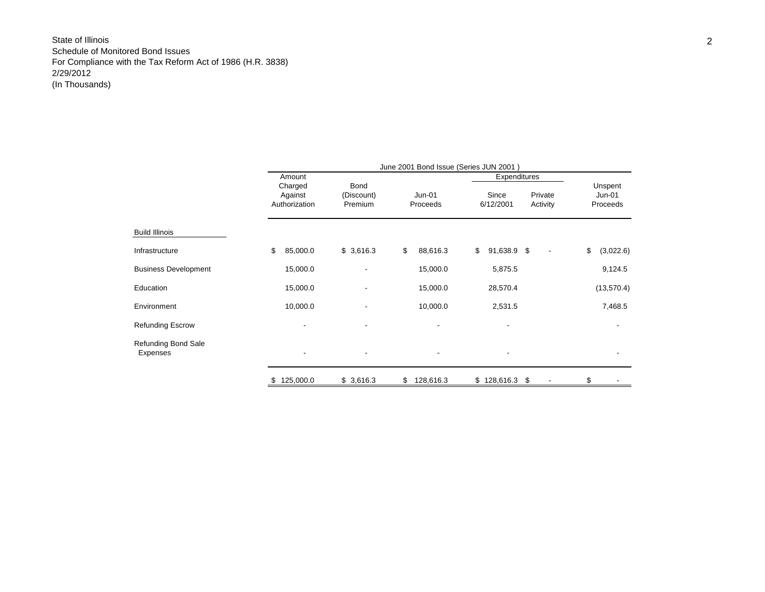|                                        |                                     |                               | June 2001 Bond Issue (Series JUN 2001) |                                               |                               |
|----------------------------------------|-------------------------------------|-------------------------------|----------------------------------------|-----------------------------------------------|-------------------------------|
|                                        | Amount                              |                               |                                        | Expenditures                                  |                               |
|                                        | Charged<br>Against<br>Authorization | Bond<br>(Discount)<br>Premium | Jun-01<br>Proceeds                     | Since<br>Private<br>Activity<br>6/12/2001     | Unspent<br>Jun-01<br>Proceeds |
| <b>Build Illinois</b>                  |                                     |                               |                                        |                                               |                               |
| Infrastructure                         | \$<br>85,000.0                      | \$3,616.3                     | \$<br>88,616.3                         | \$<br>91,638.9 \$<br>$\overline{\phantom{a}}$ | \$<br>(3,022.6)               |
| <b>Business Development</b>            | 15,000.0                            | ۰                             | 15,000.0                               | 5,875.5                                       | 9,124.5                       |
| Education                              | 15,000.0                            | ۰                             | 15,000.0                               | 28,570.4                                      | (13, 570.4)                   |
| Environment                            | 10,000.0                            |                               | 10,000.0                               | 2,531.5                                       | 7,468.5                       |
| <b>Refunding Escrow</b>                |                                     |                               |                                        |                                               |                               |
| <b>Refunding Bond Sale</b><br>Expenses |                                     |                               |                                        |                                               |                               |
|                                        | 125,000.0<br>S                      | \$3,616.3                     | 128,616.3<br>\$                        | \$128,616.3<br>-\$                            | \$                            |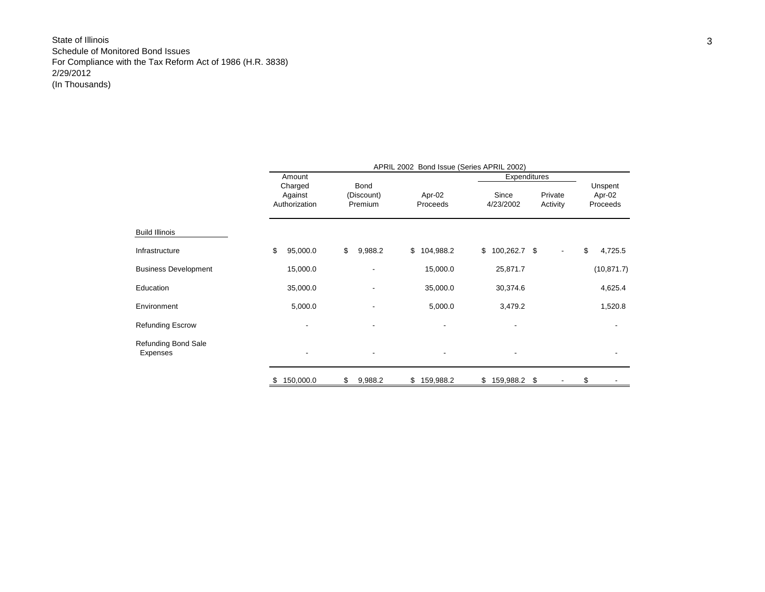|                                 |                                     |                                      | APRIL 2002 Bond Issue (Series APRIL 2002) |                    |                     |                               |
|---------------------------------|-------------------------------------|--------------------------------------|-------------------------------------------|--------------------|---------------------|-------------------------------|
|                                 | Amount                              |                                      |                                           | Expenditures       |                     |                               |
|                                 | Charged<br>Against<br>Authorization | <b>Bond</b><br>(Discount)<br>Premium | Apr-02<br>Proceeds                        | Since<br>4/23/2002 | Private<br>Activity | Unspent<br>Apr-02<br>Proceeds |
| <b>Build Illinois</b>           |                                     |                                      |                                           |                    |                     |                               |
| Infrastructure                  | \$<br>95,000.0                      | \$<br>9,988.2                        | \$104,988.2                               | $$100,262.7$ \$    |                     | \$<br>4,725.5                 |
| <b>Business Development</b>     | 15,000.0                            |                                      | 15,000.0                                  | 25,871.7           |                     | (10, 871.7)                   |
| Education                       | 35,000.0                            |                                      | 35,000.0                                  | 30,374.6           |                     | 4,625.4                       |
| Environment                     | 5,000.0                             |                                      | 5,000.0                                   | 3,479.2            |                     | 1,520.8                       |
| <b>Refunding Escrow</b>         |                                     |                                      |                                           |                    |                     |                               |
| Refunding Bond Sale<br>Expenses | $\overline{\phantom{a}}$            |                                      | $\overline{\phantom{a}}$                  |                    |                     | $\overline{\phantom{a}}$      |
|                                 | \$<br>150,000.0                     | \$<br>9,988.2                        | \$<br>159,988.2                           | \$159,988.2        | \$                  | \$                            |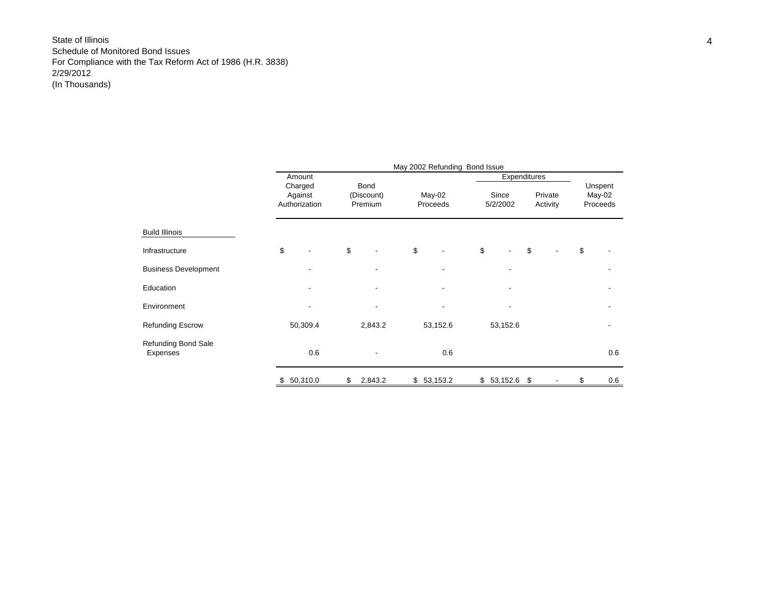|                                 |                                     |                               | May 2002 Refunding Bond Issue |                   |                     |                     |                               |
|---------------------------------|-------------------------------------|-------------------------------|-------------------------------|-------------------|---------------------|---------------------|-------------------------------|
|                                 | Amount                              |                               |                               |                   | <b>Expenditures</b> |                     |                               |
|                                 | Charged<br>Against<br>Authorization | Bond<br>(Discount)<br>Premium | May-02<br>Proceeds            | Since<br>5/2/2002 |                     | Private<br>Activity | Unspent<br>May-02<br>Proceeds |
| <b>Build Illinois</b>           |                                     |                               |                               |                   |                     |                     |                               |
| Infrastructure                  | \$                                  | \$                            | \$                            | \$                | \$                  |                     | \$                            |
| <b>Business Development</b>     |                                     |                               |                               |                   |                     |                     |                               |
| Education                       |                                     |                               |                               |                   |                     |                     |                               |
| Environment                     |                                     |                               |                               |                   |                     |                     |                               |
| <b>Refunding Escrow</b>         | 50,309.4                            | 2,843.2                       | 53,152.6                      | 53,152.6          |                     |                     |                               |
| Refunding Bond Sale<br>Expenses | 0.6                                 |                               | 0.6                           |                   |                     |                     | 0.6                           |
|                                 | \$<br>50,310.0                      | \$<br>2,843.2                 | \$53,153.2                    | \$53,152.6        | \$                  |                     | \$<br>0.6                     |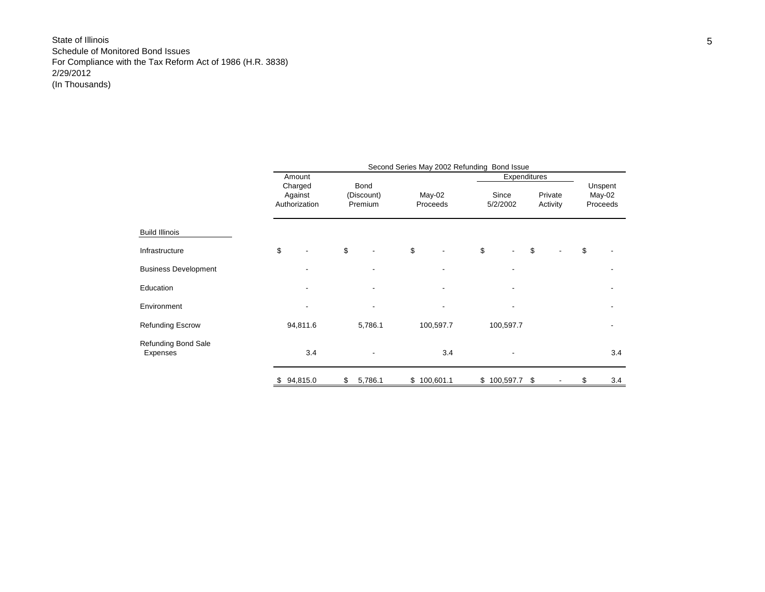|                                 |     |                                               |                               | Second Series May 2002 Refunding Bond Issue |                                   |                     |                               |
|---------------------------------|-----|-----------------------------------------------|-------------------------------|---------------------------------------------|-----------------------------------|---------------------|-------------------------------|
|                                 |     | Amount<br>Charged<br>Against<br>Authorization | Bond<br>(Discount)<br>Premium | $May-02$<br>Proceeds                        | Expenditures<br>Since<br>5/2/2002 | Private<br>Activity | Unspent<br>May-02<br>Proceeds |
|                                 |     |                                               |                               |                                             |                                   |                     |                               |
| <b>Build Illinois</b>           |     |                                               |                               |                                             |                                   |                     |                               |
| Infrastructure                  | \$  |                                               | \$                            | \$                                          | \$                                | \$                  | \$                            |
| <b>Business Development</b>     |     |                                               |                               |                                             |                                   |                     |                               |
| Education                       |     |                                               |                               |                                             |                                   |                     |                               |
| Environment                     |     |                                               |                               |                                             |                                   |                     |                               |
| <b>Refunding Escrow</b>         |     | 94,811.6                                      | 5,786.1                       | 100,597.7                                   | 100,597.7                         |                     |                               |
| Refunding Bond Sale<br>Expenses |     | 3.4                                           |                               | 3.4                                         |                                   |                     | 3.4                           |
|                                 | \$. | 94,815.0                                      | \$<br>5,786.1                 | \$100,601.1                                 | \$100,597.7                       | \$                  | \$<br>3.4                     |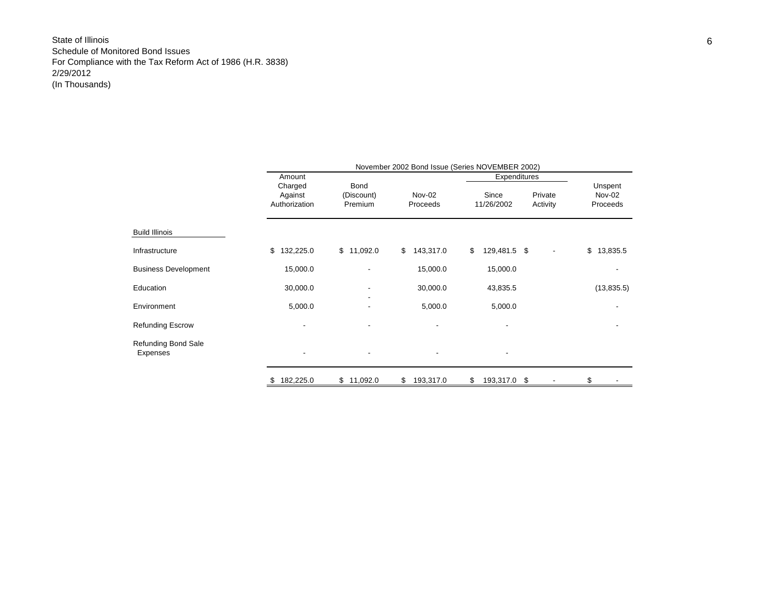|                                 |                                     | November 2002 Bond Issue (Series NOVEMBER 2002) |                    |                       |                     |                               |  |  |  |  |  |  |  |  |  |
|---------------------------------|-------------------------------------|-------------------------------------------------|--------------------|-----------------------|---------------------|-------------------------------|--|--|--|--|--|--|--|--|--|
|                                 | Amount                              |                                                 |                    | Expenditures          |                     |                               |  |  |  |  |  |  |  |  |  |
|                                 | Charged<br>Against<br>Authorization | Bond<br>(Discount)<br>Premium                   | Nov-02<br>Proceeds | Since<br>11/26/2002   | Private<br>Activity | Unspent<br>Nov-02<br>Proceeds |  |  |  |  |  |  |  |  |  |
| <b>Build Illinois</b>           |                                     |                                                 |                    |                       |                     |                               |  |  |  |  |  |  |  |  |  |
| Infrastructure                  | 132,225.0<br>\$                     | \$11,092.0                                      | 143,317.0<br>\$    | \$<br>129,481.5 \$    | ٠                   | \$13,835.5                    |  |  |  |  |  |  |  |  |  |
| <b>Business Development</b>     | 15,000.0                            |                                                 | 15,000.0           | 15,000.0              |                     |                               |  |  |  |  |  |  |  |  |  |
| Education                       | 30,000.0                            |                                                 | 30,000.0           | 43,835.5              |                     | (13,835.5)                    |  |  |  |  |  |  |  |  |  |
| Environment                     | 5,000.0                             |                                                 | 5,000.0            | 5,000.0               |                     |                               |  |  |  |  |  |  |  |  |  |
| <b>Refunding Escrow</b>         |                                     |                                                 |                    |                       |                     |                               |  |  |  |  |  |  |  |  |  |
| Refunding Bond Sale<br>Expenses | -                                   |                                                 |                    |                       |                     |                               |  |  |  |  |  |  |  |  |  |
|                                 | 182,225.0                           | \$11,092.0                                      | \$<br>193,317.0    | \$<br>193,317.0<br>\$ |                     | \$                            |  |  |  |  |  |  |  |  |  |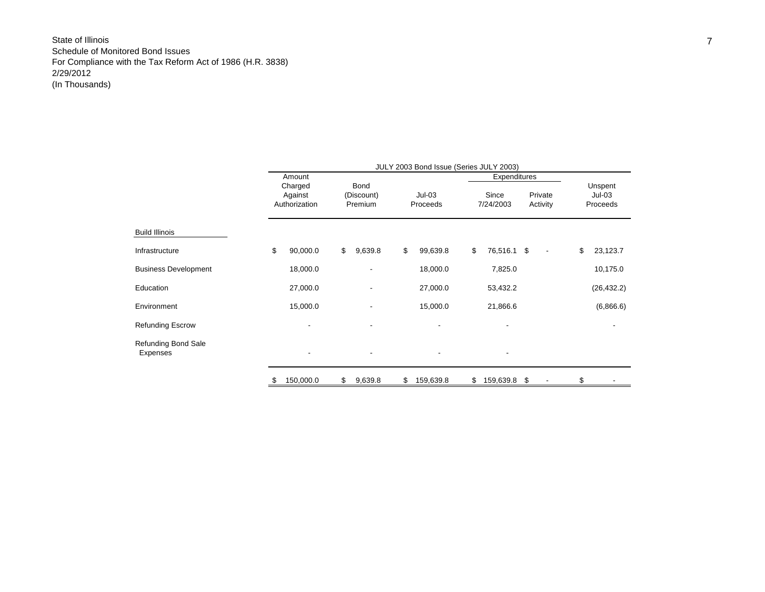|                                        | JULY 2003 Bond Issue (Series JULY 2003) |                          |    |                       |    |                      |    |                          |    |                          |    |                      |  |  |
|----------------------------------------|-----------------------------------------|--------------------------|----|-----------------------|----|----------------------|----|--------------------------|----|--------------------------|----|----------------------|--|--|
|                                        |                                         | Amount<br>Charged        |    | Bond                  |    |                      |    | Expenditures             |    |                          |    | Unspent              |  |  |
|                                        |                                         | Against<br>Authorization |    | (Discount)<br>Premium |    | $Jul-03$<br>Proceeds |    | Since<br>7/24/2003       |    | Private<br>Activity      |    | $Jul-03$<br>Proceeds |  |  |
| <b>Build Illinois</b>                  |                                         |                          |    |                       |    |                      |    |                          |    |                          |    |                      |  |  |
| Infrastructure                         | \$                                      | 90,000.0                 | \$ | 9,639.8               | \$ | 99,639.8             | \$ | 76,516.1 \$              |    | $\overline{\phantom{a}}$ | \$ | 23,123.7             |  |  |
| <b>Business Development</b>            |                                         | 18,000.0                 |    | ٠                     |    | 18,000.0             |    | 7,825.0                  |    |                          |    | 10,175.0             |  |  |
| Education                              |                                         | 27,000.0                 |    |                       |    | 27,000.0             |    | 53,432.2                 |    |                          |    | (26, 432.2)          |  |  |
| Environment                            |                                         | 15,000.0                 |    |                       |    | 15,000.0             |    | 21,866.6                 |    |                          |    | (6,866.6)            |  |  |
| <b>Refunding Escrow</b>                |                                         |                          |    |                       |    |                      |    |                          |    |                          |    |                      |  |  |
| <b>Refunding Bond Sale</b><br>Expenses |                                         | $\overline{\phantom{a}}$ |    |                       |    |                      |    | $\overline{\phantom{a}}$ |    |                          |    |                      |  |  |
|                                        | S                                       | 150,000.0                | \$ | 9,639.8               | \$ | 159,639.8            | \$ | 159,639.8                | \$ |                          | \$ |                      |  |  |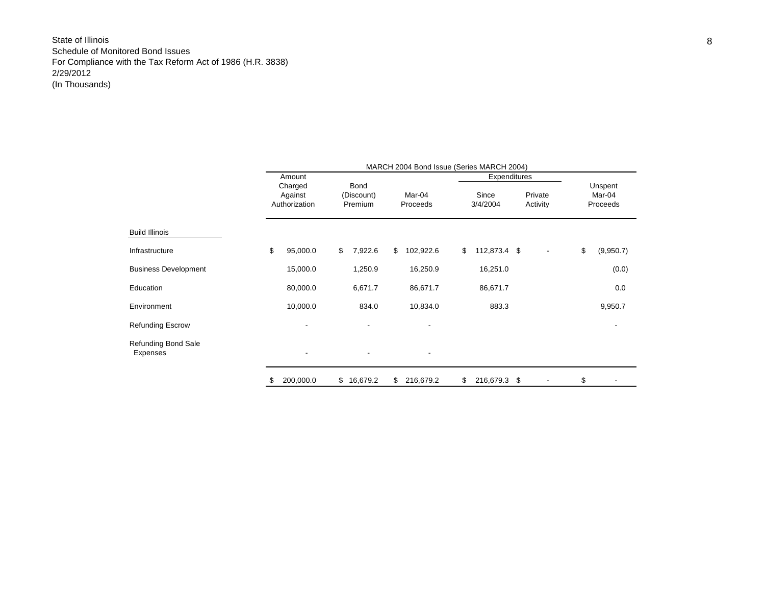|                                        |    | MARCH 2004 Bond Issue (Series MARCH 2004) |    |                               |    |                          |    |                   |    |                     |    |                               |  |  |
|----------------------------------------|----|-------------------------------------------|----|-------------------------------|----|--------------------------|----|-------------------|----|---------------------|----|-------------------------------|--|--|
|                                        |    | Amount                                    |    |                               |    |                          |    | Expenditures      |    |                     |    |                               |  |  |
|                                        |    | Charged<br>Against<br>Authorization       |    | Bond<br>(Discount)<br>Premium |    | Mar-04<br>Proceeds       |    | Since<br>3/4/2004 |    | Private<br>Activity |    | Unspent<br>Mar-04<br>Proceeds |  |  |
| <b>Build Illinois</b>                  |    |                                           |    |                               |    |                          |    |                   |    |                     |    |                               |  |  |
| Infrastructure                         | \$ | 95,000.0                                  | \$ | 7,922.6                       | \$ | 102,922.6                | \$ | 112,873.4 \$      |    |                     | \$ | (9,950.7)                     |  |  |
| <b>Business Development</b>            |    | 15,000.0                                  |    | 1,250.9                       |    | 16,250.9                 |    | 16,251.0          |    |                     |    | (0.0)                         |  |  |
| Education                              |    | 80,000.0                                  |    | 6,671.7                       |    | 86,671.7                 |    | 86,671.7          |    |                     |    | 0.0                           |  |  |
| Environment                            |    | 10,000.0                                  |    | 834.0                         |    | 10,834.0                 |    | 883.3             |    |                     |    | 9,950.7                       |  |  |
| <b>Refunding Escrow</b>                |    |                                           |    |                               |    |                          |    |                   |    |                     |    |                               |  |  |
| <b>Refunding Bond Sale</b><br>Expenses |    | $\overline{\phantom{a}}$                  |    |                               |    | $\overline{\phantom{a}}$ |    |                   |    |                     |    |                               |  |  |
|                                        | S  | 200,000.0                                 | \$ | 16,679.2                      | \$ | 216,679.2                | \$ | 216,679.3         | \$ |                     | \$ |                               |  |  |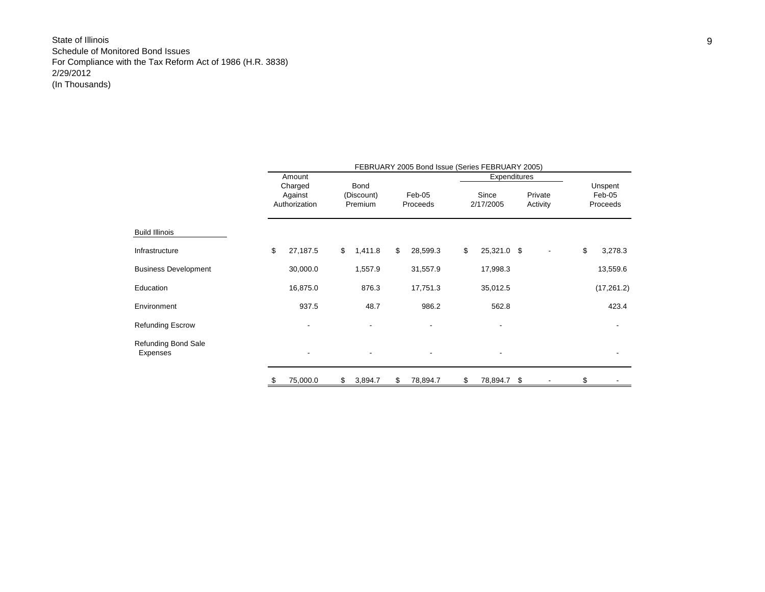|                                 |    | FEBRUARY 2005 Bond Issue (Series FEBRUARY 2005) |    |                               |    |                    |    |                    |  |                     |    |                               |  |  |  |
|---------------------------------|----|-------------------------------------------------|----|-------------------------------|----|--------------------|----|--------------------|--|---------------------|----|-------------------------------|--|--|--|
|                                 |    | Amount                                          |    |                               |    |                    |    | Expenditures       |  |                     |    |                               |  |  |  |
|                                 |    | Charged<br>Against<br>Authorization             |    | Bond<br>(Discount)<br>Premium |    | Feb-05<br>Proceeds |    | Since<br>2/17/2005 |  | Private<br>Activity |    | Unspent<br>Feb-05<br>Proceeds |  |  |  |
| <b>Build Illinois</b>           |    |                                                 |    |                               |    |                    |    |                    |  |                     |    |                               |  |  |  |
| Infrastructure                  | \$ | 27,187.5                                        | \$ | 1,411.8                       | \$ | 28,599.3           | \$ | 25,321.0 \$        |  |                     | \$ | 3,278.3                       |  |  |  |
| <b>Business Development</b>     |    | 30,000.0                                        |    | 1,557.9                       |    | 31,557.9           |    | 17,998.3           |  |                     |    | 13,559.6                      |  |  |  |
| Education                       |    | 16,875.0                                        |    | 876.3                         |    | 17,751.3           |    | 35,012.5           |  |                     |    | (17, 261.2)                   |  |  |  |
| Environment                     |    | 937.5                                           |    | 48.7                          |    | 986.2              |    | 562.8              |  |                     |    | 423.4                         |  |  |  |
| Refunding Escrow                |    |                                                 |    |                               |    |                    |    |                    |  |                     |    |                               |  |  |  |
| Refunding Bond Sale<br>Expenses |    |                                                 |    |                               |    |                    |    |                    |  |                     |    | $\overline{\phantom{a}}$      |  |  |  |
|                                 | P. | 75,000.0                                        | \$ | 3,894.7                       | \$ | 78,894.7           | \$ | 78,894.7 \$        |  |                     | \$ |                               |  |  |  |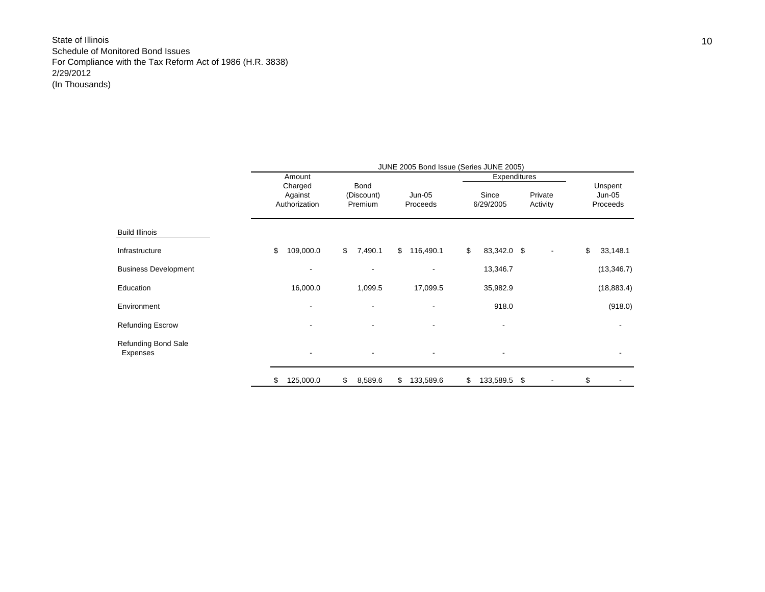|                                 | JUNE 2005 Bond Issue (Series JUNE 2005)       |          |                               |    |                          |    |                                    |                     |  |    |                               |  |  |  |
|---------------------------------|-----------------------------------------------|----------|-------------------------------|----|--------------------------|----|------------------------------------|---------------------|--|----|-------------------------------|--|--|--|
|                                 | Amount<br>Charged<br>Against<br>Authorization |          | Bond<br>(Discount)<br>Premium |    | Jun-05<br>Proceeds       |    | Expenditures<br>Since<br>6/29/2005 | Private<br>Activity |  |    | Unspent<br>Jun-05<br>Proceeds |  |  |  |
| <b>Build Illinois</b>           |                                               |          |                               |    |                          |    |                                    |                     |  |    |                               |  |  |  |
| Infrastructure                  | 109,000.0<br>\$                               |          | $\mathsf{\$}$<br>7,490.1      |    | \$116,490.1              | \$ | 83,342.0 \$                        |                     |  | \$ | 33,148.1                      |  |  |  |
| <b>Business Development</b>     |                                               |          | $\blacksquare$                |    |                          |    | 13,346.7                           |                     |  |    | (13, 346.7)                   |  |  |  |
| Education                       |                                               | 16,000.0 | 1,099.5                       |    | 17,099.5                 |    | 35,982.9                           |                     |  |    | (18, 883.4)                   |  |  |  |
| Environment                     |                                               |          | $\blacksquare$                |    | $\overline{\phantom{0}}$ |    | 918.0                              |                     |  |    | (918.0)                       |  |  |  |
| <b>Refunding Escrow</b>         |                                               |          | $\blacksquare$                |    | $\overline{\phantom{0}}$ |    | $\overline{\phantom{a}}$           |                     |  |    |                               |  |  |  |
| Refunding Bond Sale<br>Expenses |                                               |          | $\overline{\phantom{a}}$      |    | $\overline{\phantom{a}}$ |    | $\overline{\phantom{a}}$           |                     |  |    |                               |  |  |  |
|                                 | 125,000.0<br>\$                               |          | \$<br>8,589.6                 | \$ | 133,589.6                | \$ | 133,589.5 \$                       |                     |  | \$ |                               |  |  |  |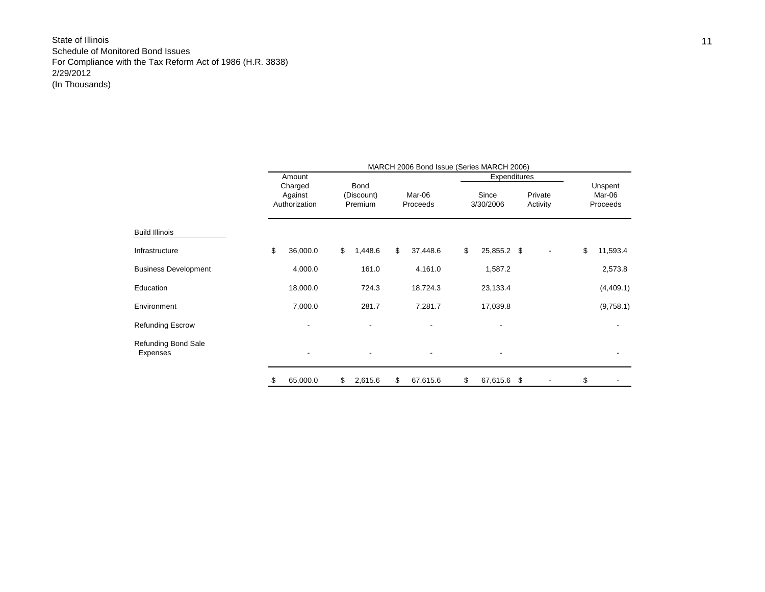|                                        | MARCH 2006 Bond Issue (Series MARCH 2006) |          |    |                               |    |                    |    |                          |                     |    |                               |  |  |  |
|----------------------------------------|-------------------------------------------|----------|----|-------------------------------|----|--------------------|----|--------------------------|---------------------|----|-------------------------------|--|--|--|
|                                        |                                           | Amount   |    |                               |    |                    |    | Expenditures             |                     |    |                               |  |  |  |
|                                        | Charged<br>Against<br>Authorization       |          |    | Bond<br>(Discount)<br>Premium |    | Mar-06<br>Proceeds |    | Since<br>3/30/2006       | Private<br>Activity |    | Unspent<br>Mar-06<br>Proceeds |  |  |  |
| Build Illinois                         |                                           |          |    |                               |    |                    |    |                          |                     |    |                               |  |  |  |
| Infrastructure                         | \$                                        | 36,000.0 | \$ | 1,448.6                       | \$ | 37,448.6           | \$ | 25,855.2 \$              |                     | \$ | 11,593.4                      |  |  |  |
| <b>Business Development</b>            |                                           | 4,000.0  |    | 161.0                         |    | 4,161.0            |    | 1,587.2                  |                     |    | 2,573.8                       |  |  |  |
| Education                              |                                           | 18,000.0 |    | 724.3                         |    | 18,724.3           |    | 23,133.4                 |                     |    | (4,409.1)                     |  |  |  |
| Environment                            |                                           | 7,000.0  |    | 281.7                         |    | 7,281.7            |    | 17,039.8                 |                     |    | (9,758.1)                     |  |  |  |
| Refunding Escrow                       |                                           |          |    |                               |    |                    |    |                          |                     |    |                               |  |  |  |
| Refunding Bond Sale<br><b>Expenses</b> |                                           |          |    |                               |    |                    |    | $\overline{\phantom{a}}$ |                     |    |                               |  |  |  |
|                                        |                                           | 65,000.0 | \$ | 2,615.6                       | \$ | 67,615.6           | \$ | 67,615.6                 | -\$                 | \$ |                               |  |  |  |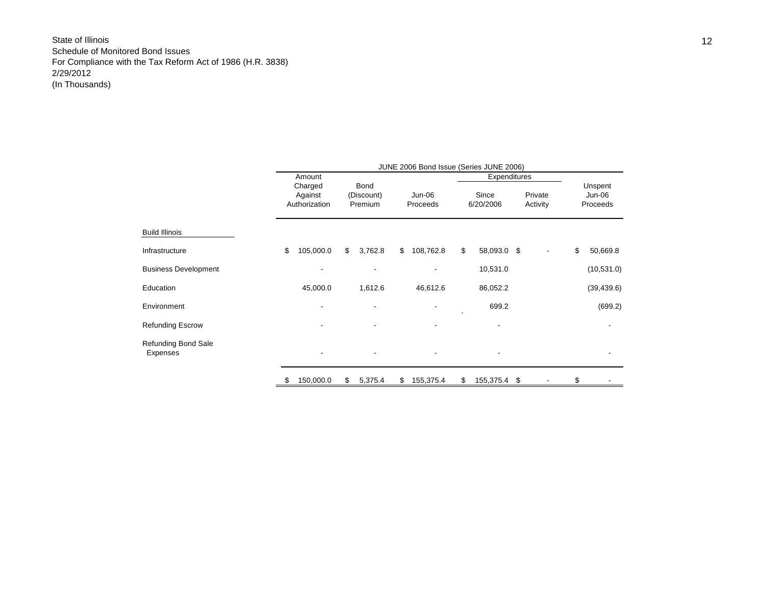|                                        | JUNE 2006 Bond Issue (Series JUNE 2006) |               |    |                          |    |           |           |              |    |          |    |             |  |
|----------------------------------------|-----------------------------------------|---------------|----|--------------------------|----|-----------|-----------|--------------|----|----------|----|-------------|--|
|                                        |                                         | Amount        |    |                          |    |           |           | Expenditures |    |          |    |             |  |
|                                        |                                         | Charged       |    | <b>Bond</b>              |    |           |           |              |    |          |    | Unspent     |  |
|                                        |                                         | Against       |    | (Discount)               |    | Jun-06    |           | Since        |    | Private  |    | Jun-06      |  |
|                                        |                                         | Authorization |    | Premium                  |    | Proceeds  |           | 6/20/2006    |    | Activity |    | Proceeds    |  |
|                                        |                                         |               |    |                          |    |           |           |              |    |          |    |             |  |
| <b>Build Illinois</b>                  |                                         |               |    |                          |    |           |           |              |    |          |    |             |  |
| Infrastructure                         | \$                                      | 105,000.0     | \$ | 3,762.8                  | \$ | 108,762.8 | \$        | 58,093.0 \$  |    |          | \$ | 50,669.8    |  |
| <b>Business Development</b>            |                                         |               |    |                          |    |           |           | 10,531.0     |    |          |    | (10, 531.0) |  |
| Education                              |                                         | 45,000.0      |    | 1,612.6                  |    | 46,612.6  |           | 86,052.2     |    |          |    | (39, 439.6) |  |
| Environment                            |                                         |               |    |                          |    |           | $\lambda$ | 699.2        |    |          |    | (699.2)     |  |
| <b>Refunding Escrow</b>                |                                         |               |    |                          |    |           |           |              |    |          |    |             |  |
| <b>Refunding Bond Sale</b><br>Expenses |                                         |               |    | $\overline{\phantom{a}}$ |    |           |           |              |    |          |    |             |  |
|                                        |                                         | 150,000.0     | \$ | 5,375.4                  | \$ | 155,375.4 | \$        | 155,375.4    | \$ |          | \$ |             |  |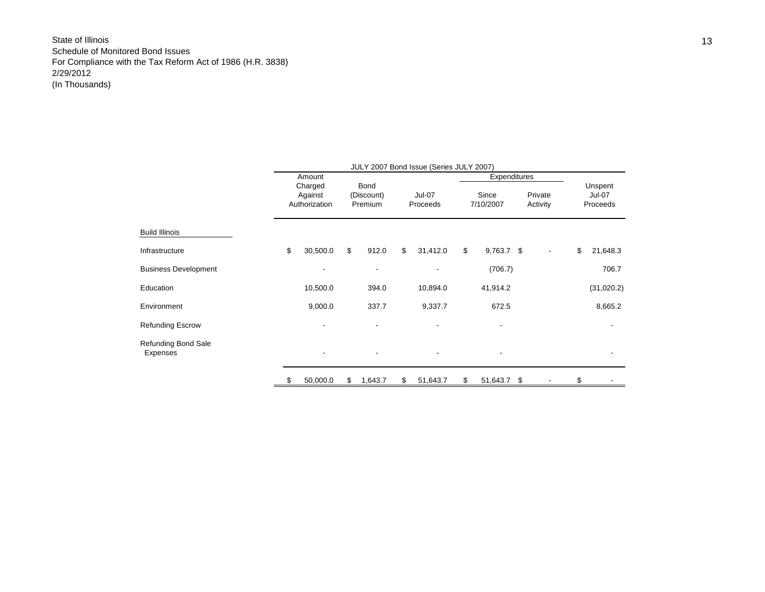|                                 |    | Amount                              |                               |                           | Expenditures       |                     |                                      |
|---------------------------------|----|-------------------------------------|-------------------------------|---------------------------|--------------------|---------------------|--------------------------------------|
|                                 |    | Charged<br>Against<br>Authorization | Bond<br>(Discount)<br>Premium | <b>Jul-07</b><br>Proceeds | Since<br>7/10/2007 | Private<br>Activity | Unspent<br><b>Jul-07</b><br>Proceeds |
| Build Illinois                  |    |                                     |                               |                           |                    |                     |                                      |
| Infrastructure                  | \$ | 30,500.0                            | \$<br>912.0                   | \$<br>31,412.0            | \$<br>$9,763.7$ \$ |                     | \$<br>21,648.3                       |
| <b>Business Development</b>     |    |                                     | $\overline{\phantom{a}}$      |                           | (706.7)            |                     | 706.7                                |
| Education                       |    | 10,500.0                            | 394.0                         | 10,894.0                  | 41,914.2           |                     | (31,020.2)                           |
| Environment                     |    | 9,000.0                             | 337.7                         | 9,337.7                   | 672.5              |                     | 8,665.2                              |
| <b>Refunding Escrow</b>         |    |                                     | ٠                             |                           |                    |                     |                                      |
| Refunding Bond Sale<br>Expenses |    |                                     |                               |                           |                    |                     |                                      |
|                                 |    | 50,000.0                            | \$<br>1,643.7                 | \$<br>51,643.7            | \$<br>51,643.7 \$  |                     | \$                                   |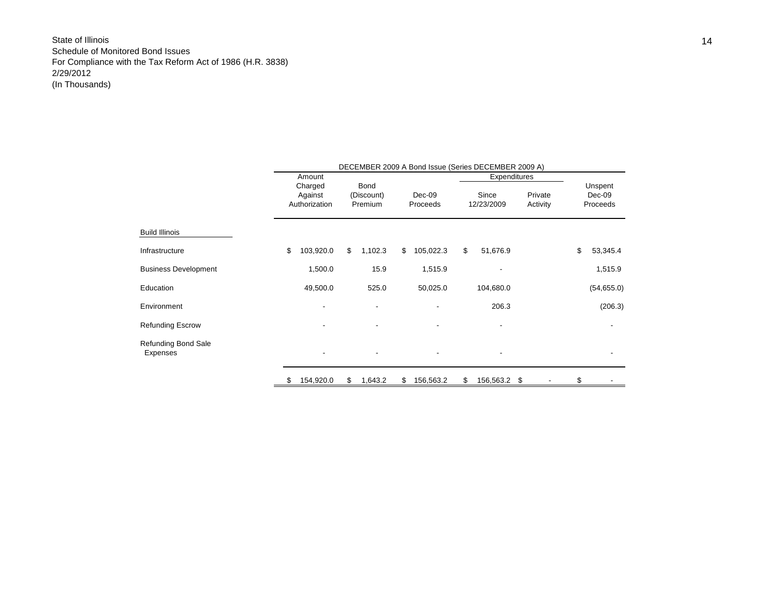|                             | DECEMBER 2009 A Bond Issue (Series DECEMBER 2009 A) |               |    |            |    |           |    |                          |          |    |                          |  |  |  |
|-----------------------------|-----------------------------------------------------|---------------|----|------------|----|-----------|----|--------------------------|----------|----|--------------------------|--|--|--|
|                             |                                                     | Amount        |    |            |    |           |    | Expenditures             |          |    |                          |  |  |  |
|                             |                                                     | Charged       |    | Bond       |    |           |    |                          |          |    | Unspent                  |  |  |  |
|                             |                                                     | Against       |    | (Discount) |    | Dec-09    |    | Since                    | Private  |    | Dec-09                   |  |  |  |
|                             |                                                     | Authorization |    | Premium    |    | Proceeds  |    | 12/23/2009               | Activity |    | Proceeds                 |  |  |  |
| <b>Build Illinois</b>       |                                                     |               |    |            |    |           |    |                          |          |    |                          |  |  |  |
| Infrastructure              | \$                                                  | 103,920.0     | \$ | 1,102.3    | \$ | 105,022.3 | \$ | 51,676.9                 |          | \$ | 53,345.4                 |  |  |  |
| <b>Business Development</b> |                                                     | 1,500.0       |    | 15.9       |    | 1,515.9   |    |                          |          |    | 1,515.9                  |  |  |  |
| Education                   |                                                     | 49,500.0      |    | 525.0      |    | 50,025.0  |    | 104,680.0                |          |    | (54, 655.0)              |  |  |  |
| Environment                 |                                                     |               |    |            |    |           |    | 206.3                    |          |    | (206.3)                  |  |  |  |
| <b>Refunding Escrow</b>     |                                                     |               |    |            |    |           |    |                          |          |    |                          |  |  |  |
| Refunding Bond Sale         |                                                     |               |    |            |    |           |    |                          |          |    |                          |  |  |  |
| Expenses                    |                                                     |               |    |            |    |           |    | $\overline{\phantom{a}}$ |          |    | $\overline{\phantom{a}}$ |  |  |  |
|                             | \$                                                  | 154,920.0     | \$ | 1,643.2    | \$ | 156,563.2 | \$ | 156,563.2 \$             |          | \$ |                          |  |  |  |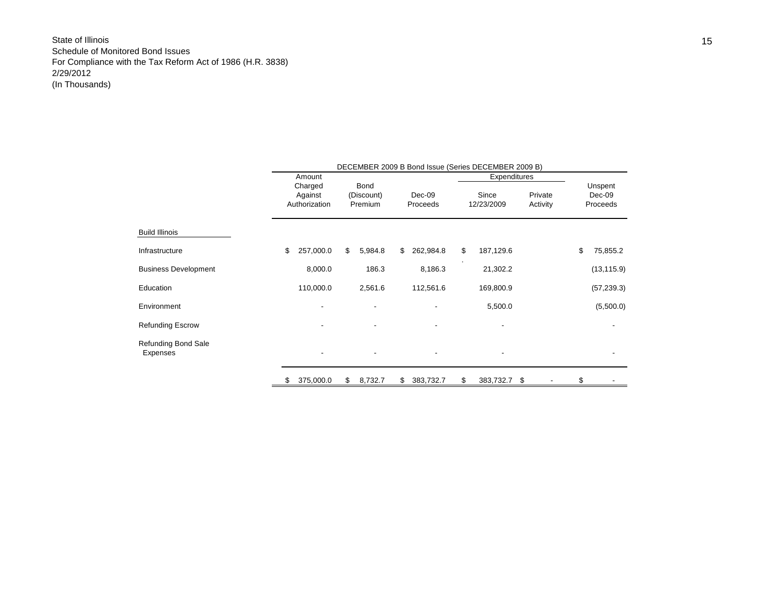|                             |                                     | DECEMBER 2009 B Bond Issue (Series DECEMBER 2009 B) |                                      |         |    |                    |    |                     |                     |    |                    |  |  |
|-----------------------------|-------------------------------------|-----------------------------------------------------|--------------------------------------|---------|----|--------------------|----|---------------------|---------------------|----|--------------------|--|--|
|                             | Amount                              |                                                     |                                      |         |    |                    |    | Expenditures        |                     |    |                    |  |  |
|                             | Charged<br>Against<br>Authorization |                                                     | <b>Bond</b><br>(Discount)<br>Premium |         |    |                    |    |                     |                     |    | Unspent            |  |  |
|                             |                                     |                                                     |                                      |         |    | Dec-09<br>Proceeds |    | Since<br>12/23/2009 | Private<br>Activity |    | Dec-09<br>Proceeds |  |  |
|                             |                                     |                                                     |                                      |         |    |                    |    |                     |                     |    |                    |  |  |
| <b>Build Illinois</b>       |                                     |                                                     |                                      |         |    |                    |    |                     |                     |    |                    |  |  |
| Infrastructure              | \$                                  | 257,000.0                                           | \$                                   | 5,984.8 | \$ | 262,984.8          | \$ | 187,129.6           |                     | \$ | 75,855.2           |  |  |
| <b>Business Development</b> |                                     | 8,000.0                                             |                                      | 186.3   |    | 8,186.3            |    | 21,302.2            |                     |    | (13, 115.9)        |  |  |
| Education                   |                                     | 110,000.0                                           |                                      | 2,561.6 |    | 112,561.6          |    | 169,800.9           |                     |    | (57, 239.3)        |  |  |
| Environment                 |                                     |                                                     |                                      |         |    |                    |    | 5,500.0             |                     |    | (5,500.0)          |  |  |
| Refunding Escrow            |                                     |                                                     |                                      |         |    |                    |    |                     |                     |    |                    |  |  |
| Refunding Bond Sale         |                                     |                                                     |                                      |         |    |                    |    |                     |                     |    |                    |  |  |
| Expenses                    |                                     |                                                     |                                      |         |    | ۰                  |    |                     |                     |    |                    |  |  |
|                             | \$                                  | 375,000.0                                           | \$                                   | 8,732.7 | \$ | 383,732.7          | \$ | 383,732.7 \$        |                     | \$ |                    |  |  |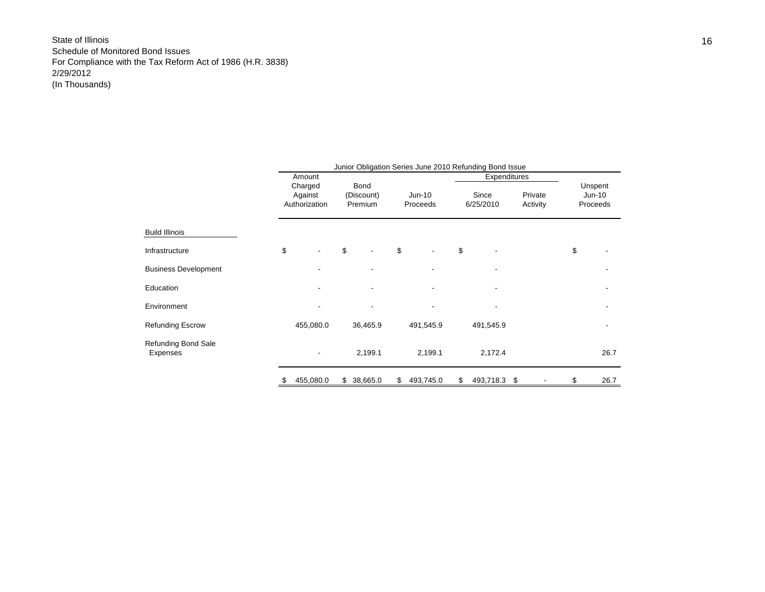|                                        | Junior Obligation Series June 2010 Refunding Bond Issue |                    |                    |                          |    |           |       |              |          |         |                                 |      |  |
|----------------------------------------|---------------------------------------------------------|--------------------|--------------------|--------------------------|----|-----------|-------|--------------|----------|---------|---------------------------------|------|--|
|                                        |                                                         | Amount             |                    |                          |    |           |       | Expenditures |          |         |                                 |      |  |
|                                        |                                                         | Charged<br>Against | Bond<br>(Discount) |                          |    | $Jun-10$  | Since |              |          | Private | Unspent<br>$Jun-10$<br>Proceeds |      |  |
|                                        |                                                         | Authorization      | Premium            |                          |    | Proceeds  |       | 6/25/2010    | Activity |         |                                 |      |  |
|                                        |                                                         |                    |                    |                          |    |           |       |              |          |         |                                 |      |  |
| <b>Build Illinois</b>                  |                                                         |                    |                    |                          |    |           |       |              |          |         |                                 |      |  |
| Infrastructure                         | \$                                                      |                    | \$                 | $\overline{\phantom{a}}$ | \$ |           | \$    |              |          |         | \$                              |      |  |
| <b>Business Development</b>            |                                                         |                    |                    |                          |    |           |       |              |          |         |                                 |      |  |
| Education                              |                                                         |                    |                    |                          |    |           |       |              |          |         |                                 |      |  |
| Environment                            |                                                         |                    |                    |                          |    |           |       |              |          |         |                                 |      |  |
| <b>Refunding Escrow</b>                |                                                         | 455,080.0          |                    | 36,465.9                 |    | 491,545.9 |       | 491,545.9    |          |         |                                 |      |  |
| <b>Refunding Bond Sale</b><br>Expenses |                                                         |                    |                    | 2,199.1                  |    | 2,199.1   |       | 2,172.4      |          |         |                                 | 26.7 |  |
|                                        |                                                         | 455,080.0          | \$                 | 38,665.0                 | \$ | 493,745.0 | \$    | 493,718.3    | -\$      |         | \$                              | 26.7 |  |